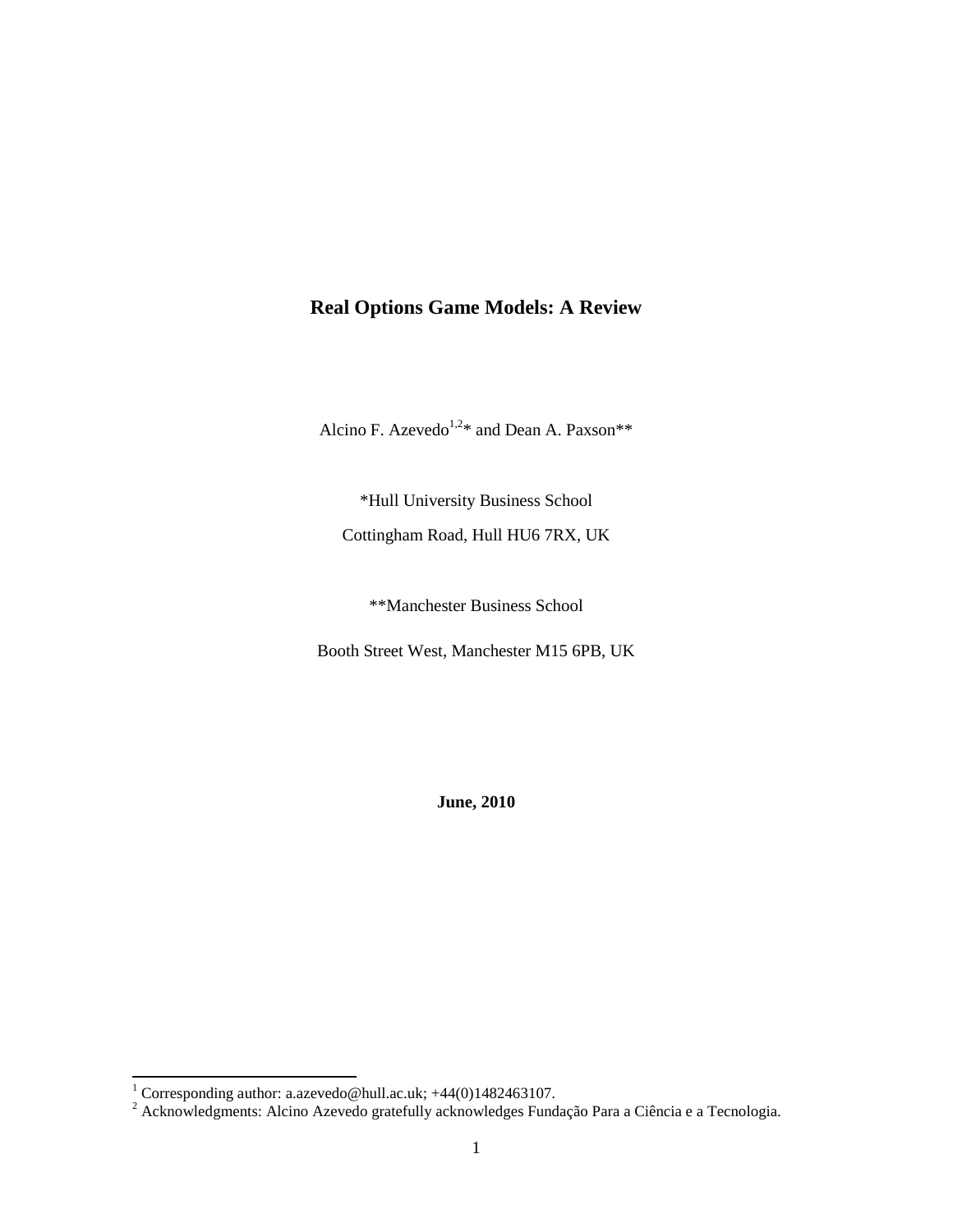# **Real Options Game Models: A Review**

Alcino F. Azevedo<sup>1,2\*</sup> and Dean A. Paxson\*\*

\*Hull University Business School Cottingham Road, Hull HU6 7RX, UK

\*\*Manchester Business School

Booth Street West, Manchester M15 6PB, UK

**June, 2010**

<sup>&</sup>lt;sup>1</sup> Corresponding author[: a.azevedo@hull.ac.uk;](mailto:a.azevedo@hull.ac.uk) +44(0)1482463107.

 $2$  Acknowledgments: Alcino Azevedo gratefully acknowledges Fundação Para a Ciência e a Tecnologia.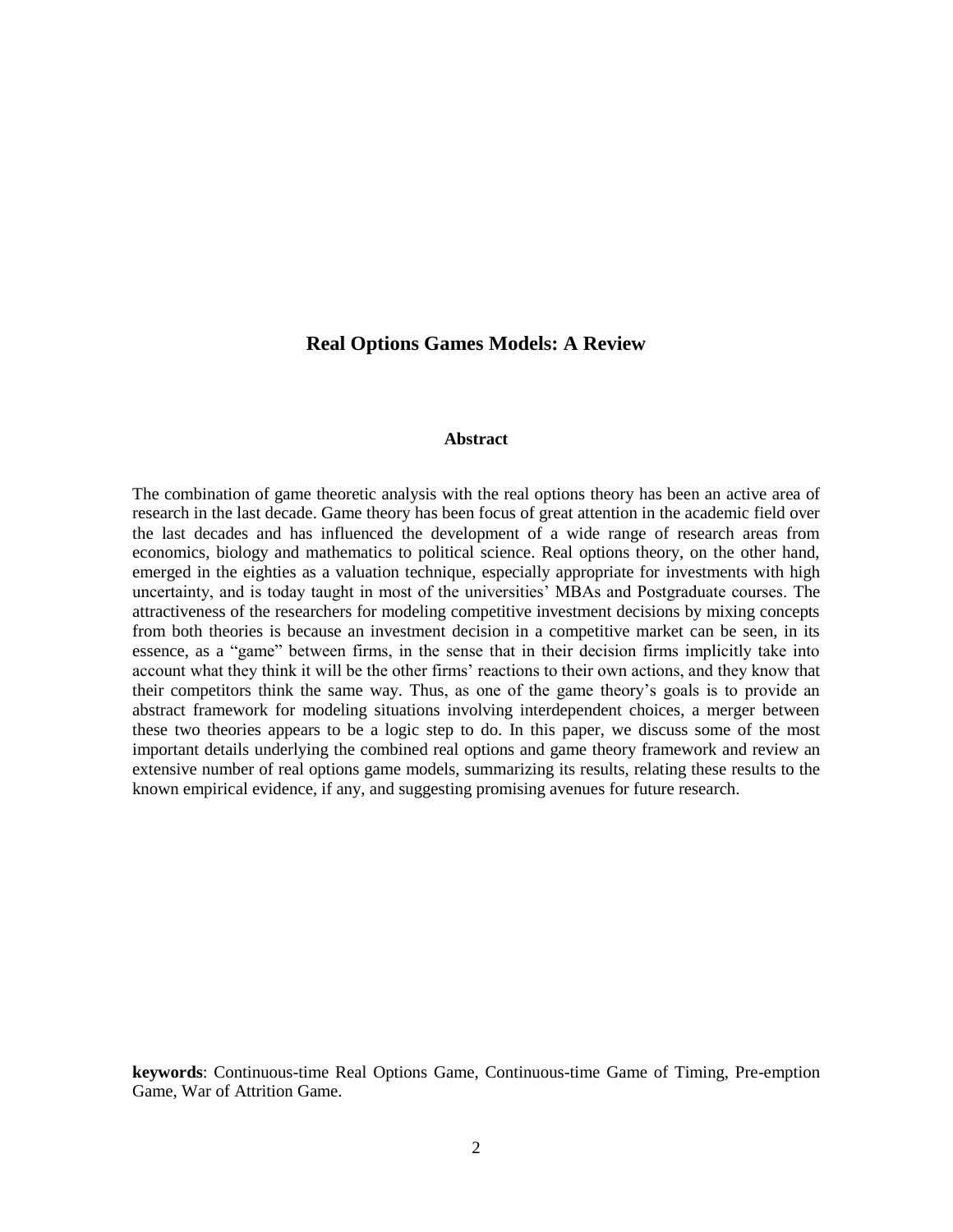## **Real Options Games Models: A Review**

#### **Abstract**

The combination of game theoretic analysis with the real options theory has been an active area of research in the last decade. Game theory has been focus of great attention in the academic field over the last decades and has influenced the development of a wide range of research areas from economics, biology and mathematics to political science. Real options theory, on the other hand, emerged in the eighties as a valuation technique, especially appropriate for investments with high uncertainty, and is today taught in most of the universities' MBAs and Postgraduate courses. The attractiveness of the researchers for modeling competitive investment decisions by mixing concepts from both theories is because an investment decision in a competitive market can be seen, in its essence, as a "game" between firms, in the sense that in their decision firms implicitly take into account what they think it will be the other firms' reactions to their own actions, and they know that their competitors think the same way. Thus, as one of the game theory's goals is to provide an abstract framework for modeling situations involving interdependent choices, a merger between these two theories appears to be a logic step to do. In this paper, we discuss some of the most important details underlying the combined real options and game theory framework and review an extensive number of real options game models, summarizing its results, relating these results to the known empirical evidence, if any, and suggesting promising avenues for future research.

**keywords**: Continuous-time Real Options Game, Continuous-time Game of Timing, Pre-emption Game, War of Attrition Game.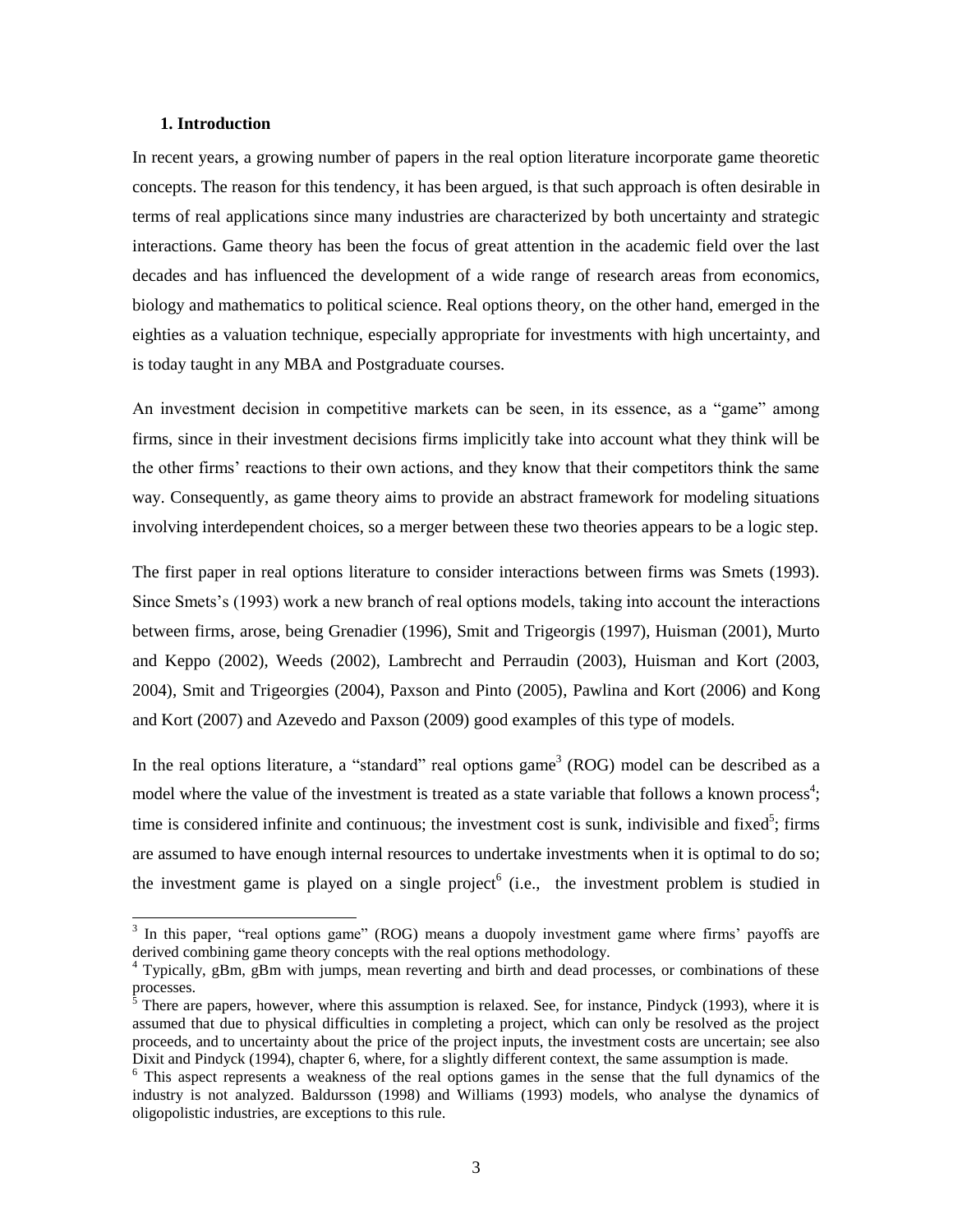#### **1. Introduction**

In recent years, a growing number of papers in the real option literature incorporate game theoretic concepts. The reason for this tendency, it has been argued, is that such approach is often desirable in terms of real applications since many industries are characterized by both uncertainty and strategic interactions. Game theory has been the focus of great attention in the academic field over the last decades and has influenced the development of a wide range of research areas from economics, biology and mathematics to political science. Real options theory, on the other hand, emerged in the eighties as a valuation technique, especially appropriate for investments with high uncertainty, and is today taught in any MBA and Postgraduate courses.

An investment decision in competitive markets can be seen, in its essence, as a "game" among firms, since in their investment decisions firms implicitly take into account what they think will be the other firms' reactions to their own actions, and they know that their competitors think the same way. Consequently, as game theory aims to provide an abstract framework for modeling situations involving interdependent choices, so a merger between these two theories appears to be a logic step.

The first paper in real options literature to consider interactions between firms was Smets (1993). Since Smets's (1993) work a new branch of real options models, taking into account the interactions between firms, arose, being Grenadier (1996), Smit and Trigeorgis (1997), Huisman (2001), Murto and Keppo (2002), Weeds (2002), Lambrecht and Perraudin (2003), Huisman and Kort (2003, 2004), Smit and Trigeorgies (2004), Paxson and Pinto (2005), Pawlina and Kort (2006) and Kong and Kort (2007) and Azevedo and Paxson (2009) good examples of this type of models.

In the real options literature, a "standard" real options game<sup>3</sup> (ROG) model can be described as a model where the value of the investment is treated as a state variable that follows a known process<sup>4</sup>; time is considered infinite and continuous; the investment cost is sunk, indivisible and fixed<sup>5</sup>; firms are assumed to have enough internal resources to undertake investments when it is optimal to do so; the investment game is played on a single project<sup>6</sup> (i.e., the investment problem is studied in

<sup>&</sup>lt;sup>3</sup> In this paper, "real options game" (ROG) means a duopoly investment game where firms' payoffs are derived combining game theory concepts with the real options methodology.

<sup>4</sup> Typically, gBm, gBm with jumps, mean reverting and birth and dead processes, or combinations of these processes.

<sup>5</sup> There are papers, however, where this assumption is relaxed. See, for instance, Pindyck (1993), where it is assumed that due to physical difficulties in completing a project, which can only be resolved as the project proceeds, and to uncertainty about the price of the project inputs, the investment costs are uncertain; see also Dixit and Pindyck (1994), chapter 6, where, for a slightly different context, the same assumption is made.

<sup>&</sup>lt;sup>6</sup> This aspect represents a weakness of the real options games in the sense that the full dynamics of the industry is not analyzed. Baldursson (1998) and Williams (1993) models, who analyse the dynamics of oligopolistic industries, are exceptions to this rule.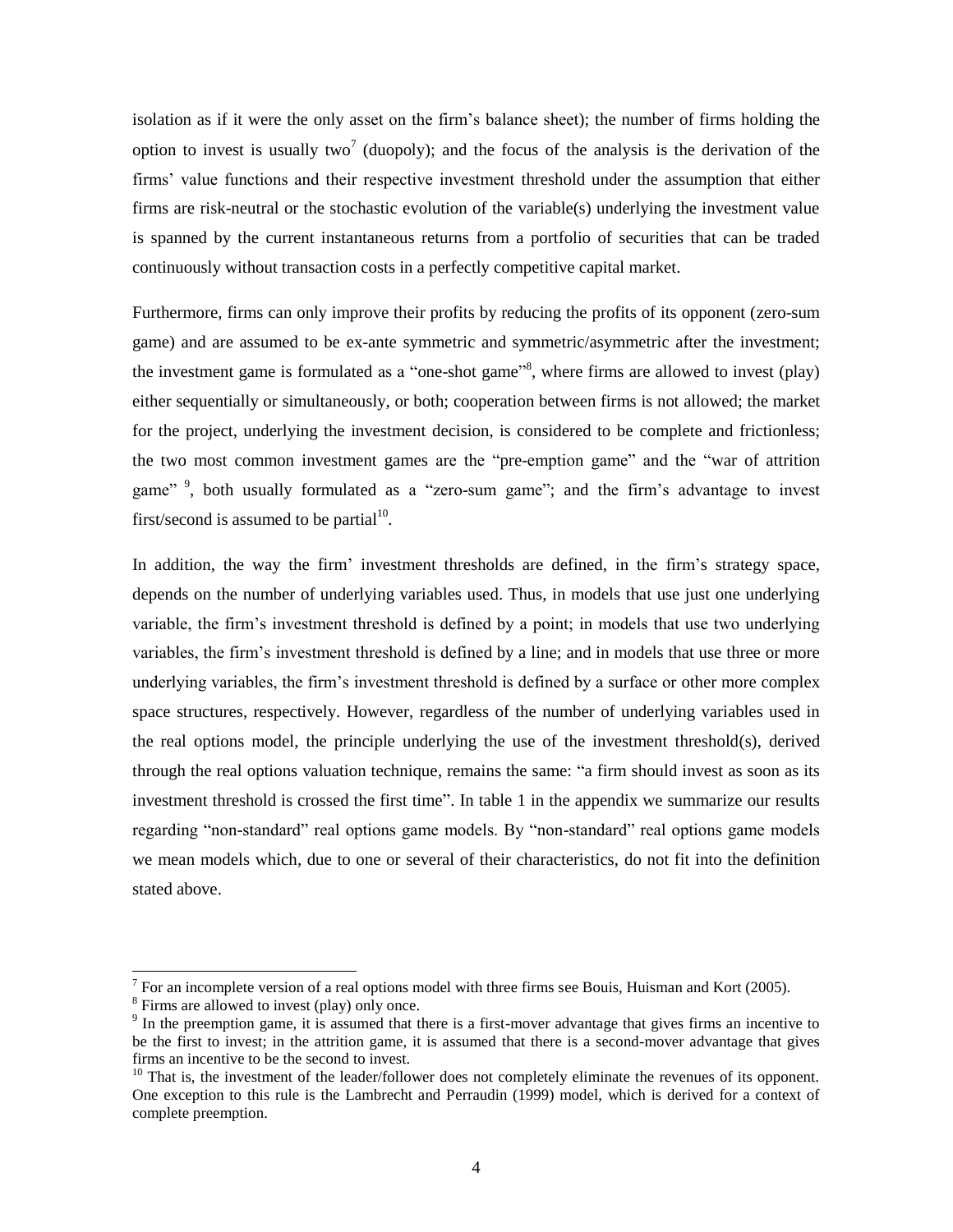isolation as if it were the only asset on the firm's balance sheet); the number of firms holding the option to invest is usually two<sup>7</sup> (duopoly); and the focus of the analysis is the derivation of the firms' value functions and their respective investment threshold under the assumption that either firms are risk-neutral or the stochastic evolution of the variable(s) underlying the investment value is spanned by the current instantaneous returns from a portfolio of securities that can be traded continuously without transaction costs in a perfectly competitive capital market.

Furthermore, firms can only improve their profits by reducing the profits of its opponent (zero-sum game) and are assumed to be ex-ante symmetric and symmetric/asymmetric after the investment; the investment game is formulated as a "one-shot game"<sup>8</sup>, where firms are allowed to invest (play) either sequentially or simultaneously, or both; cooperation between firms is not allowed; the market for the project, underlying the investment decision, is considered to be complete and frictionless; the two most common investment games are the "pre-emption game" and the "war of attrition game"<sup>9</sup>, both usually formulated as a "zero-sum game"; and the firm's advantage to invest first/second is assumed to be partial $1^{10}$ .

In addition, the way the firm' investment thresholds are defined, in the firm's strategy space, depends on the number of underlying variables used. Thus, in models that use just one underlying variable, the firm's investment threshold is defined by a point; in models that use two underlying variables, the firm's investment threshold is defined by a line; and in models that use three or more underlying variables, the firm's investment threshold is defined by a surface or other more complex space structures, respectively. However, regardless of the number of underlying variables used in the real options model, the principle underlying the use of the investment threshold(s), derived through the real options valuation technique, remains the same: "a firm should invest as soon as its investment threshold is crossed the first time". In table 1 in the appendix we summarize our results regarding "non-standard" real options game models. By "non-standard" real options game models we mean models which, due to one or several of their characteristics, do not fit into the definition stated above.

<sup>&</sup>lt;sup>7</sup> For an incomplete version of a real options model with three firms see Bouis, Huisman and Kort (2005).

<sup>&</sup>lt;sup>8</sup> Firms are allowed to invest (play) only once.

<sup>&</sup>lt;sup>9</sup> In the preemption game, it is assumed that there is a first-mover advantage that gives firms an incentive to be the first to invest; in the attrition game, it is assumed that there is a second-mover advantage that gives firms an incentive to be the second to invest.

<sup>&</sup>lt;sup>10</sup> That is, the investment of the leader/follower does not completely eliminate the revenues of its opponent. One exception to this rule is the Lambrecht and Perraudin (1999) model, which is derived for a context of complete preemption.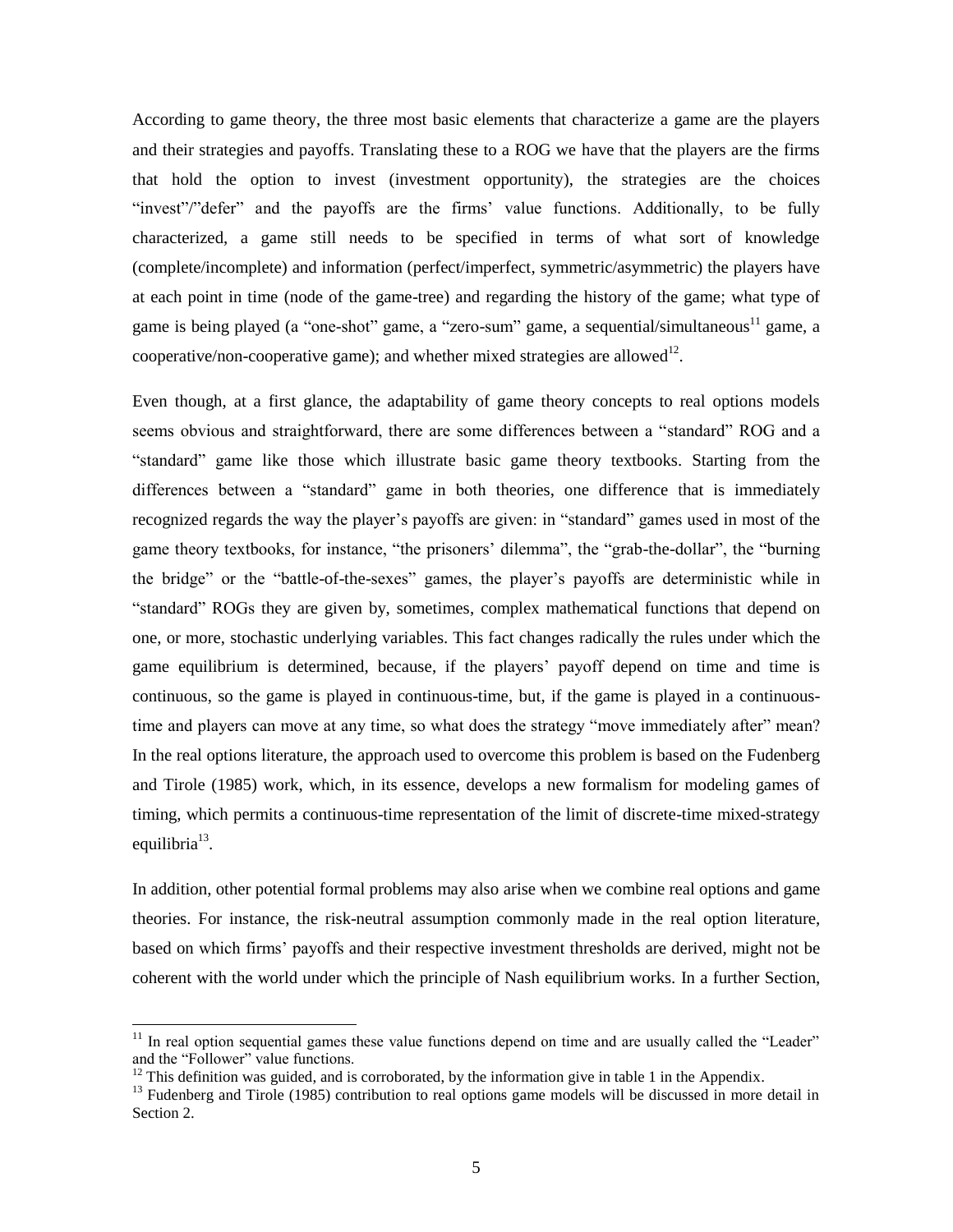According to game theory, the three most basic elements that characterize a game are the players and their strategies and payoffs. Translating these to a ROG we have that the players are the firms that hold the option to invest (investment opportunity), the strategies are the choices "invest"/"defer" and the payoffs are the firms' value functions. Additionally, to be fully characterized, a game still needs to be specified in terms of what sort of knowledge (complete/incomplete) and information (perfect/imperfect, symmetric/asymmetric) the players have at each point in time (node of the game-tree) and regarding the history of the game; what type of game is being played (a "one-shot" game, a "zero-sum" game, a sequential/simultaneous<sup>11</sup> game, a cooperative/non-cooperative game); and whether mixed strategies are allowed<sup>12</sup>.

Even though, at a first glance, the adaptability of game theory concepts to real options models seems obvious and straightforward, there are some differences between a "standard" ROG and a "standard" game like those which illustrate basic game theory textbooks. Starting from the differences between a "standard" game in both theories, one difference that is immediately recognized regards the way the player's payoffs are given: in "standard" games used in most of the game theory textbooks, for instance, "the prisoners' dilemma", the "grab-the-dollar", the "burning the bridge" or the "battle-of-the-sexes" games, the player's payoffs are deterministic while in "standard" ROGs they are given by, sometimes, complex mathematical functions that depend on one, or more, stochastic underlying variables. This fact changes radically the rules under which the game equilibrium is determined, because, if the players' payoff depend on time and time is continuous, so the game is played in continuous-time, but, if the game is played in a continuoustime and players can move at any time, so what does the strategy "move immediately after" mean? In the real options literature, the approach used to overcome this problem is based on the Fudenberg and Tirole (1985) work, which, in its essence, develops a new formalism for modeling games of timing, which permits a continuous-time representation of the limit of discrete-time mixed-strategy equilibria<sup>13</sup>.

In addition, other potential formal problems may also arise when we combine real options and game theories. For instance, the risk-neutral assumption commonly made in the real option literature, based on which firms' payoffs and their respective investment thresholds are derived, might not be coherent with the world under which the principle of Nash equilibrium works. In a further Section,

 $11$  In real option sequential games these value functions depend on time and are usually called the "Leader" and the "Follower" value functions.

 $12$  This definition was guided, and is corroborated, by the information give in table 1 in the Appendix.

 $13$  Fudenberg and Tirole (1985) contribution to real options game models will be discussed in more detail in Section 2.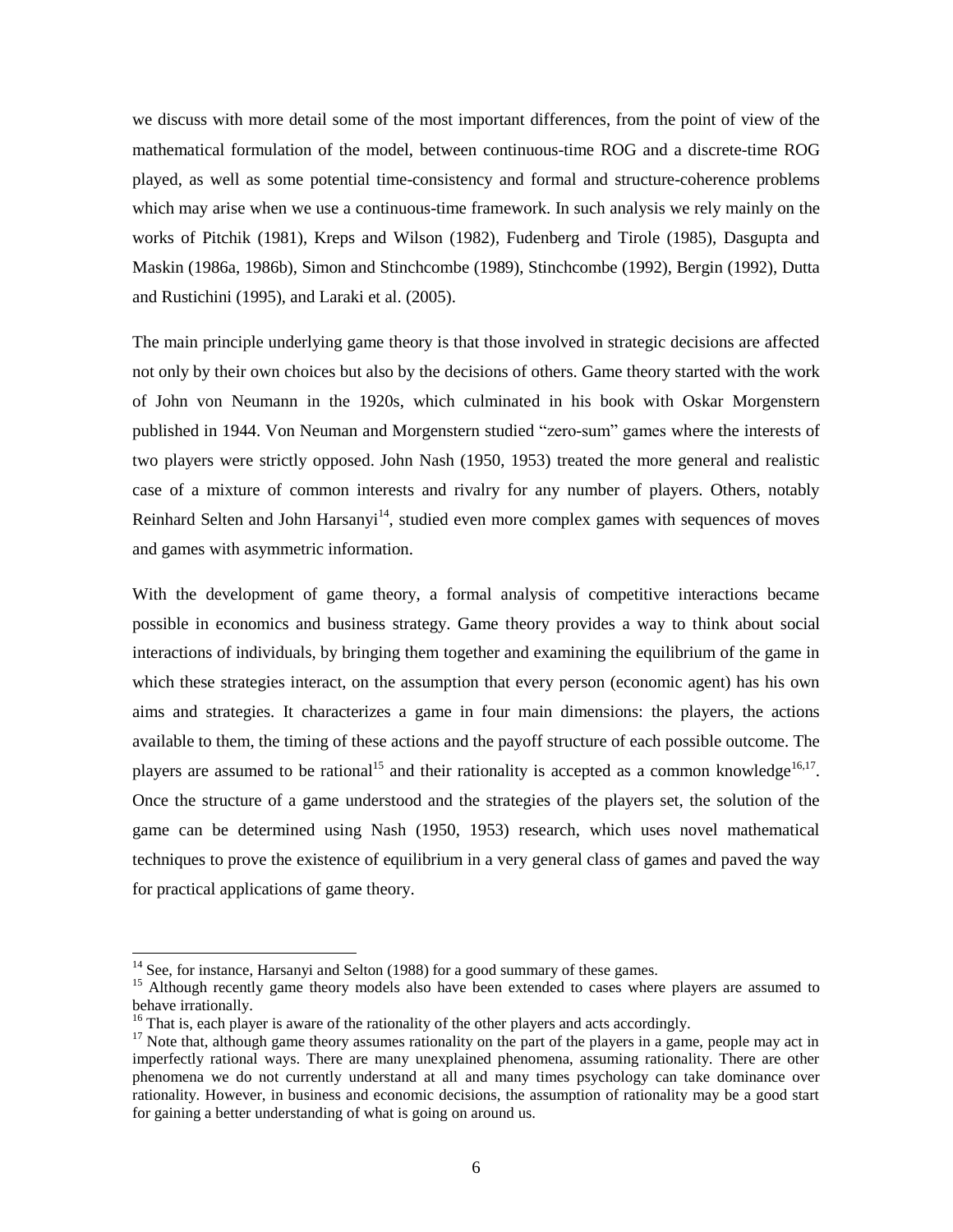we discuss with more detail some of the most important differences, from the point of view of the mathematical formulation of the model, between continuous-time ROG and a discrete-time ROG played, as well as some potential time-consistency and formal and structure-coherence problems which may arise when we use a continuous-time framework. In such analysis we rely mainly on the works of Pitchik (1981), Kreps and Wilson (1982), Fudenberg and Tirole (1985), Dasgupta and Maskin (1986a, 1986b), Simon and Stinchcombe (1989), Stinchcombe (1992), Bergin (1992), Dutta and Rustichini (1995), and Laraki et al. (2005).

The main principle underlying game theory is that those involved in strategic decisions are affected not only by their own choices but also by the decisions of others. Game theory started with the work of John von Neumann in the 1920s, which culminated in his book with Oskar Morgenstern published in 1944. Von Neuman and Morgenstern studied "zero-sum" games where the interests of two players were strictly opposed. John Nash (1950, 1953) treated the more general and realistic case of a mixture of common interests and rivalry for any number of players. Others, notably Reinhard Selten and John Harsanyi<sup>14</sup>, studied even more complex games with sequences of moves and games with asymmetric information.

With the development of game theory, a formal analysis of competitive interactions became possible in economics and business strategy. Game theory provides a way to think about social interactions of individuals, by bringing them together and examining the equilibrium of the game in which these strategies interact, on the assumption that every person (economic agent) has his own aims and strategies. It characterizes a game in four main dimensions: the players, the actions available to them, the timing of these actions and the payoff structure of each possible outcome. The players are assumed to be rational<sup>15</sup> and their rationality is accepted as a common knowledge<sup>16,17</sup>. Once the structure of a game understood and the strategies of the players set, the solution of the game can be determined using Nash (1950, 1953) research, which uses novel mathematical techniques to prove the existence of equilibrium in a very general class of games and paved the way for practical applications of game theory.

<sup>&</sup>lt;sup>14</sup> See, for instance, Harsanyi and Selton (1988) for a good summary of these games.

<sup>&</sup>lt;sup>15</sup> Although recently game theory models also have been extended to cases where players are assumed to behave irrationally.

 $16$  That is, each player is aware of the rationality of the other players and acts accordingly.

 $17$  Note that, although game theory assumes rationality on the part of the players in a game, people may act in imperfectly rational ways. There are many unexplained phenomena, assuming rationality. There are other phenomena we do not currently understand at all and many times psychology can take dominance over rationality. However, in business and economic decisions, the assumption of rationality may be a good start for gaining a better understanding of what is going on around us.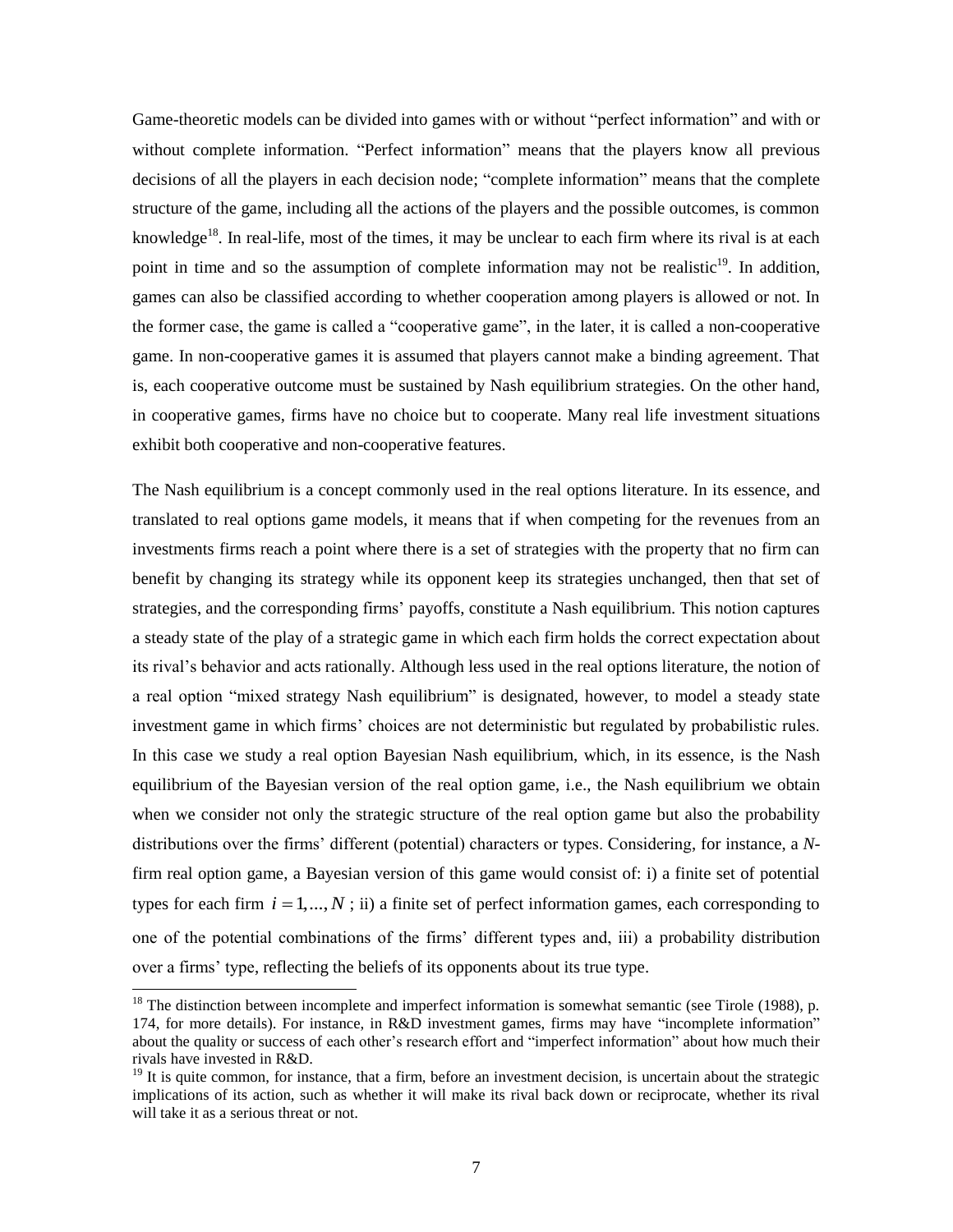Game-theoretic models can be divided into games with or without "perfect information" and with or without complete information. "Perfect information" means that the players know all previous decisions of all the players in each decision node; "complete information" means that the complete structure of the game, including all the actions of the players and the possible outcomes, is common knowledge<sup>18</sup>. In real-life, most of the times, it may be unclear to each firm where its rival is at each point in time and so the assumption of complete information may not be realistic<sup>19</sup>. In addition, games can also be classified according to whether cooperation among players is allowed or not. In the former case, the game is called a "cooperative game", in the later, it is called a non-cooperative game. In non-cooperative games it is assumed that players cannot make a binding agreement. That is, each cooperative outcome must be sustained by Nash equilibrium strategies. On the other hand, in cooperative games, firms have no choice but to cooperate. Many real life investment situations exhibit both cooperative and non-cooperative features.

The Nash equilibrium is a concept commonly used in the real options literature. In its essence, and translated to real options game models, it means that if when competing for the revenues from an investments firms reach a point where there is a set of strategies with the property that no firm can benefit by changing its strategy while its opponent keep its strategies unchanged, then that set of strategies, and the corresponding firms' payoffs, constitute a Nash equilibrium. This notion captures a steady state of the play of a strategic game in which each firm holds the correct expectation about its rival's behavior and acts rationally. Although less used in the real options literature, the notion of a real option "mixed strategy Nash equilibrium" is designated, however, to model a steady state investment game in which firms' choices are not deterministic but regulated by probabilistic rules. In this case we study a real option Bayesian Nash equilibrium, which, in its essence, is the Nash equilibrium of the Bayesian version of the real option game, i.e., the Nash equilibrium we obtain when we consider not only the strategic structure of the real option game but also the probability distributions over the firms' different (potential) characters or types. Considering, for instance, a *N*firm real option game, a Bayesian version of this game would consist of: i) a finite set of potential types for each firm  $i = 1, ..., N$ ; ii) a finite set of perfect information games, each corresponding to one of the potential combinations of the firms' different types and, iii) a probability distribution over a firms' type, reflecting the beliefs of its opponents about its true type.

 $18$  The distinction between incomplete and imperfect information is somewhat semantic (see Tirole (1988), p. 174, for more details). For instance, in R&D investment games, firms may have "incomplete information" about the quality or success of each other's research effort and "imperfect information" about how much their rivals have invested in R&D.

 $19$  It is quite common, for instance, that a firm, before an investment decision, is uncertain about the strategic implications of its action, such as whether it will make its rival back down or reciprocate, whether its rival will take it as a serious threat or not.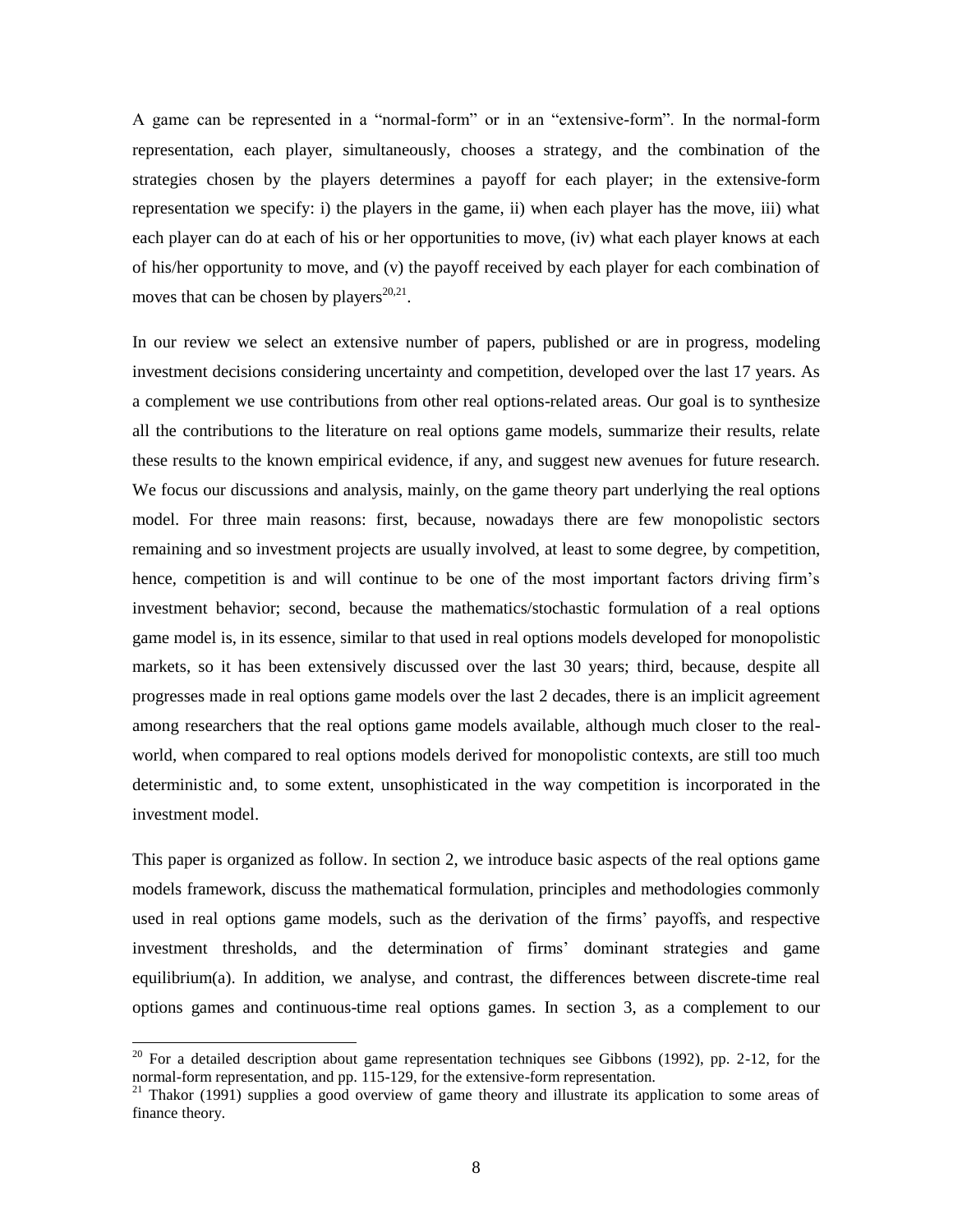A game can be represented in a "normal-form" or in an "extensive-form". In the normal-form representation, each player, simultaneously, chooses a strategy, and the combination of the strategies chosen by the players determines a payoff for each player; in the extensive-form representation we specify: i) the players in the game, ii) when each player has the move, iii) what each player can do at each of his or her opportunities to move, (iv) what each player knows at each of his/her opportunity to move, and (v) the payoff received by each player for each combination of moves that can be chosen by players<sup>20,21</sup>.

In our review we select an extensive number of papers, published or are in progress, modeling investment decisions considering uncertainty and competition, developed over the last 17 years. As a complement we use contributions from other real options-related areas. Our goal is to synthesize all the contributions to the literature on real options game models, summarize their results, relate these results to the known empirical evidence, if any, and suggest new avenues for future research. We focus our discussions and analysis, mainly, on the game theory part underlying the real options model. For three main reasons: first, because, nowadays there are few monopolistic sectors remaining and so investment projects are usually involved, at least to some degree, by competition, hence, competition is and will continue to be one of the most important factors driving firm's investment behavior; second, because the mathematics/stochastic formulation of a real options game model is, in its essence, similar to that used in real options models developed for monopolistic markets, so it has been extensively discussed over the last 30 years; third, because, despite all progresses made in real options game models over the last 2 decades, there is an implicit agreement among researchers that the real options game models available, although much closer to the realworld, when compared to real options models derived for monopolistic contexts, are still too much deterministic and, to some extent, unsophisticated in the way competition is incorporated in the investment model.

This paper is organized as follow. In section 2, we introduce basic aspects of the real options game models framework, discuss the mathematical formulation, principles and methodologies commonly used in real options game models, such as the derivation of the firms' payoffs, and respective investment thresholds, and the determination of firms' dominant strategies and game equilibrium(a). In addition, we analyse, and contrast, the differences between discrete-time real options games and continuous-time real options games. In section 3, as a complement to our

 $20$  For a detailed description about game representation techniques see Gibbons (1992), pp. 2-12, for the normal-form representation, and pp. 115-129, for the extensive-form representation.

 $21$  Thakor (1991) supplies a good overview of game theory and illustrate its application to some areas of finance theory.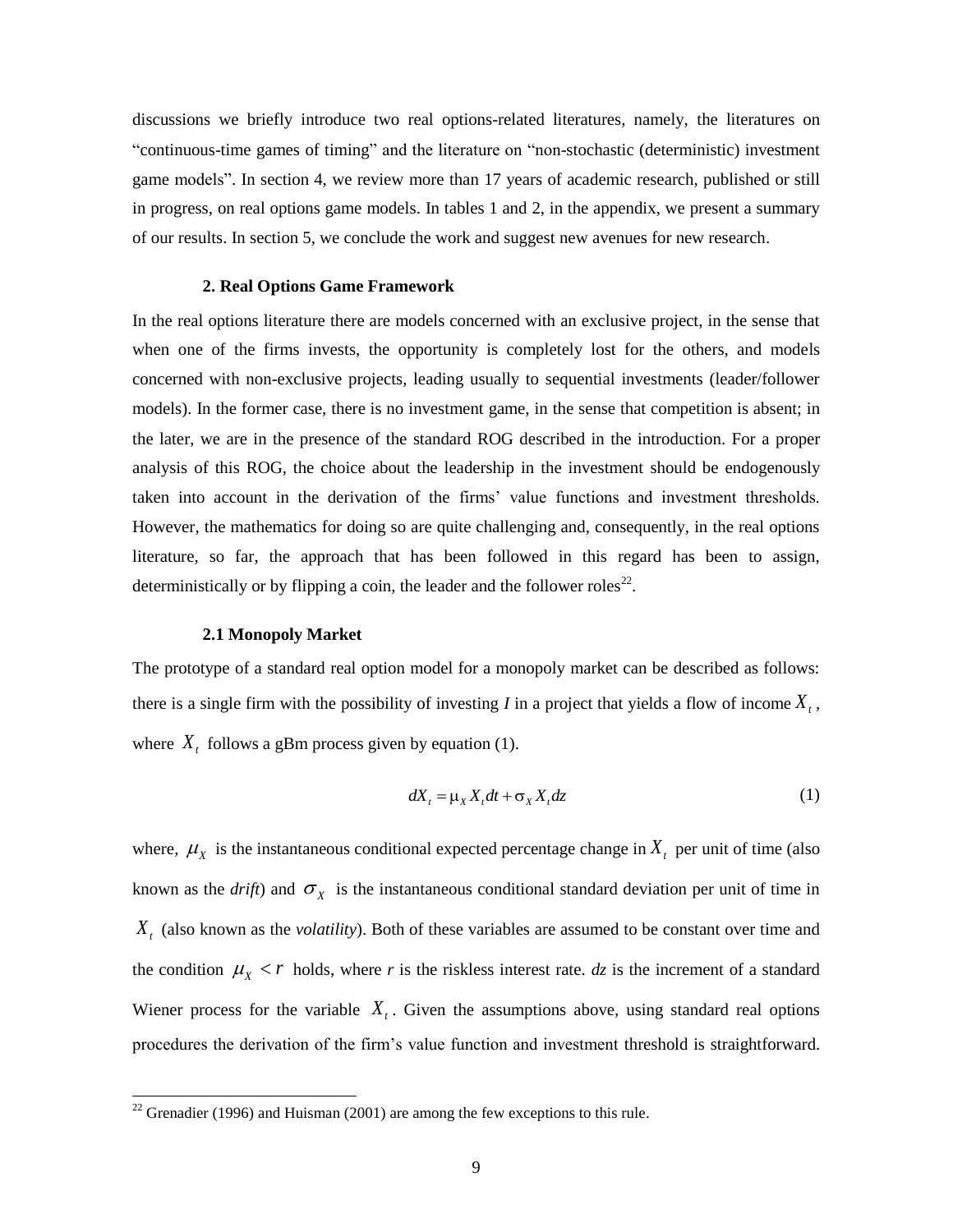discussions we briefly introduce two real options-related literatures, namely, the literatures on "continuous-time games of timing" and the literature on "non-stochastic (deterministic) investment game models". In section 4, we review more than 17 years of academic research, published or still in progress, on real options game models. In tables 1 and 2, in the appendix, we present a summary of our results. In section 5, we conclude the work and suggest new avenues for new research.

#### **2. Real Options Game Framework**

In the real options literature there are models concerned with an exclusive project, in the sense that when one of the firms invests, the opportunity is completely lost for the others, and models concerned with non-exclusive projects, leading usually to sequential investments (leader/follower models). In the former case, there is no investment game, in the sense that competition is absent; in the later, we are in the presence of the standard ROG described in the introduction. For a proper analysis of this ROG, the choice about the leadership in the investment should be endogenously taken into account in the derivation of the firms' value functions and investment thresholds. However, the mathematics for doing so are quite challenging and, consequently, in the real options literature, so far, the approach that has been followed in this regard has been to assign, deterministically or by flipping a coin, the leader and the follower roles<sup>22</sup>.

## **2.1 Monopoly Market**

 $\overline{a}$ 

The prototype of a standard real option model for a monopoly market can be described as follows: there is a single firm with the possibility of investing *I* in a project that yields a flow of income  $X_t$ , where  $X_t$  follows a gBm process given by equation (1).

$$
dX_t = \mu_X X_t dt + \sigma_X X_t dz \tag{1}
$$

where,  $\mu_X$  is the instantaneous conditional expected percentage change in  $X_t$  per unit of time (also known as the *drift*) and  $\sigma_X$  is the instantaneous conditional standard deviation per unit of time in *Xt* (also known as the *volatility*). Both of these variables are assumed to be constant over time and the condition  $\mu_X < r$  holds, where *r* is the riskless interest rate. *dz* is the increment of a standard Wiener process for the variable  $X<sub>t</sub>$ . Given the assumptions above, using standard real options procedures the derivation of the firm's value function and investment threshold is straightforward.

<sup>&</sup>lt;sup>22</sup> Grenadier (1996) and Huisman (2001) are among the few exceptions to this rule.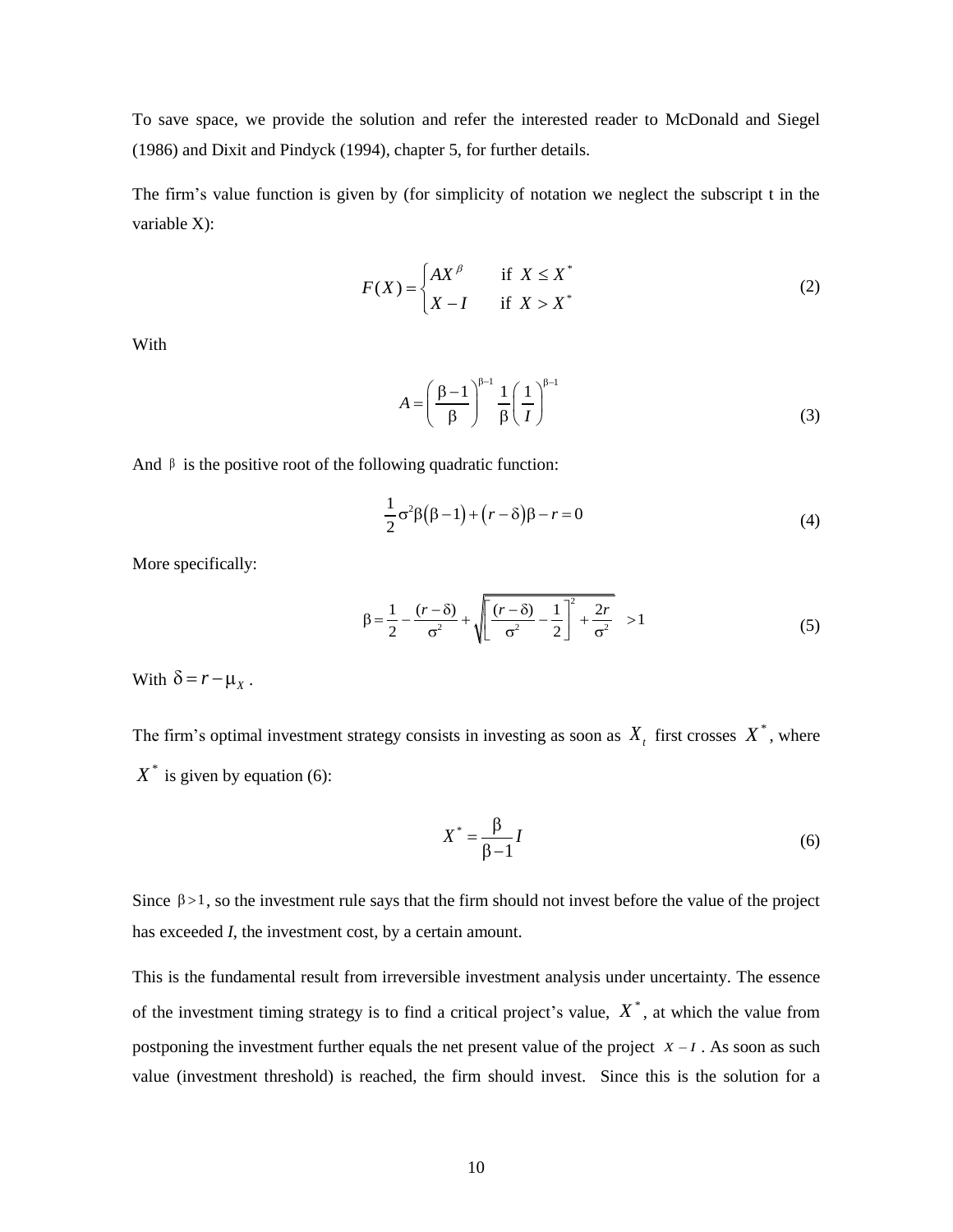To save space, we provide the solution and refer the interested reader to McDonald and Siegel (1986) and Dixit and Pindyck (1994), chapter 5, for further details.

The firm's value function is given by (for simplicity of notation we neglect the subscript t in the variable X):

$$
F(X) = \begin{cases} AX^{\beta} & \text{if } X \le X^* \\ X - I & \text{if } X > X^* \end{cases}
$$
 (2)

With

$$
A = \left(\frac{\beta - 1}{\beta}\right)^{\beta - 1} \frac{1}{\beta} \left(\frac{1}{I}\right)^{\beta - 1}
$$
 (3)

And  $\beta$  is the positive root of the following quadratic function:

$$
\frac{1}{2}\sigma^2\beta(\beta-1)+(r-\delta)\beta-r=0
$$
\n(4)

More specifically:

$$
\beta = \frac{1}{2} - \frac{(r - \delta)}{\sigma^2} + \sqrt{\left[\frac{(r - \delta)}{\sigma^2} - \frac{1}{2}\right]^2 + \frac{2r}{\sigma^2}} > 1
$$
\n(5)

With  $\delta = r - \mu_X$ .

The firm's optimal investment strategy consists in investing as soon as  $X_t$  first crosses  $X^*$ , where  $X^*$  is given by equation (6):

$$
X^* = \frac{\beta}{\beta - 1} I \tag{6}
$$

Since  $\beta > 1$ , so the investment rule says that the firm should not invest before the value of the project has exceeded *I*, the investment cost, by a certain amount.

This is the fundamental result from irreversible investment analysis under uncertainty. The essence of the investment timing strategy is to find a critical project's value,  $X^*$ , at which the value from postponing the investment further equals the net present value of the project  $X - I$ . As soon as such value (investment threshold) is reached, the firm should invest. Since this is the solution for a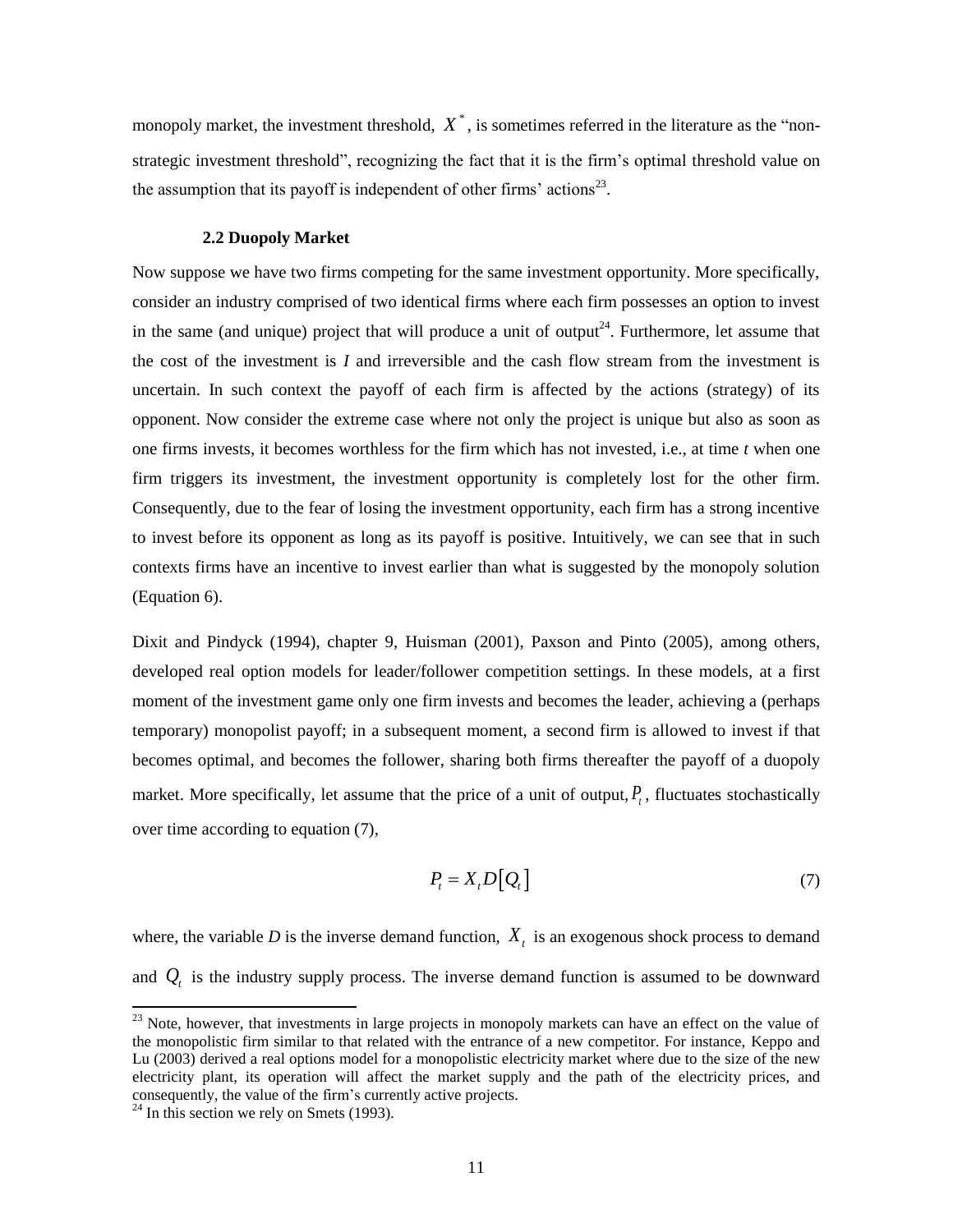monopoly market, the investment threshold,  $X^*$ , is sometimes referred in the literature as the "nonstrategic investment threshold", recognizing the fact that it is the firm's optimal threshold value on the assumption that its payoff is independent of other firms' actions<sup>23</sup>.

#### **2.2 Duopoly Market**

Now suppose we have two firms competing for the same investment opportunity. More specifically, consider an industry comprised of two identical firms where each firm possesses an option to invest in the same (and unique) project that will produce a unit of output<sup>24</sup>. Furthermore, let assume that the cost of the investment is *I* and irreversible and the cash flow stream from the investment is uncertain. In such context the payoff of each firm is affected by the actions (strategy) of its opponent. Now consider the extreme case where not only the project is unique but also as soon as one firms invests, it becomes worthless for the firm which has not invested, i.e., at time *t* when one firm triggers its investment, the investment opportunity is completely lost for the other firm. Consequently, due to the fear of losing the investment opportunity, each firm has a strong incentive to invest before its opponent as long as its payoff is positive. Intuitively, we can see that in such contexts firms have an incentive to invest earlier than what is suggested by the monopoly solution (Equation 6).

Dixit and Pindyck (1994), chapter 9, Huisman (2001), Paxson and Pinto (2005), among others, developed real option models for leader/follower competition settings. In these models, at a first moment of the investment game only one firm invests and becomes the leader, achieving a (perhaps temporary) monopolist payoff; in a subsequent moment, a second firm is allowed to invest if that becomes optimal, and becomes the follower, sharing both firms thereafter the payoff of a duopoly market. More specifically, let assume that the price of a unit of output,  $P<sub>t</sub>$ , fluctuates stochastically over time according to equation (7),

$$
P_t = X_t D[Q_t] \tag{7}
$$

where, the variable  $D$  is the inverse demand function,  $X_t$  is an exogenous shock process to demand and  $Q_t$  is the industry supply process. The inverse demand function is assumed to be downward

<sup>&</sup>lt;sup>23</sup> Note, however, that investments in large projects in monopoly markets can have an effect on the value of the monopolistic firm similar to that related with the entrance of a new competitor. For instance, Keppo and Lu (2003) derived a real options model for a monopolistic electricity market where due to the size of the new electricity plant, its operation will affect the market supply and the path of the electricity prices, and consequently, the value of the firm's currently active projects.

 $24$  In this section we rely on Smets (1993).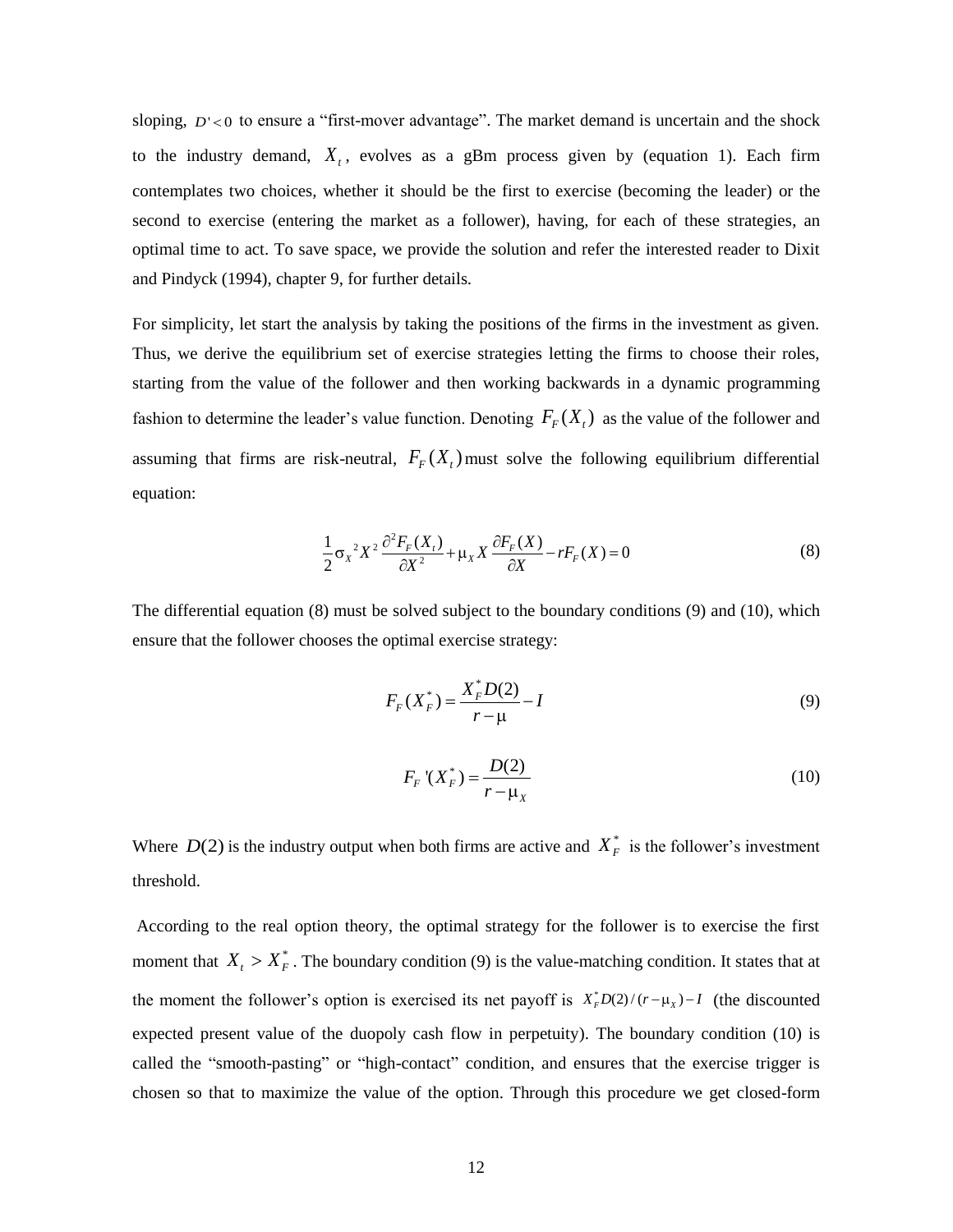sloping,  $D' < 0$  to ensure a "first-mover advantage". The market demand is uncertain and the shock to the industry demand,  $X_t$ , evolves as a gBm process given by (equation 1). Each firm contemplates two choices, whether it should be the first to exercise (becoming the leader) or the second to exercise (entering the market as a follower), having, for each of these strategies, an optimal time to act. To save space, we provide the solution and refer the interested reader to Dixit and Pindyck (1994), chapter 9, for further details.

For simplicity, let start the analysis by taking the positions of the firms in the investment as given. Thus, we derive the equilibrium set of exercise strategies letting the firms to choose their roles, starting from the value of the follower and then working backwards in a dynamic programming fashion to determine the leader's value function. Denoting  $F_F(X_t)$  as the value of the follower and assuming that firms are risk-neutral,  $F_F(X_t)$  must solve the following equilibrium differential equation:

$$
\frac{1}{2}\sigma_X^2 X^2 \frac{\partial^2 F_F(X_t)}{\partial X^2} + \mu_X X \frac{\partial F_F(X)}{\partial X} - rF_F(X) = 0
$$
\n(8)

The differential equation (8) must be solved subject to the boundary conditions (9) and (10), which ensure that the follower chooses the optimal exercise strategy:

$$
F_F(X_F^*) = \frac{X_F^* D(2)}{r - \mu} - I
$$
\n(9)

$$
F_F(X_F^*) = \frac{D(2)}{r - \mu_X} \tag{10}
$$

Where  $D(2)$  is the industry output when both firms are active and  $X_F^*$  is the follower's investment threshold.

According to the real option theory, the optimal strategy for the follower is to exercise the first moment that  $X_t > X_F^*$ . The boundary condition (9) is the value-matching condition. It states that at the moment the follower's option is exercised its net payoff is  $X_F^*D(2)/(r-\mu_X)-I$  (the discounted expected present value of the duopoly cash flow in perpetuity). The boundary condition (10) is called the "smooth-pasting" or "high-contact" condition, and ensures that the exercise trigger is chosen so that to maximize the value of the option. Through this procedure we get closed-form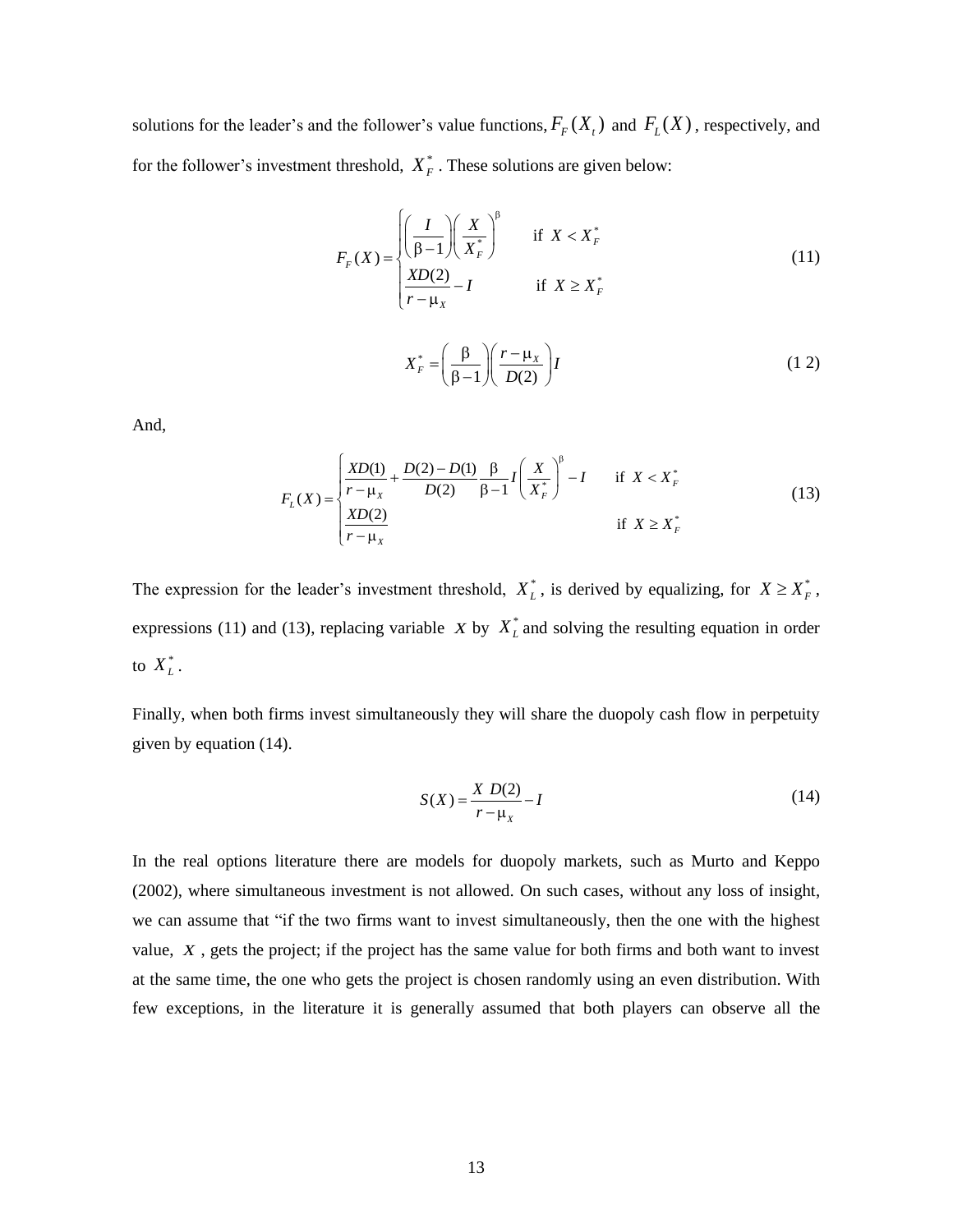solutions for the leader's and the follower's value functions,  $F_F(X_t)$  and  $F_L(X)$ , respectively, and for the follower's investment threshold,  $X_F^*$ . These solutions are given below:

$$
F_F(X) = \begin{cases} \left(\frac{I}{\beta - 1}\right) \left(\frac{X}{X_F^*}\right)^\beta & \text{if } X < X_F^*\\ \frac{X D(2)}{r - \mu_X} - I & \text{if } X \ge X_F^* \end{cases} \tag{11}
$$

$$
X_F^* = \left(\frac{\beta}{\beta - 1}\right) \left(\frac{r - \mu_X}{D(2)}\right) I
$$
 (12)

And,

$$
F_L(X) = \begin{cases} \frac{XD(1)}{r - \mu_X} + \frac{D(2) - D(1)}{D(2)} \frac{\beta}{\beta - 1} I \left( \frac{X}{X_F^*} \right)^{\beta} - I & \text{if } X < X_F^*\\ \frac{XD(2)}{r - \mu_X} & \text{if } X \ge X_F^* \end{cases} \tag{13}
$$

The expression for the leader's investment threshold,  $X_L^*$ , is derived by equalizing, for  $X \ge X_F^*$ , expressions (11) and (13), replacing variable  $X$  by  $X_L^*$  and solving the resulting equation in order to  $X_L^*$  .

Finally, when both firms invest simultaneously they will share the duopoly cash flow in perpetuity given by equation (14).

$$
S(X) = \frac{X D(2)}{r - \mu_X} - I
$$
\n(14)

In the real options literature there are models for duopoly markets, such as Murto and Keppo (2002), where simultaneous investment is not allowed. On such cases, without any loss of insight, we can assume that "if the two firms want to invest simultaneously, then the one with the highest value, *X* , gets the project; if the project has the same value for both firms and both want to invest at the same time, the one who gets the project is chosen randomly using an even distribution. With few exceptions, in the literature it is generally assumed that both players can observe all the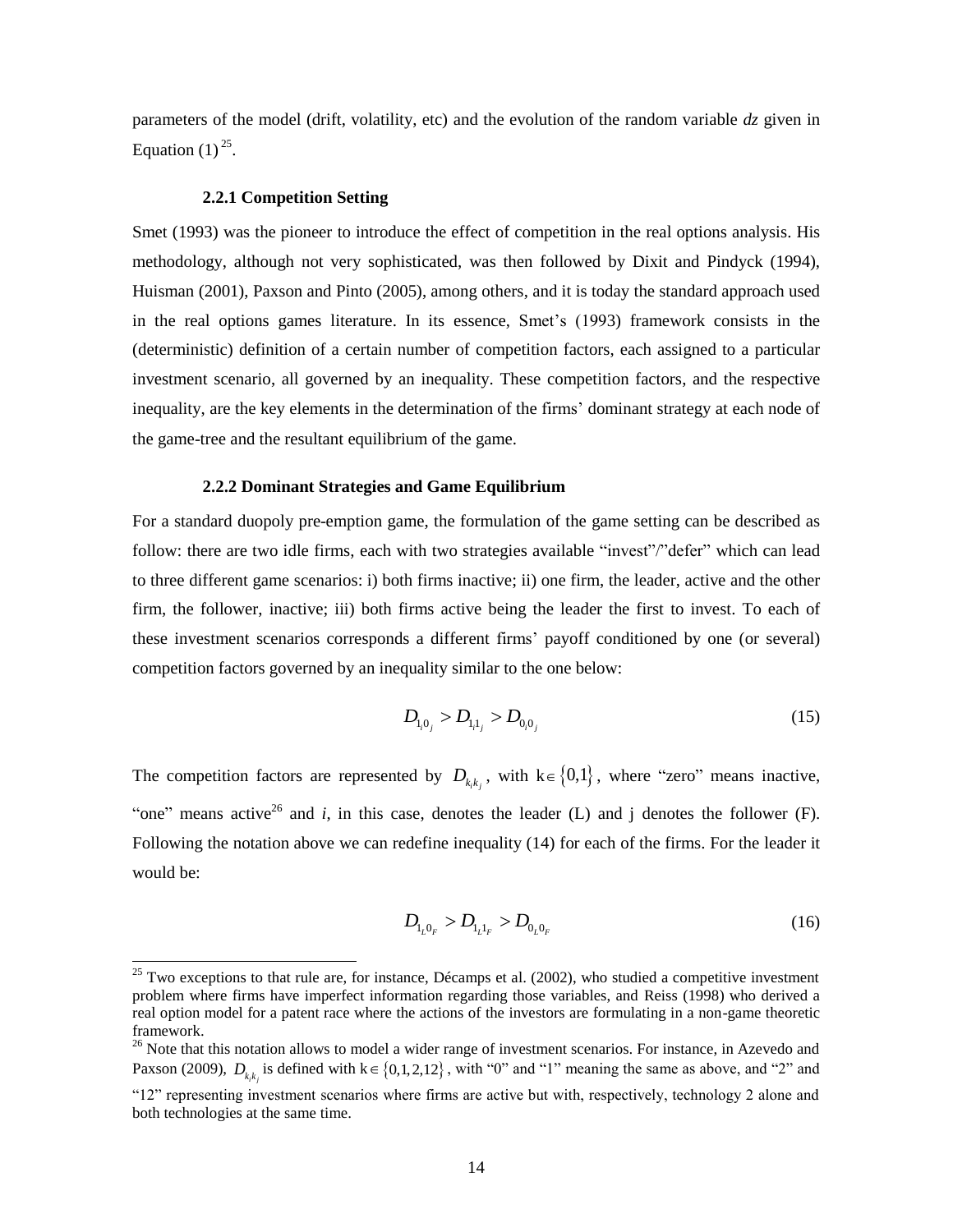parameters of the model (drift, volatility, etc) and the evolution of the random variable *dz* given in Equation  $(1)^{25}$ .

## **2.2.1 Competition Setting**

 $\overline{a}$ 

Smet (1993) was the pioneer to introduce the effect of competition in the real options analysis. His methodology, although not very sophisticated, was then followed by Dixit and Pindyck (1994), Huisman (2001), Paxson and Pinto (2005), among others, and it is today the standard approach used in the real options games literature. In its essence, Smet's (1993) framework consists in the (deterministic) definition of a certain number of competition factors, each assigned to a particular investment scenario, all governed by an inequality. These competition factors, and the respective inequality, are the key elements in the determination of the firms' dominant strategy at each node of the game-tree and the resultant equilibrium of the game.

## **2.2.2 Dominant Strategies and Game Equilibrium**

For a standard duopoly pre-emption game, the formulation of the game setting can be described as follow: there are two idle firms, each with two strategies available "invest"/"defer" which can lead to three different game scenarios: i) both firms inactive; ii) one firm, the leader, active and the other firm, the follower, inactive; iii) both firms active being the leader the first to invest. To each of these investment scenarios corresponds a different firms' payoff conditioned by one (or several) competition factors governed by an inequality similar to the one below:

$$
D_{\mathbf{l},\mathbf{0}_j} > D_{\mathbf{l},\mathbf{l}_j} > D_{\mathbf{0},\mathbf{0}_j} \tag{15}
$$

The competition factors are represented by  $D_{k,k}$ , with  $k \in \{0,1\}$ , where "zero" means inactive, "one" means active<sup>26</sup> and *i*, in this case, denotes the leader (L) and j denotes the follower (F). Following the notation above we can redefine inequality (14) for each of the firms. For the leader it would be:

$$
D_{l_L 0_F} > D_{l_L 1_F} > D_{0_L 0_F}
$$
\n(16)

 $25$  Two exceptions to that rule are, for instance, Décamps et al. (2002), who studied a competitive investment problem where firms have imperfect information regarding those variables, and Reiss (1998) who derived a real option model for a patent race where the actions of the investors are formulating in a non-game theoretic framework.

<sup>&</sup>lt;sup>26</sup> Note that this notation allows to model a wider range of investment scenarios. For instance, in Azevedo and Paxson (2009),  $D_{k,k}$  is defined with  $k \in \{0,1,2,12\}$ , with "0" and "1" meaning the same as above, and "2" and

<sup>&</sup>quot;12" representing investment scenarios where firms are active but with, respectively, technology 2 alone and both technologies at the same time.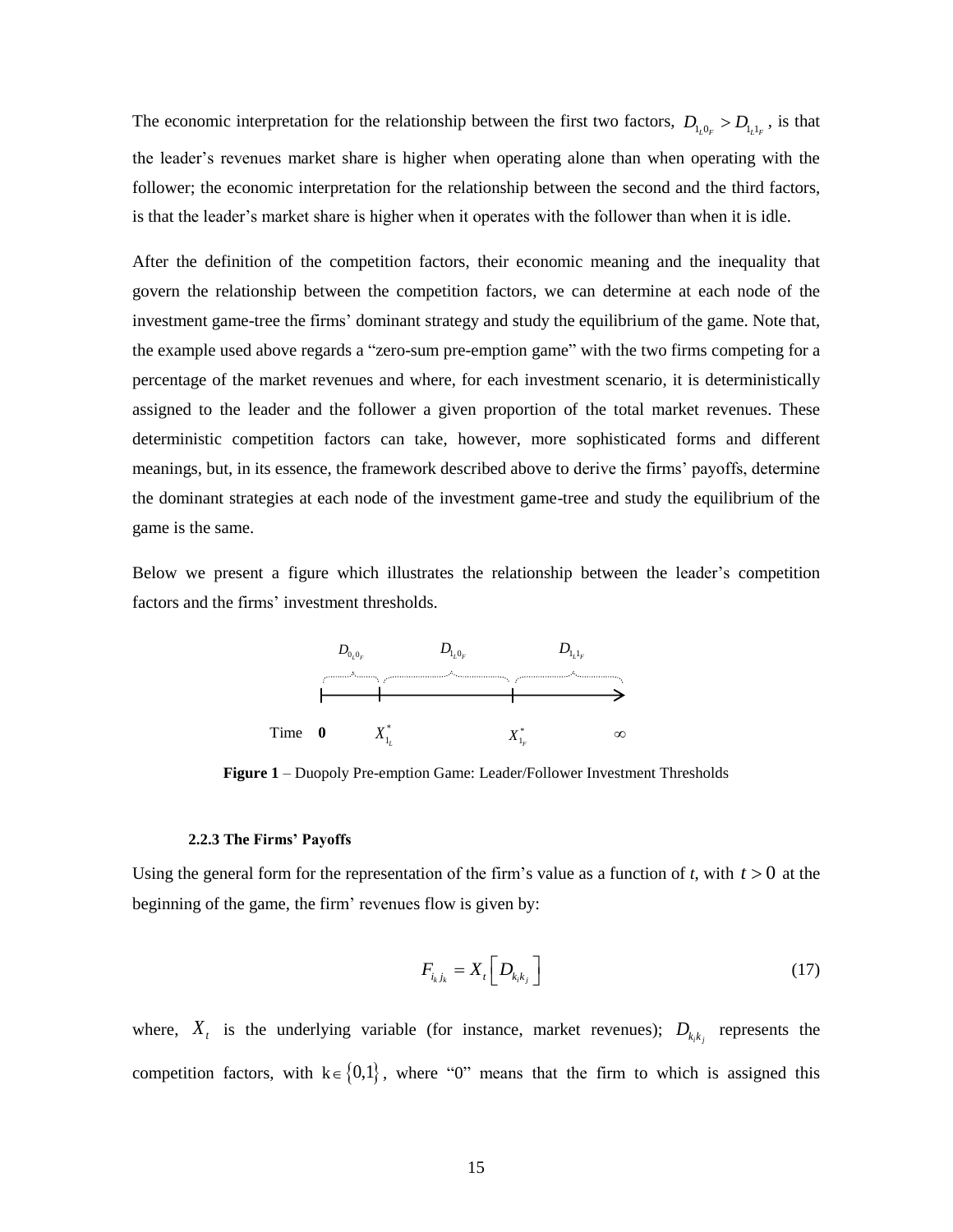The economic interpretation for the relationship between the first two factors,  $D_{l_1, l_1} > D_{l_1, l_1}$ , is that the leader's revenues market share is higher when operating alone than when operating with the follower; the economic interpretation for the relationship between the second and the third factors, is that the leader's market share is higher when it operates with the follower than when it is idle.

After the definition of the competition factors, their economic meaning and the inequality that govern the relationship between the competition factors, we can determine at each node of the investment game-tree the firms' dominant strategy and study the equilibrium of the game. Note that, the example used above regards a "zero-sum pre-emption game" with the two firms competing for a percentage of the market revenues and where, for each investment scenario, it is deterministically assigned to the leader and the follower a given proportion of the total market revenues. These deterministic competition factors can take, however, more sophisticated forms and different meanings, but, in its essence, the framework described above to derive the firms' payoffs, determine the dominant strategies at each node of the investment game-tree and study the equilibrium of the game is the same.

Below we present a figure which illustrates the relationship between the leader's competition factors and the firms' investment thresholds.



**Figure 1** – Duopoly Pre-emption Game: Leader/Follower Investment Thresholds

#### **2.2.3 The Firms' Payoffs**

Using the general form for the representation of the firm's value as a function of *t*, with  $t > 0$  at the beginning of the game, the firm' revenues flow is given by:

$$
F_{i_k j_k} = X_t \left[ D_{k_i k_j} \right] \tag{17}
$$

where,  $X_t$  is the underlying variable (for instance, market revenues);  $D_{k_k k_j}$  represents the competition factors, with  $k \in \{0,1\}$ , where "0" means that the firm to which is assigned this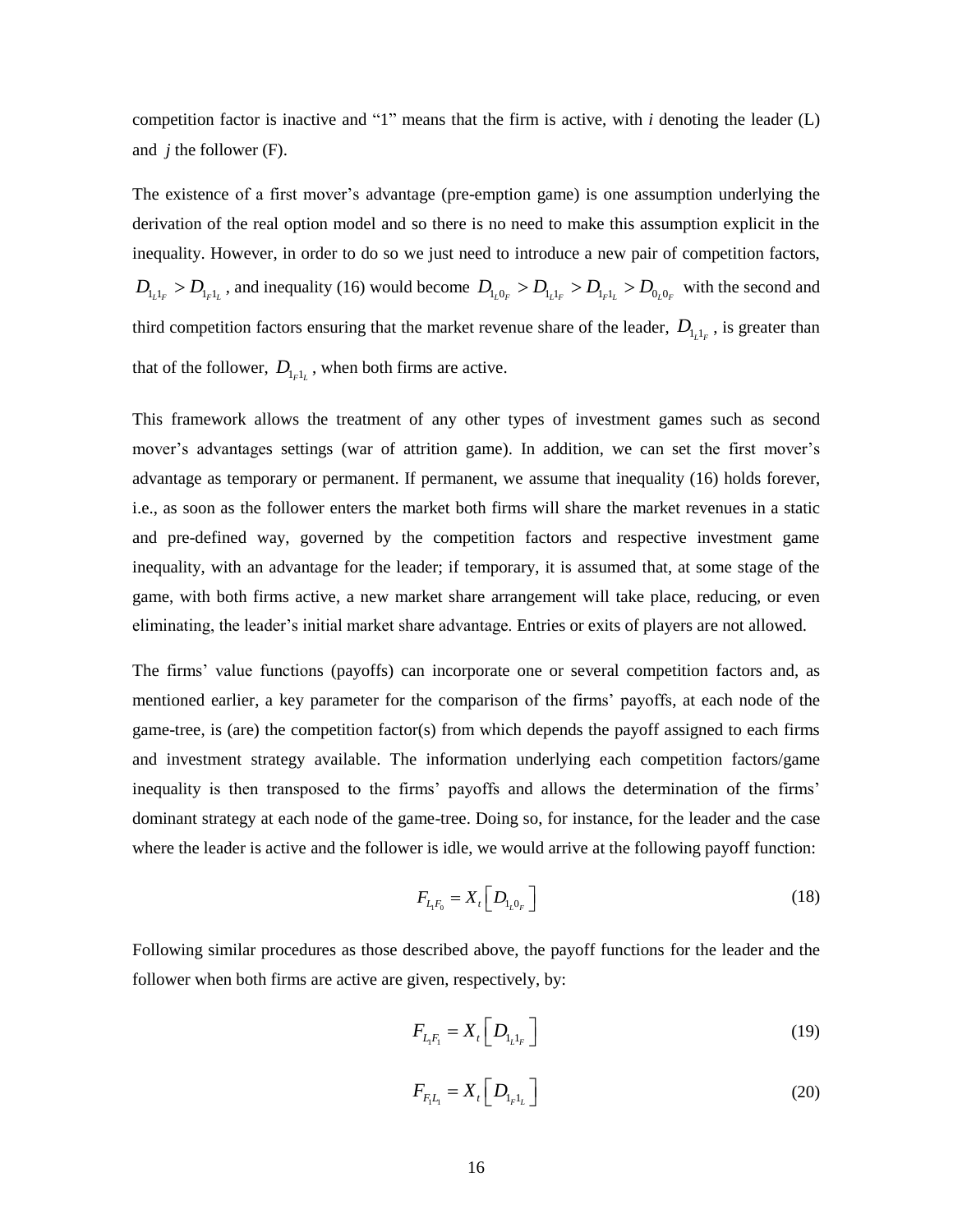competition factor is inactive and "1" means that the firm is active, with *i* denoting the leader (L) and *j* the follower (F).

The existence of a first mover's advantage (pre-emption game) is one assumption underlying the derivation of the real option model and so there is no need to make this assumption explicit in the inequality. However, in order to do so we just need to introduce a new pair of competition factors,  $D_{l_l l_r} > D_{l_r l_l}$ , and inequality (16) would become  $D_{l_l 0_r} > D_{l_l l_r} > D_{l_r l_l} > D_{0_l 0_r}$  with the second and third competition factors ensuring that the market revenue share of the leader,  $D_{l_l l_r}$ , is greater than that of the follower,  $D_{l_{F}l_{L}}$ , when both firms are active.

This framework allows the treatment of any other types of investment games such as second mover's advantages settings (war of attrition game). In addition, we can set the first mover's advantage as temporary or permanent. If permanent, we assume that inequality (16) holds forever, i.e., as soon as the follower enters the market both firms will share the market revenues in a static and pre-defined way, governed by the competition factors and respective investment game inequality, with an advantage for the leader; if temporary, it is assumed that, at some stage of the game, with both firms active, a new market share arrangement will take place, reducing, or even eliminating, the leader's initial market share advantage. Entries or exits of players are not allowed.

The firms' value functions (payoffs) can incorporate one or several competition factors and, as mentioned earlier, a key parameter for the comparison of the firms' payoffs, at each node of the game-tree, is (are) the competition factor(s) from which depends the payoff assigned to each firms and investment strategy available. The information underlying each competition factors/game inequality is then transposed to the firms' payoffs and allows the determination of the firms' dominant strategy at each node of the game-tree. Doing so, for instance, for the leader and the case where the leader is active and the follower is idle, we would arrive at the following payoff function:

$$
F_{L_1F_0} = X_t \left[ D_{l_10_F} \right] \tag{18}
$$

Following similar procedures as those described above, the payoff functions for the leader and the follower when both firms are active are given, respectively, by:

$$
F_{L_i F_1} = X_t \left[ D_{L_i L_F} \right] \tag{19}
$$

$$
F_{F_1L_1} = X_t \left[ D_{1_{F}1_L} \right] \tag{20}
$$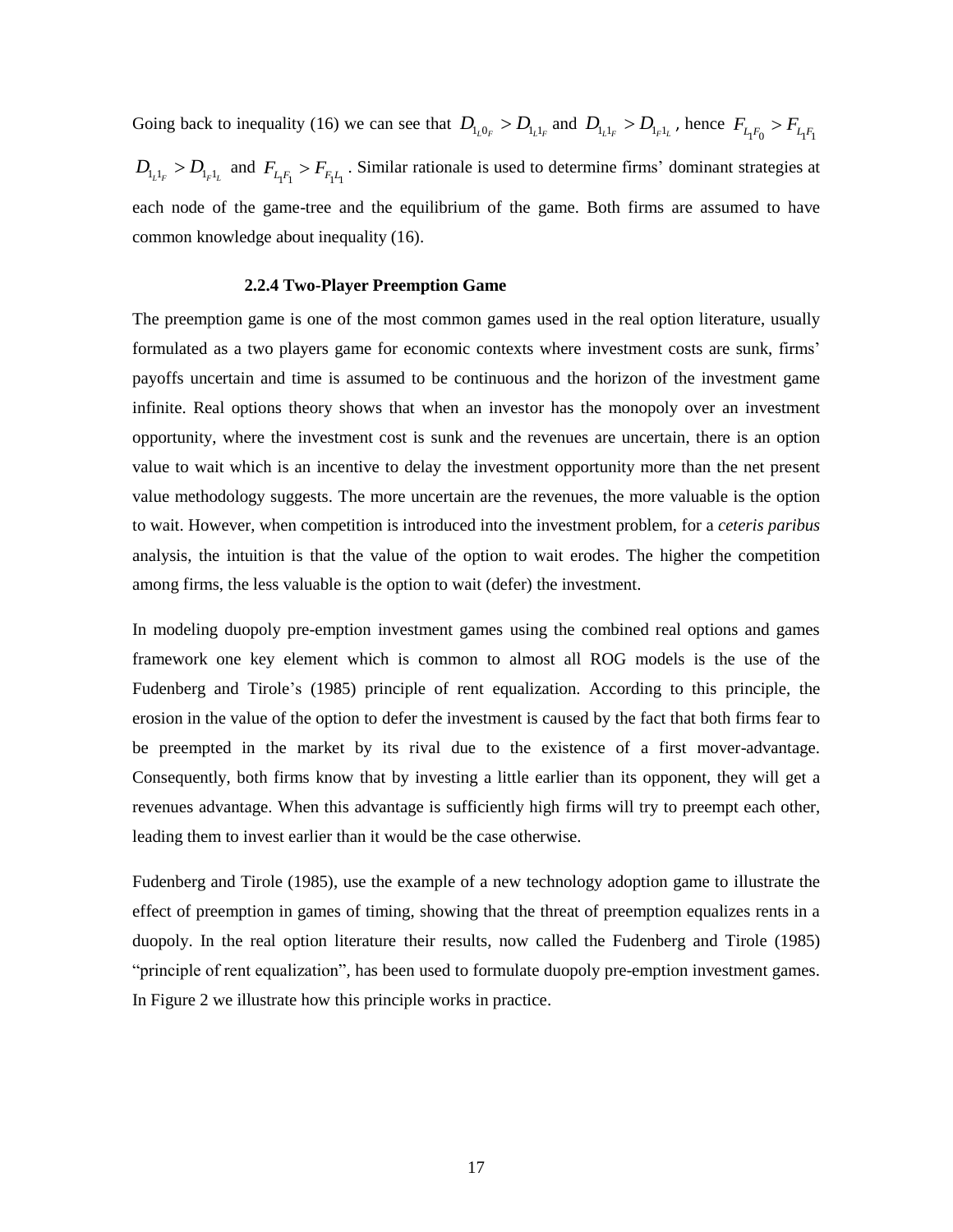Going back to inequality (16) we can see that  $D_{l_1 l_1} > D_{l_1 l_r}$  and  $D_{l_1 l_r} > D_{l_r l_r}$ , hence  $F_{l_1 l_0} > F_{l_1 l_1}$  $D_{l_l l_r} > D_{l_r l_l}$  and  $F_{l_l l_l} > F_{l_l l_1}$ . Similar rationale is used to determine firms' dominant strategies at each node of the game-tree and the equilibrium of the game. Both firms are assumed to have common knowledge about inequality (16).

## **2.2.4 Two-Player Preemption Game**

The preemption game is one of the most common games used in the real option literature, usually formulated as a two players game for economic contexts where investment costs are sunk, firms' payoffs uncertain and time is assumed to be continuous and the horizon of the investment game infinite. Real options theory shows that when an investor has the monopoly over an investment opportunity, where the investment cost is sunk and the revenues are uncertain, there is an option value to wait which is an incentive to delay the investment opportunity more than the net present value methodology suggests. The more uncertain are the revenues, the more valuable is the option to wait. However, when competition is introduced into the investment problem, for a *ceteris paribus* analysis, the intuition is that the value of the option to wait erodes. The higher the competition among firms, the less valuable is the option to wait (defer) the investment.

In modeling duopoly pre-emption investment games using the combined real options and games framework one key element which is common to almost all ROG models is the use of the Fudenberg and Tirole's (1985) principle of rent equalization. According to this principle, the erosion in the value of the option to defer the investment is caused by the fact that both firms fear to be preempted in the market by its rival due to the existence of a first mover-advantage. Consequently, both firms know that by investing a little earlier than its opponent, they will get a revenues advantage. When this advantage is sufficiently high firms will try to preempt each other, leading them to invest earlier than it would be the case otherwise.

Fudenberg and Tirole (1985), use the example of a new technology adoption game to illustrate the effect of preemption in games of timing, showing that the threat of preemption equalizes rents in a duopoly. In the real option literature their results, now called the Fudenberg and Tirole (1985) "principle of rent equalization", has been used to formulate duopoly pre-emption investment games. In Figure 2 we illustrate how this principle works in practice.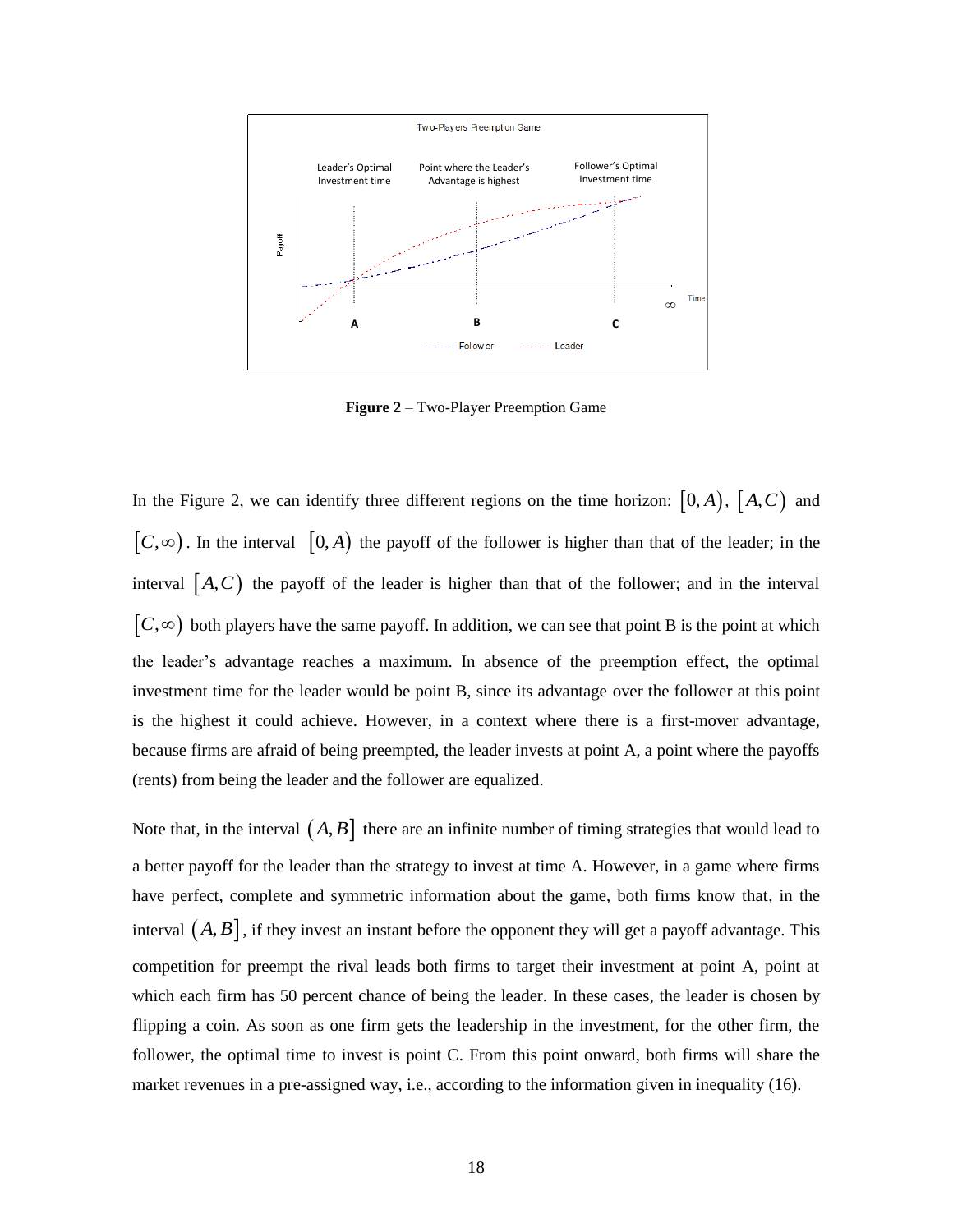

**Figure 2** – Two-Player Preemption Game

In the Figure 2, we can identify three different regions on the time horizon:  $[0, A)$ ,  $[A, C)$  and  $[C, \infty)$ . In the interval  $[0, A)$  the payoff of the follower is higher than that of the leader; in the interval  $[A, C]$  the payoff of the leader is higher than that of the follower; and in the interval  $[C, \infty)$  both players have the same payoff. In addition, we can see that point B is the point at which the leader's advantage reaches a maximum. In absence of the preemption effect, the optimal investment time for the leader would be point B, since its advantage over the follower at this point is the highest it could achieve. However, in a context where there is a first-mover advantage, because firms are afraid of being preempted, the leader invests at point A, a point where the payoffs (rents) from being the leader and the follower are equalized.

Note that, in the interval  $(A, B]$  there are an infinite number of timing strategies that would lead to a better payoff for the leader than the strategy to invest at time A. However, in a game where firms have perfect, complete and symmetric information about the game, both firms know that, in the interval  $(A, B]$ , if they invest an instant before the opponent they will get a payoff advantage. This competition for preempt the rival leads both firms to target their investment at point A, point at which each firm has 50 percent chance of being the leader. In these cases, the leader is chosen by flipping a coin. As soon as one firm gets the leadership in the investment, for the other firm, the follower, the optimal time to invest is point C. From this point onward, both firms will share the market revenues in a pre-assigned way, i.e., according to the information given in inequality (16).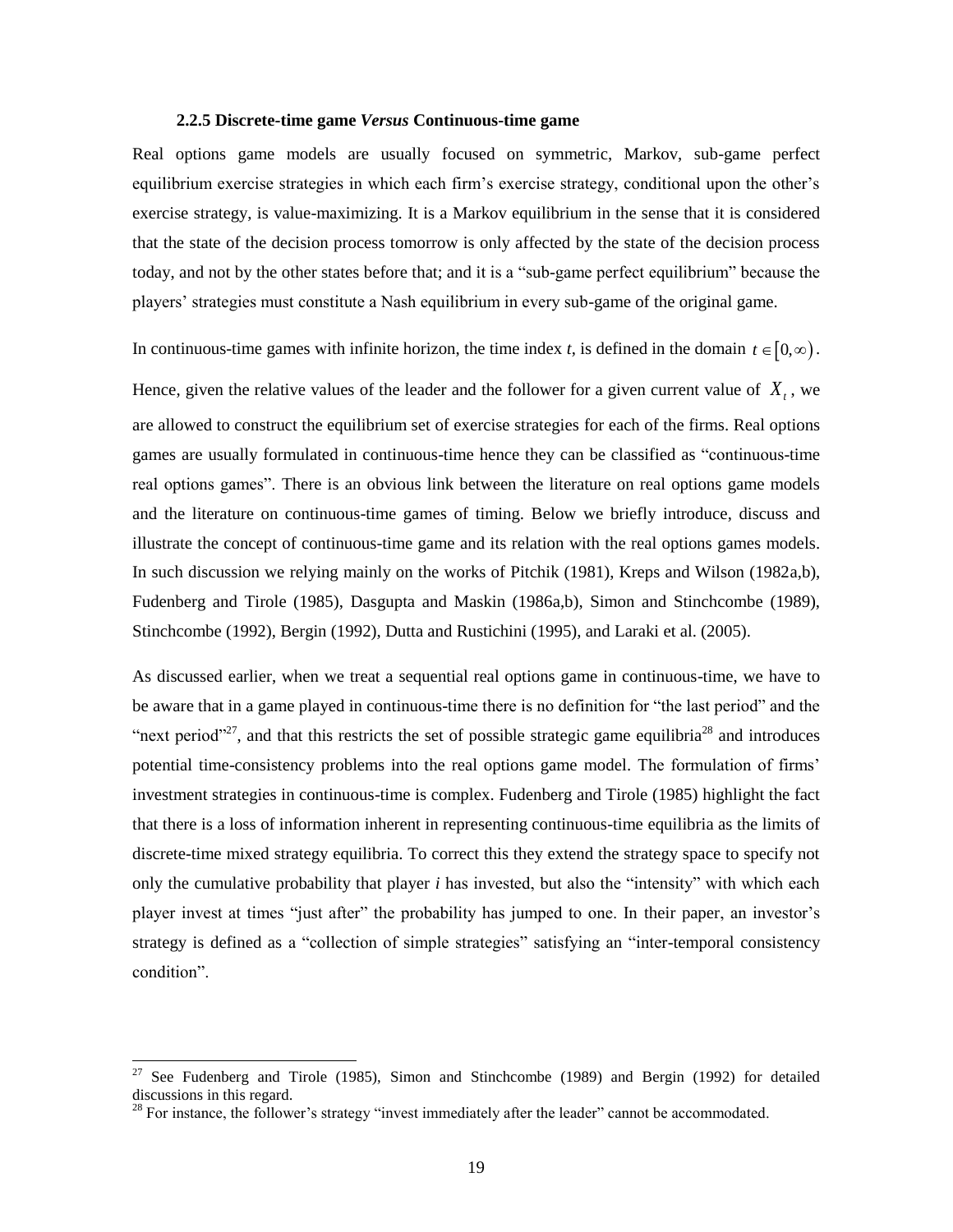## **2.2.5 Discrete-time game** *Versus* **Continuous-time game**

Real options game models are usually focused on symmetric, Markov, sub-game perfect equilibrium exercise strategies in which each firm's exercise strategy, conditional upon the other's exercise strategy, is value-maximizing. It is a Markov equilibrium in the sense that it is considered that the state of the decision process tomorrow is only affected by the state of the decision process today, and not by the other states before that; and it is a "sub-game perfect equilibrium" because the players' strategies must constitute a Nash equilibrium in every sub-game of the original game.

In continuous-time games with infinite horizon, the time index *t*, is defined in the domain  $t \in [0, \infty)$ .

Hence, given the relative values of the leader and the follower for a given current value of  $X_t$ , we are allowed to construct the equilibrium set of exercise strategies for each of the firms. Real options games are usually formulated in continuous-time hence they can be classified as "continuous-time real options games". There is an obvious link between the literature on real options game models and the literature on continuous-time games of timing. Below we briefly introduce, discuss and illustrate the concept of continuous-time game and its relation with the real options games models. In such discussion we relying mainly on the works of Pitchik (1981), Kreps and Wilson (1982a,b), Fudenberg and Tirole (1985), Dasgupta and Maskin (1986a,b), Simon and Stinchcombe (1989), Stinchcombe (1992), Bergin (1992), Dutta and Rustichini (1995), and Laraki et al. (2005).

As discussed earlier, when we treat a sequential real options game in continuous-time, we have to be aware that in a game played in continuous-time there is no definition for "the last period" and the "next period"<sup>27</sup>, and that this restricts the set of possible strategic game equilibria<sup>28</sup> and introduces potential time-consistency problems into the real options game model. The formulation of firms' investment strategies in continuous-time is complex. Fudenberg and Tirole (1985) highlight the fact that there is a loss of information inherent in representing continuous-time equilibria as the limits of discrete-time mixed strategy equilibria. To correct this they extend the strategy space to specify not only the cumulative probability that player *i* has invested, but also the "intensity" with which each player invest at times "just after" the probability has jumped to one. In their paper, an investor's strategy is defined as a "collection of simple strategies" satisfying an "inter-temporal consistency condition".

 $27$  See Fudenberg and Tirole (1985), Simon and Stinchcombe (1989) and Bergin (1992) for detailed discussions in this regard.

 $28$  For instance, the follower's strategy "invest immediately after the leader" cannot be accommodated.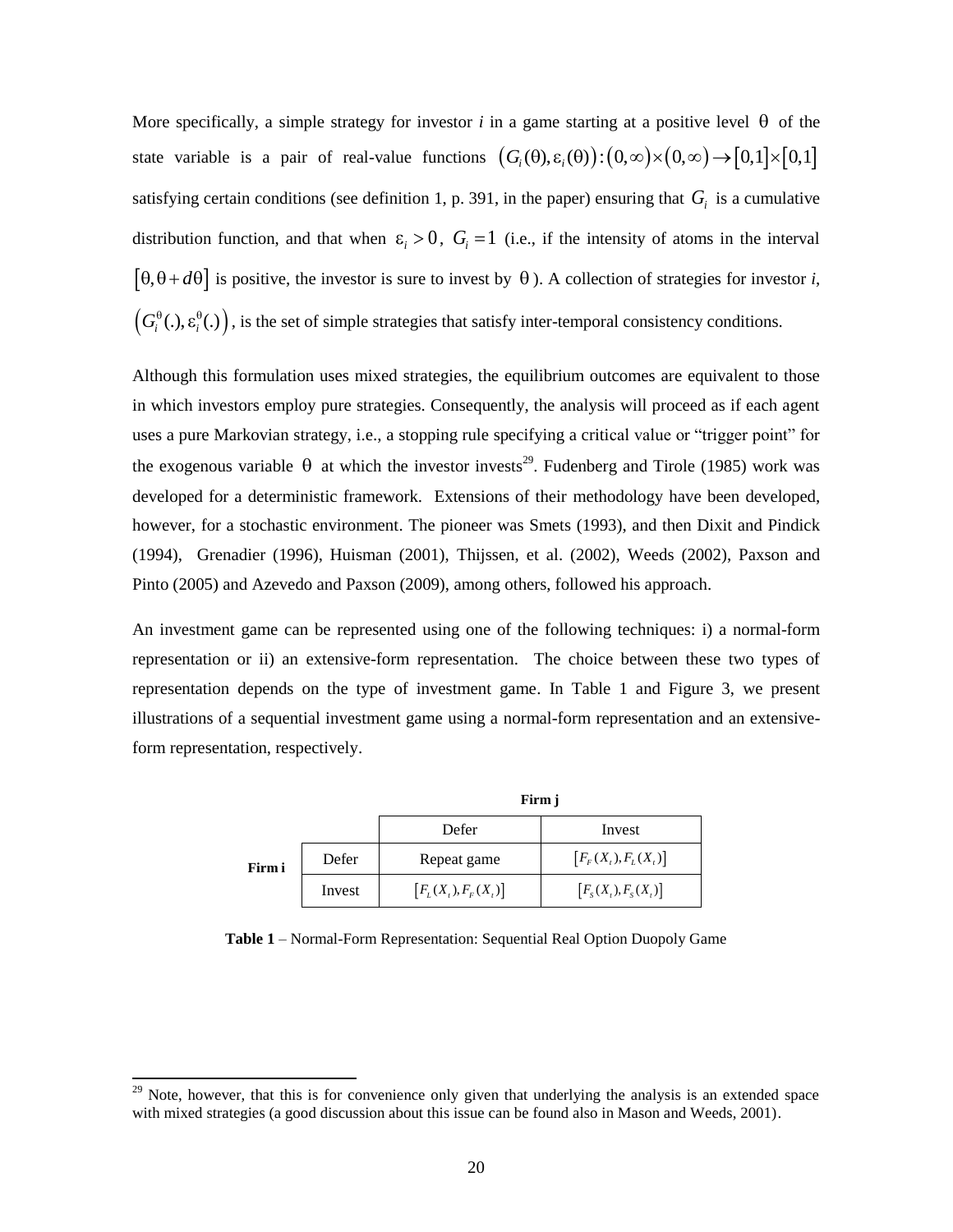More specifically, a simple strategy for investor  $i$  in a game starting at a positive level  $\theta$  of the More specifically, a simple strategy for investor *i* in a game starting at a positive level  $\theta$  of the state variable is a pair of real-value functions  $(G_i(\theta), \varepsilon_i(\theta)) : (0, \infty) \times (0, \infty) \to [0, 1] \times [0, 1]$ satisfying certain conditions (see definition 1, p. 391, in the paper) ensuring that  $G_i$  is a cumulative distribution function, and that when  $\varepsilon_i > 0$ ,  $G_i = 1$  (i.e., if the intensity of atoms in the interval  $\left[\theta, \theta + d\theta\right]$  is positive, the investor is sure to invest by  $\theta$ ). A collection of strategies for investor *i*,  $(G_i^{\theta}(.), \varepsilon_i^{\theta}(.)$ , is the set of simple strategies that satisfy inter-temporal consistency conditions.

Although this formulation uses mixed strategies, the equilibrium outcomes are equivalent to those in which investors employ pure strategies. Consequently, the analysis will proceed as if each agent uses a pure Markovian strategy, i.e., a stopping rule specifying a critical value or "trigger point" for the exogenous variable  $\theta$  at which the investor invests<sup>29</sup>. Fudenberg and Tirole (1985) work was developed for a deterministic framework. Extensions of their methodology have been developed, however, for a stochastic environment. The pioneer was Smets (1993), and then Dixit and Pindick (1994), Grenadier (1996), Huisman (2001), Thijssen, et al. (2002), Weeds (2002), Paxson and Pinto (2005) and Azevedo and Paxson (2009), among others, followed his approach.

An investment game can be represented using one of the following techniques: i) a normal-form representation or ii) an extensive-form representation. The choice between these two types of representation depends on the type of investment game. In Table 1 and Figure 3, we present illustrations of a sequential investment game using a normal-form representation and an extensiveform representation, respectively.

|        |        | Firm j                 |                        |
|--------|--------|------------------------|------------------------|
|        |        | Defer                  | Invest                 |
| Firm i | Defer  | Repeat game            | $[F_F(X_t), F_L(X_t)]$ |
|        | Invest | $[F_L(X_t), F_F(X_t)]$ | $[Fs(Xt), Fs(Xt)]$     |

**Table 1** – Normal-Form Representation: Sequential Real Option Duopoly Game

 $29$  Note, however, that this is for convenience only given that underlying the analysis is an extended space with mixed strategies (a good discussion about this issue can be found also in Mason and Weeds, 2001).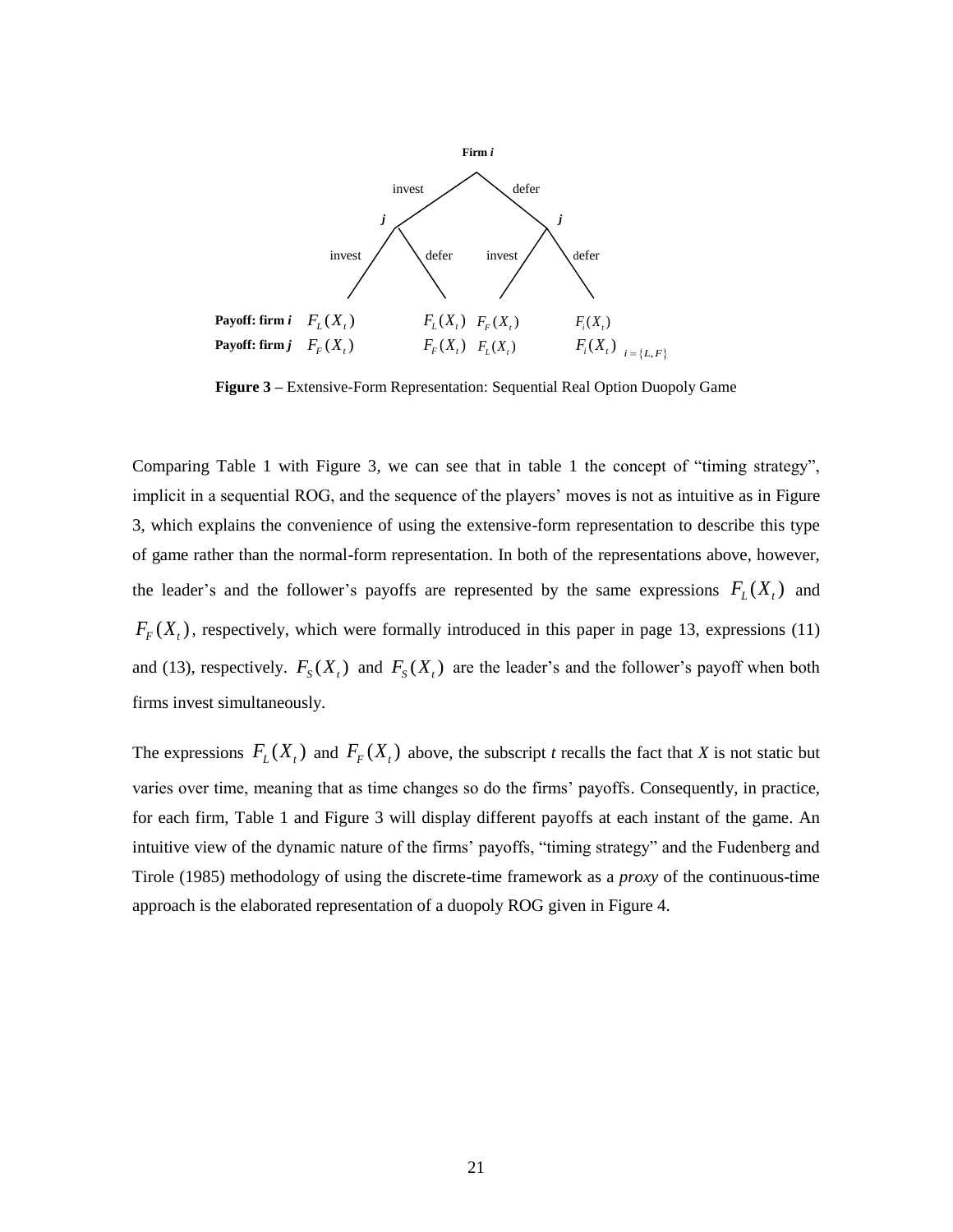

**Figure 3 –** Extensive-Form Representation: Sequential Real Option Duopoly Game

Comparing Table 1 with Figure 3, we can see that in table 1 the concept of "timing strategy", implicit in a sequential ROG, and the sequence of the players' moves is not as intuitive as in Figure 3, which explains the convenience of using the extensive-form representation to describe this type of game rather than the normal-form representation. In both of the representations above, however, the leader's and the follower's payoffs are represented by the same expressions  $F_L(X_t)$  and  $F_F(X_t)$ , respectively, which were formally introduced in this paper in page 13, expressions (11) and (13), respectively.  $F_s(X_t)$  and  $F_s(X_t)$  are the leader's and the follower's payoff when both firms invest simultaneously.

The expressions  $F_L(X_t)$  and  $F_F(X_t)$  above, the subscript *t* recalls the fact that *X* is not static but varies over time, meaning that as time changes so do the firms' payoffs. Consequently, in practice, for each firm, Table 1 and Figure 3 will display different payoffs at each instant of the game. An intuitive view of the dynamic nature of the firms' payoffs, "timing strategy" and the Fudenberg and Tirole (1985) methodology of using the discrete-time framework as a *proxy* of the continuous-time approach is the elaborated representation of a duopoly ROG given in Figure 4.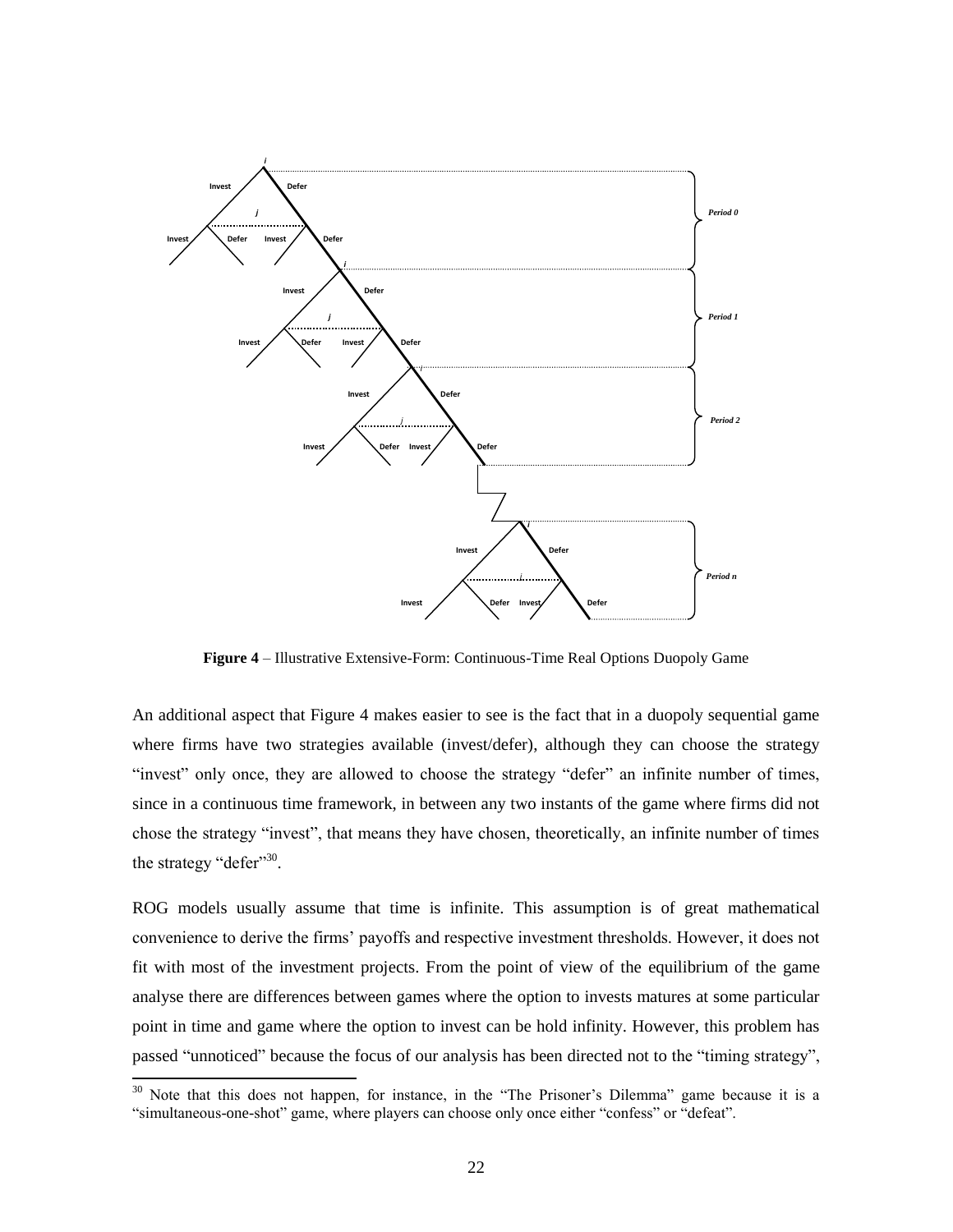

**Figure 4** – Illustrative Extensive-Form: Continuous-Time Real Options Duopoly Game

An additional aspect that Figure 4 makes easier to see is the fact that in a duopoly sequential game where firms have two strategies available (invest/defer), although they can choose the strategy "invest" only once, they are allowed to choose the strategy "defer" an infinite number of times, since in a continuous time framework, in between any two instants of the game where firms did not chose the strategy "invest", that means they have chosen, theoretically, an infinite number of times the strategy "defer"<sup>30</sup>.

ROG models usually assume that time is infinite. This assumption is of great mathematical convenience to derive the firms' payoffs and respective investment thresholds. However, it does not fit with most of the investment projects. From the point of view of the equilibrium of the game analyse there are differences between games where the option to invests matures at some particular point in time and game where the option to invest can be hold infinity. However, this problem has passed "unnoticed" because the focus of our analysis has been directed not to the "timing strategy",

 $30$  Note that this does not happen, for instance, in the "The Prisoner's Dilemma" game because it is a "simultaneous-one-shot" game, where players can choose only once either "confess" or "defeat".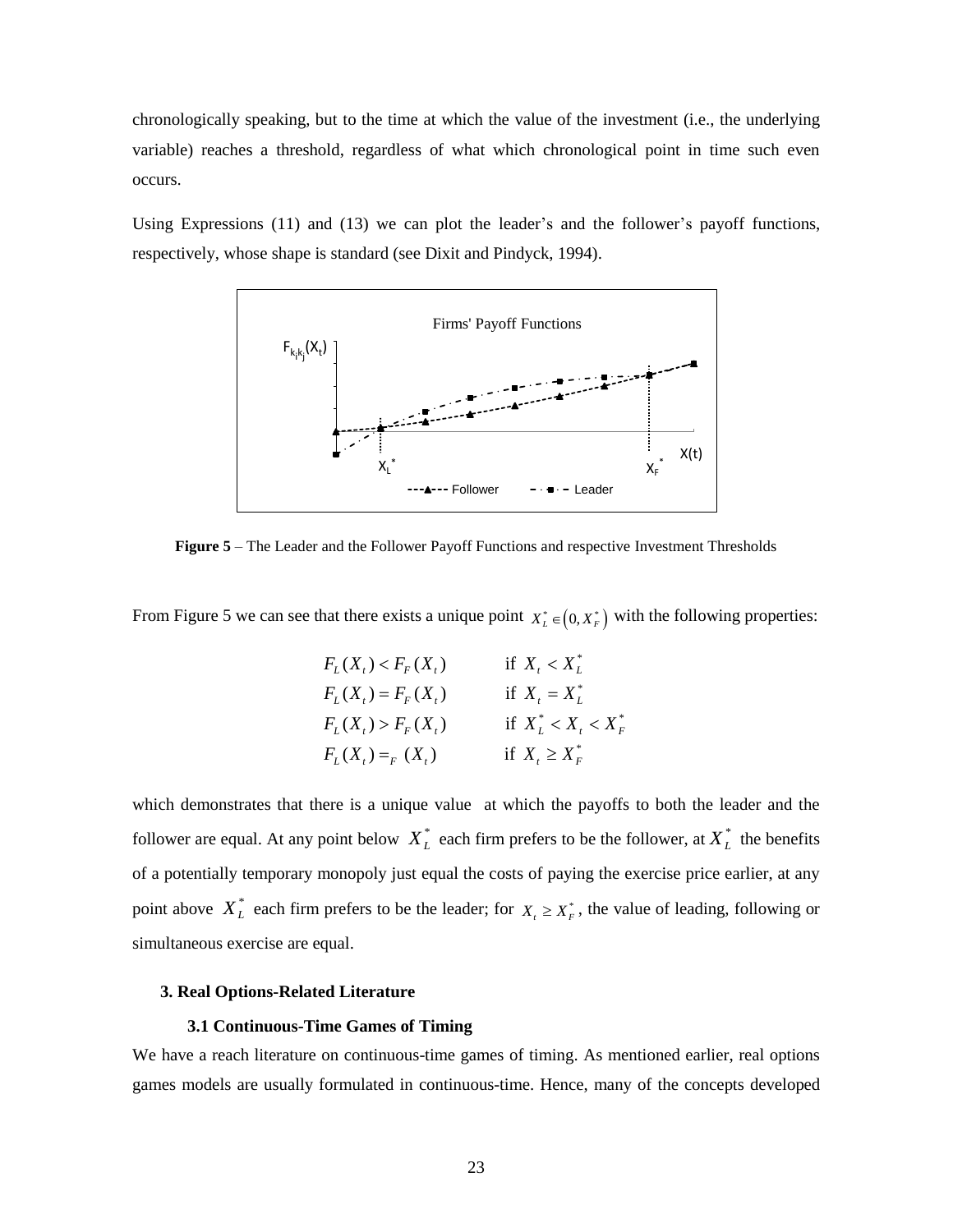chronologically speaking, but to the time at which the value of the investment (i.e., the underlying variable) reaches a threshold, regardless of what which chronological point in time such even occurs.

Using Expressions (11) and (13) we can plot the leader's and the follower's payoff functions, respectively, whose shape is standard (see Dixit and Pindyck, 1994).



**Figure 5** – The Leader and the Follower Payoff Functions and respective Investment Thresholds

From Figure 5 we can see that there exists a unique point  $X_L^* \in (0, X_F^*)$  with the following properties:

| $F_L(X_t) < F_F(X_t)$ | if $X_t < X_t^*$                |
|-----------------------|---------------------------------|
| $F_L(X_t) = F_F(X_t)$ | if $X_t = X_t^*$                |
| $F_L(X_t) > F_F(X_t)$ | if $X_L^* < X_L < X_F^*$        |
| $F_L(X_t) = _F(X_t)$  | if $X_{\iota} \geq X_{\iota}^*$ |

which demonstrates that there is a unique value at which the payoffs to both the leader and the follower are equal. At any point below  $X_L^*$  each firm prefers to be the follower, at  $X_L^*$  the benefits of a potentially temporary monopoly just equal the costs of paying the exercise price earlier, at any point above  $X_L^*$  each firm prefers to be the leader; for  $X_t \ge X_F^*$ , the value of leading, following or simultaneous exercise are equal.

## **3. Real Options-Related Literature**

## **3.1 Continuous-Time Games of Timing**

We have a reach literature on continuous-time games of timing. As mentioned earlier, real options games models are usually formulated in continuous-time. Hence, many of the concepts developed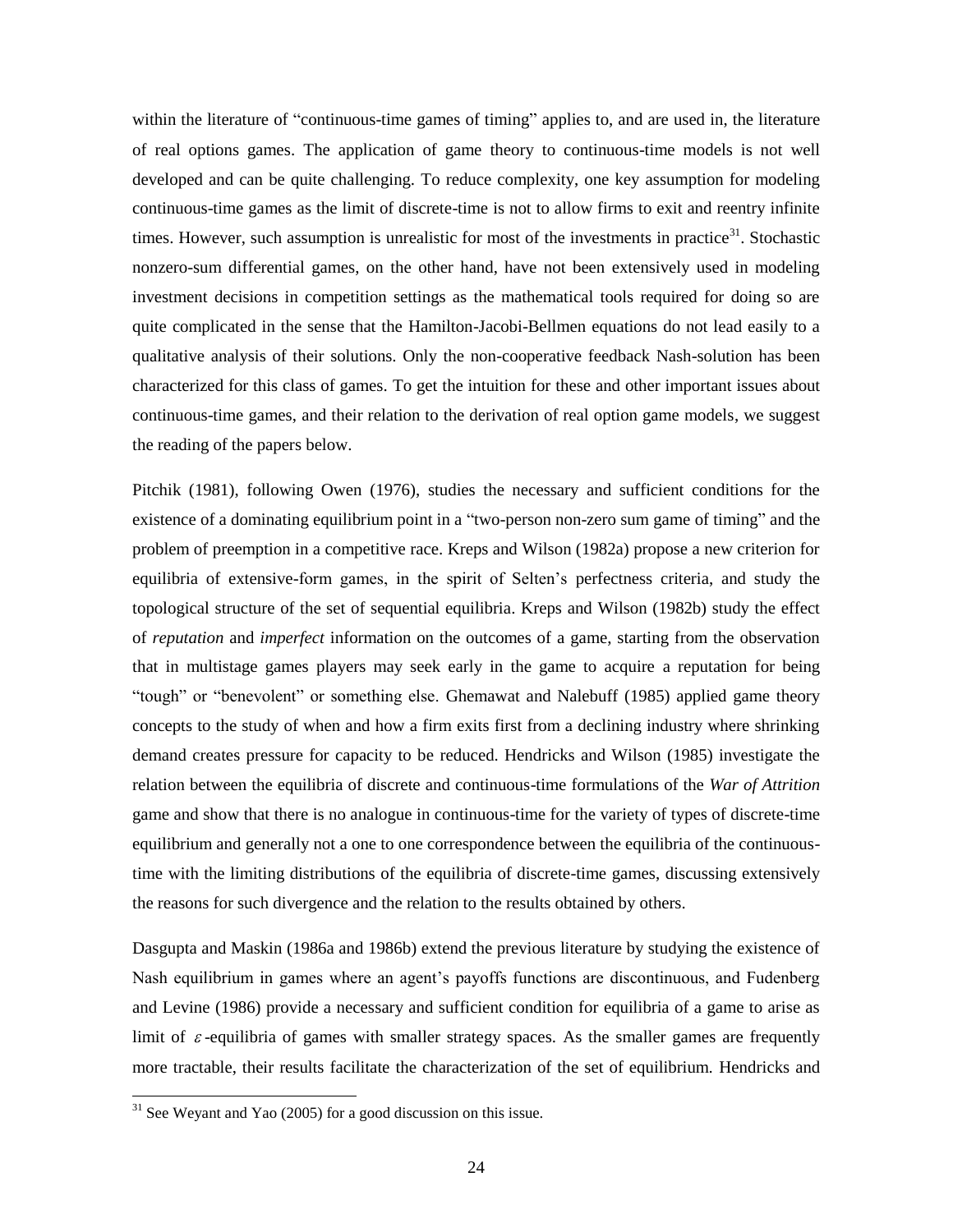within the literature of "continuous-time games of timing" applies to, and are used in, the literature of real options games. The application of game theory to continuous-time models is not well developed and can be quite challenging. To reduce complexity, one key assumption for modeling continuous-time games as the limit of discrete-time is not to allow firms to exit and reentry infinite times. However, such assumption is unrealistic for most of the investments in practice $31$ . Stochastic nonzero-sum differential games, on the other hand, have not been extensively used in modeling investment decisions in competition settings as the mathematical tools required for doing so are quite complicated in the sense that the Hamilton-Jacobi-Bellmen equations do not lead easily to a qualitative analysis of their solutions. Only the non-cooperative feedback Nash-solution has been characterized for this class of games. To get the intuition for these and other important issues about continuous-time games, and their relation to the derivation of real option game models, we suggest the reading of the papers below.

Pitchik (1981), following Owen (1976), studies the necessary and sufficient conditions for the existence of a dominating equilibrium point in a "two-person non-zero sum game of timing" and the problem of preemption in a competitive race. Kreps and Wilson (1982a) propose a new criterion for equilibria of extensive-form games, in the spirit of Selten's perfectness criteria, and study the topological structure of the set of sequential equilibria. Kreps and Wilson (1982b) study the effect of *reputation* and *imperfect* information on the outcomes of a game, starting from the observation that in multistage games players may seek early in the game to acquire a reputation for being "tough" or "benevolent" or something else. Ghemawat and Nalebuff (1985) applied game theory concepts to the study of when and how a firm exits first from a declining industry where shrinking demand creates pressure for capacity to be reduced. Hendricks and Wilson (1985) investigate the relation between the equilibria of discrete and continuous-time formulations of the *War of Attrition* game and show that there is no analogue in continuous-time for the variety of types of discrete-time equilibrium and generally not a one to one correspondence between the equilibria of the continuoustime with the limiting distributions of the equilibria of discrete-time games, discussing extensively the reasons for such divergence and the relation to the results obtained by others.

Dasgupta and Maskin (1986a and 1986b) extend the previous literature by studying the existence of Nash equilibrium in games where an agent's payoffs functions are discontinuous, and Fudenberg and Levine (1986) provide a necessary and sufficient condition for equilibria of a game to arise as limit of  $\varepsilon$ -equilibria of games with smaller strategy spaces. As the smaller games are frequently more tractable, their results facilitate the characterization of the set of equilibrium. Hendricks and

 $31$  See Weyant and Yao (2005) for a good discussion on this issue.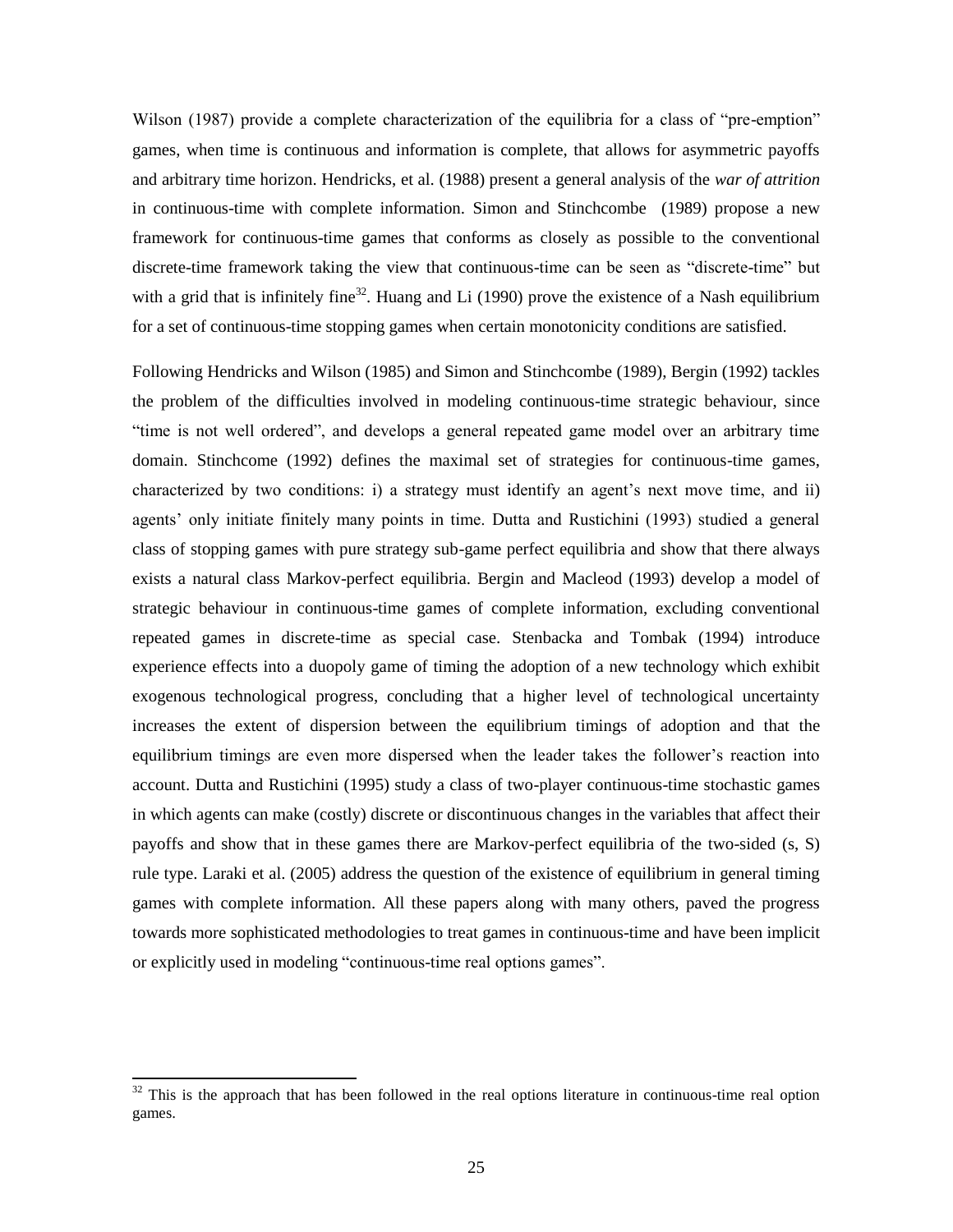Wilson (1987) provide a complete characterization of the equilibria for a class of "pre-emption" games, when time is continuous and information is complete, that allows for asymmetric payoffs and arbitrary time horizon. Hendricks, et al. (1988) present a general analysis of the *war of attrition* in continuous-time with complete information. Simon and Stinchcombe (1989) propose a new framework for continuous-time games that conforms as closely as possible to the conventional discrete-time framework taking the view that continuous-time can be seen as "discrete-time" but with a grid that is infinitely fine<sup>32</sup>. Huang and Li (1990) prove the existence of a Nash equilibrium for a set of continuous-time stopping games when certain monotonicity conditions are satisfied.

Following Hendricks and Wilson (1985) and Simon and Stinchcombe (1989), Bergin (1992) tackles the problem of the difficulties involved in modeling continuous-time strategic behaviour, since "time is not well ordered", and develops a general repeated game model over an arbitrary time domain. Stinchcome (1992) defines the maximal set of strategies for continuous-time games, characterized by two conditions: i) a strategy must identify an agent's next move time, and ii) agents' only initiate finitely many points in time. Dutta and Rustichini (1993) studied a general class of stopping games with pure strategy sub-game perfect equilibria and show that there always exists a natural class Markov-perfect equilibria. Bergin and Macleod (1993) develop a model of strategic behaviour in continuous-time games of complete information, excluding conventional repeated games in discrete-time as special case. Stenbacka and Tombak (1994) introduce experience effects into a duopoly game of timing the adoption of a new technology which exhibit exogenous technological progress, concluding that a higher level of technological uncertainty increases the extent of dispersion between the equilibrium timings of adoption and that the equilibrium timings are even more dispersed when the leader takes the follower's reaction into account. Dutta and Rustichini (1995) study a class of two-player continuous-time stochastic games in which agents can make (costly) discrete or discontinuous changes in the variables that affect their payoffs and show that in these games there are Markov-perfect equilibria of the two-sided (s, S) rule type. Laraki et al. (2005) address the question of the existence of equilibrium in general timing games with complete information. All these papers along with many others, paved the progress towards more sophisticated methodologies to treat games in continuous-time and have been implicit or explicitly used in modeling "continuous-time real options games".

 $32$  This is the approach that has been followed in the real options literature in continuous-time real option games.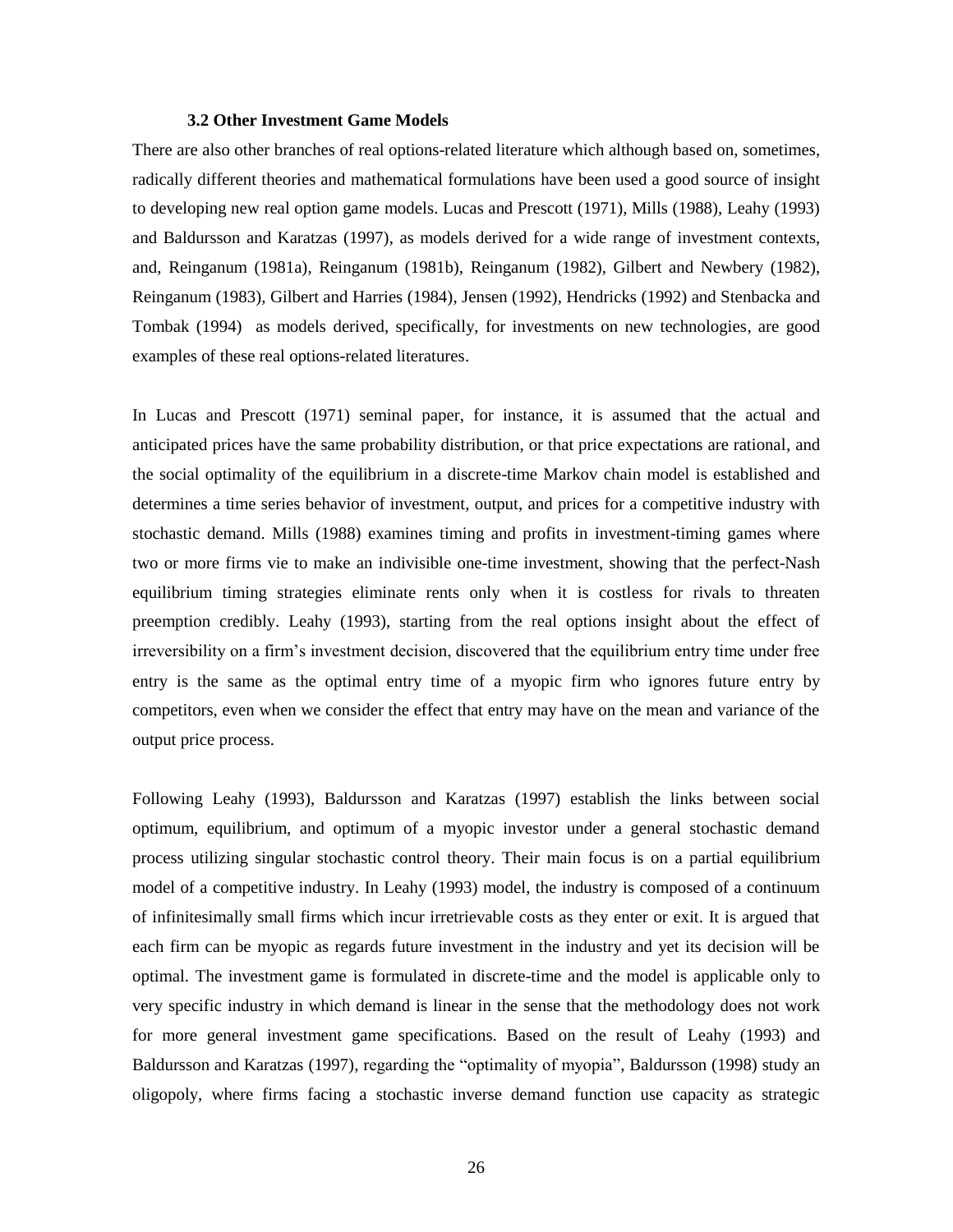## **3.2 Other Investment Game Models**

There are also other branches of real options-related literature which although based on, sometimes, radically different theories and mathematical formulations have been used a good source of insight to developing new real option game models. Lucas and Prescott (1971), Mills (1988), Leahy (1993) and Baldursson and Karatzas (1997), as models derived for a wide range of investment contexts, and, Reinganum (1981a), Reinganum (1981b), Reinganum (1982), Gilbert and Newbery (1982), Reinganum (1983), Gilbert and Harries (1984), Jensen (1992), Hendricks (1992) and Stenbacka and Tombak (1994) as models derived, specifically, for investments on new technologies, are good examples of these real options-related literatures.

In Lucas and Prescott (1971) seminal paper, for instance, it is assumed that the actual and anticipated prices have the same probability distribution, or that price expectations are rational, and the social optimality of the equilibrium in a discrete-time Markov chain model is established and determines a time series behavior of investment, output, and prices for a competitive industry with stochastic demand. Mills (1988) examines timing and profits in investment-timing games where two or more firms vie to make an indivisible one-time investment, showing that the perfect-Nash equilibrium timing strategies eliminate rents only when it is costless for rivals to threaten preemption credibly. Leahy (1993), starting from the real options insight about the effect of irreversibility on a firm's investment decision, discovered that the equilibrium entry time under free entry is the same as the optimal entry time of a myopic firm who ignores future entry by competitors, even when we consider the effect that entry may have on the mean and variance of the output price process.

Following Leahy (1993), Baldursson and Karatzas (1997) establish the links between social optimum, equilibrium, and optimum of a myopic investor under a general stochastic demand process utilizing singular stochastic control theory. Their main focus is on a partial equilibrium model of a competitive industry. In Leahy (1993) model, the industry is composed of a continuum of infinitesimally small firms which incur irretrievable costs as they enter or exit. It is argued that each firm can be myopic as regards future investment in the industry and yet its decision will be optimal. The investment game is formulated in discrete-time and the model is applicable only to very specific industry in which demand is linear in the sense that the methodology does not work for more general investment game specifications. Based on the result of Leahy (1993) and Baldursson and Karatzas (1997), regarding the "optimality of myopia", Baldursson (1998) study an oligopoly, where firms facing a stochastic inverse demand function use capacity as strategic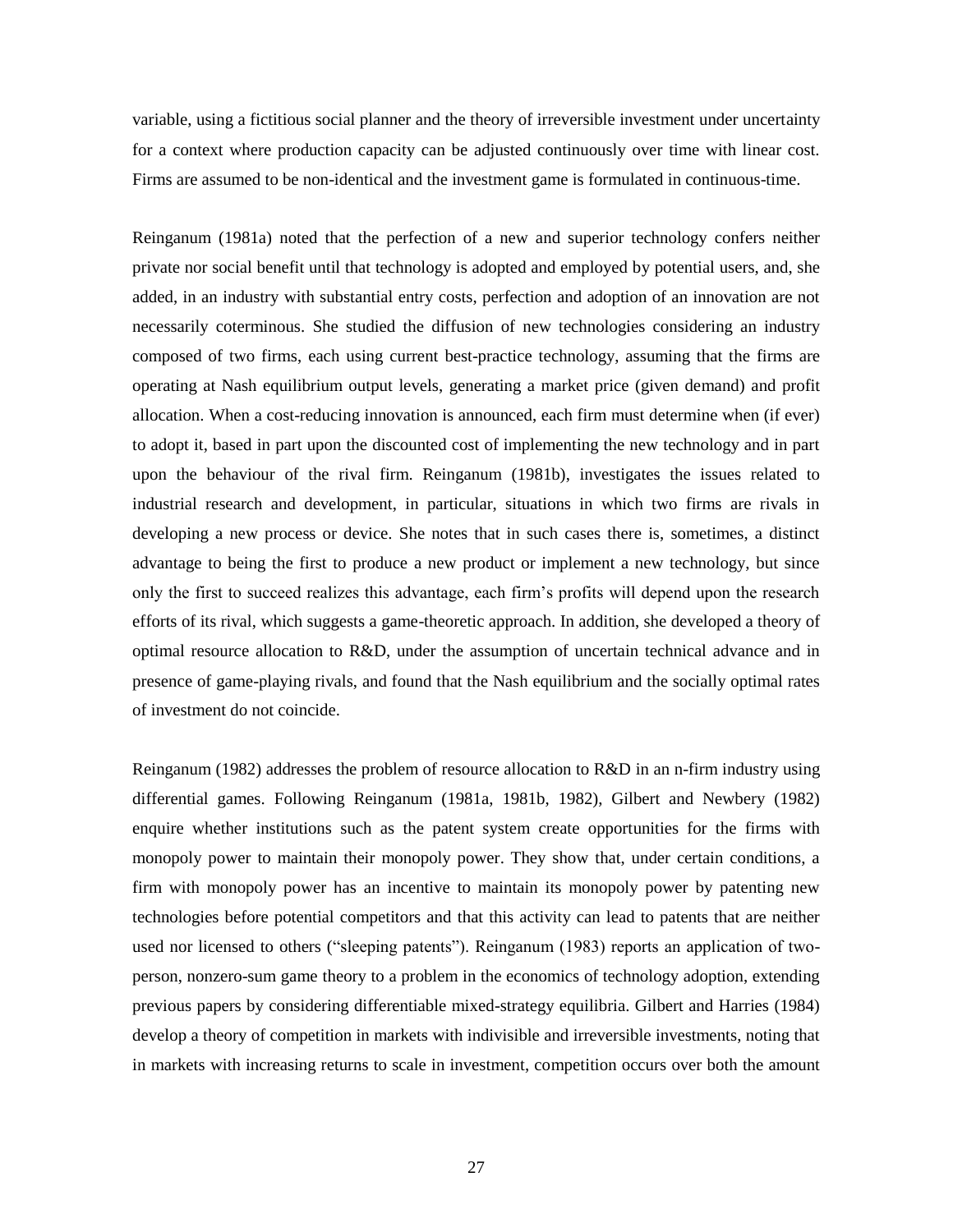variable, using a fictitious social planner and the theory of irreversible investment under uncertainty for a context where production capacity can be adjusted continuously over time with linear cost. Firms are assumed to be non-identical and the investment game is formulated in continuous-time.

Reinganum (1981a) noted that the perfection of a new and superior technology confers neither private nor social benefit until that technology is adopted and employed by potential users, and, she added, in an industry with substantial entry costs, perfection and adoption of an innovation are not necessarily coterminous. She studied the diffusion of new technologies considering an industry composed of two firms, each using current best-practice technology, assuming that the firms are operating at Nash equilibrium output levels, generating a market price (given demand) and profit allocation. When a cost-reducing innovation is announced, each firm must determine when (if ever) to adopt it, based in part upon the discounted cost of implementing the new technology and in part upon the behaviour of the rival firm. Reinganum (1981b), investigates the issues related to industrial research and development, in particular, situations in which two firms are rivals in developing a new process or device. She notes that in such cases there is, sometimes, a distinct advantage to being the first to produce a new product or implement a new technology, but since only the first to succeed realizes this advantage, each firm's profits will depend upon the research efforts of its rival, which suggests a game-theoretic approach. In addition, she developed a theory of optimal resource allocation to R&D, under the assumption of uncertain technical advance and in presence of game-playing rivals, and found that the Nash equilibrium and the socially optimal rates of investment do not coincide.

Reinganum (1982) addresses the problem of resource allocation to R&D in an n-firm industry using differential games. Following Reinganum (1981a, 1981b, 1982), Gilbert and Newbery (1982) enquire whether institutions such as the patent system create opportunities for the firms with monopoly power to maintain their monopoly power. They show that, under certain conditions, a firm with monopoly power has an incentive to maintain its monopoly power by patenting new technologies before potential competitors and that this activity can lead to patents that are neither used nor licensed to others ("sleeping patents"). Reinganum (1983) reports an application of twoperson, nonzero-sum game theory to a problem in the economics of technology adoption, extending previous papers by considering differentiable mixed-strategy equilibria. Gilbert and Harries (1984) develop a theory of competition in markets with indivisible and irreversible investments, noting that in markets with increasing returns to scale in investment, competition occurs over both the amount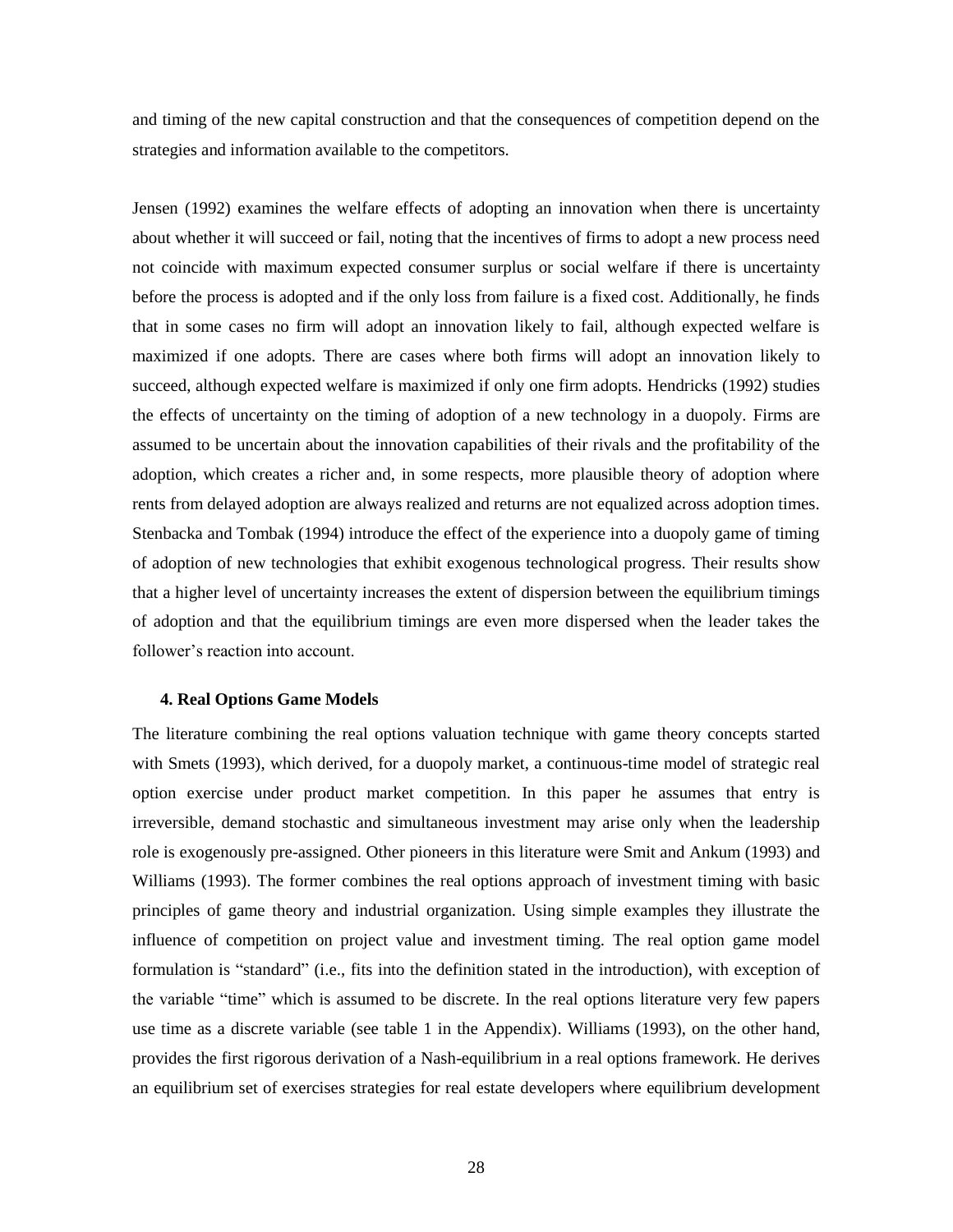and timing of the new capital construction and that the consequences of competition depend on the strategies and information available to the competitors.

Jensen (1992) examines the welfare effects of adopting an innovation when there is uncertainty about whether it will succeed or fail, noting that the incentives of firms to adopt a new process need not coincide with maximum expected consumer surplus or social welfare if there is uncertainty before the process is adopted and if the only loss from failure is a fixed cost. Additionally, he finds that in some cases no firm will adopt an innovation likely to fail, although expected welfare is maximized if one adopts. There are cases where both firms will adopt an innovation likely to succeed, although expected welfare is maximized if only one firm adopts. Hendricks (1992) studies the effects of uncertainty on the timing of adoption of a new technology in a duopoly. Firms are assumed to be uncertain about the innovation capabilities of their rivals and the profitability of the adoption, which creates a richer and, in some respects, more plausible theory of adoption where rents from delayed adoption are always realized and returns are not equalized across adoption times. Stenbacka and Tombak (1994) introduce the effect of the experience into a duopoly game of timing of adoption of new technologies that exhibit exogenous technological progress. Their results show that a higher level of uncertainty increases the extent of dispersion between the equilibrium timings of adoption and that the equilibrium timings are even more dispersed when the leader takes the follower's reaction into account.

#### **4. Real Options Game Models**

The literature combining the real options valuation technique with game theory concepts started with Smets (1993), which derived, for a duopoly market, a continuous-time model of strategic real option exercise under product market competition. In this paper he assumes that entry is irreversible, demand stochastic and simultaneous investment may arise only when the leadership role is exogenously pre-assigned. Other pioneers in this literature were Smit and Ankum (1993) and Williams (1993). The former combines the real options approach of investment timing with basic principles of game theory and industrial organization. Using simple examples they illustrate the influence of competition on project value and investment timing. The real option game model formulation is "standard" (i.e., fits into the definition stated in the introduction), with exception of the variable "time" which is assumed to be discrete. In the real options literature very few papers use time as a discrete variable (see table 1 in the Appendix). Williams (1993), on the other hand, provides the first rigorous derivation of a Nash-equilibrium in a real options framework. He derives an equilibrium set of exercises strategies for real estate developers where equilibrium development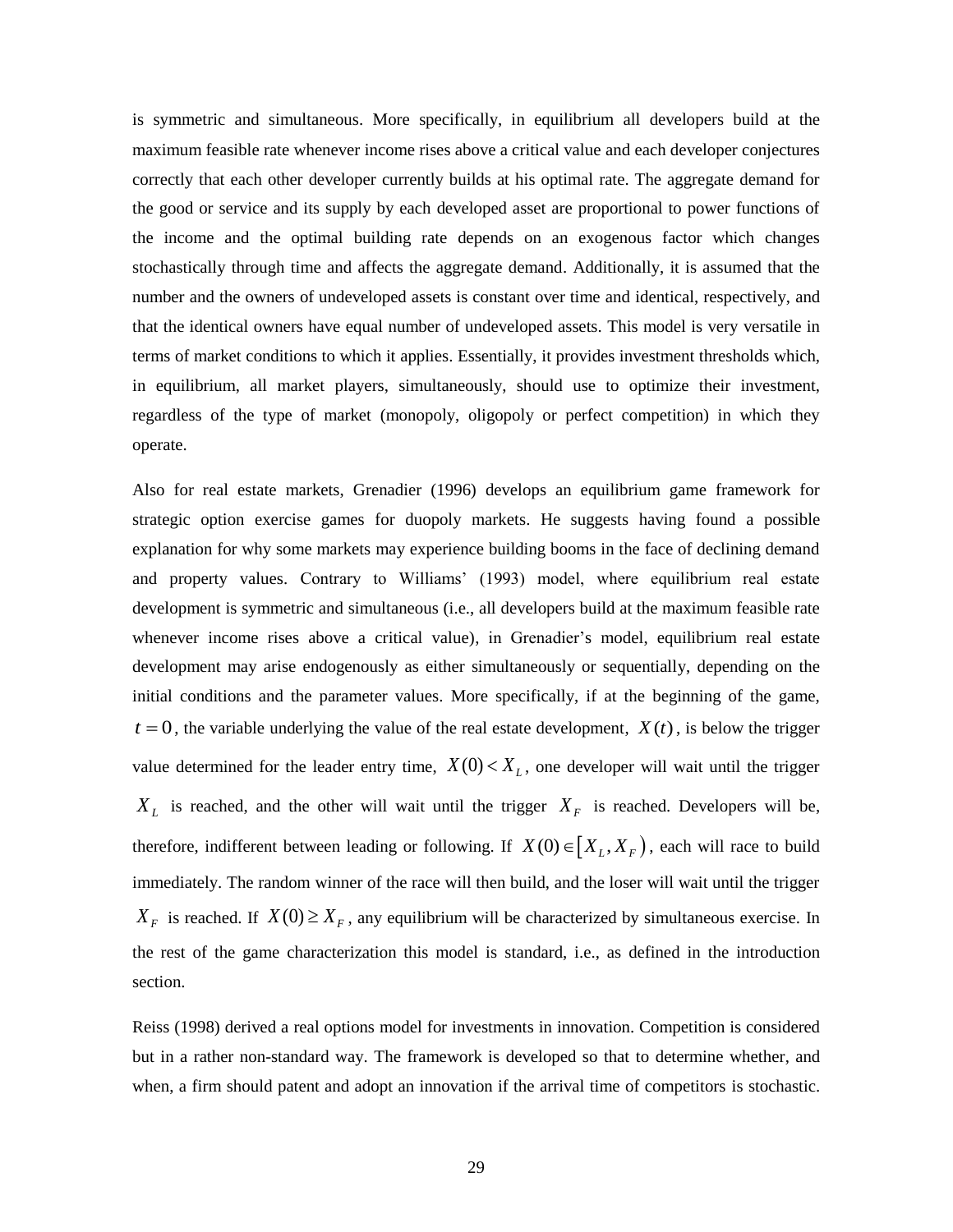is symmetric and simultaneous. More specifically, in equilibrium all developers build at the maximum feasible rate whenever income rises above a critical value and each developer conjectures correctly that each other developer currently builds at his optimal rate. The aggregate demand for the good or service and its supply by each developed asset are proportional to power functions of the income and the optimal building rate depends on an exogenous factor which changes stochastically through time and affects the aggregate demand. Additionally, it is assumed that the number and the owners of undeveloped assets is constant over time and identical, respectively, and that the identical owners have equal number of undeveloped assets. This model is very versatile in terms of market conditions to which it applies. Essentially, it provides investment thresholds which, in equilibrium, all market players, simultaneously, should use to optimize their investment, regardless of the type of market (monopoly, oligopoly or perfect competition) in which they operate.

Also for real estate markets, Grenadier (1996) develops an equilibrium game framework for strategic option exercise games for duopoly markets. He suggests having found a possible explanation for why some markets may experience building booms in the face of declining demand and property values. Contrary to Williams' (1993) model, where equilibrium real estate development is symmetric and simultaneous (i.e., all developers build at the maximum feasible rate whenever income rises above a critical value), in Grenadier's model, equilibrium real estate development may arise endogenously as either simultaneously or sequentially, depending on the initial conditions and the parameter values. More specifically, if at the beginning of the game,  $t = 0$ , the variable underlying the value of the real estate development,  $X(t)$ , is below the trigger value determined for the leader entry time,  $X(0) < X_L$ , one developer will wait until the trigger  $X_L$  is reached, and the other will wait until the trigger  $X_F$  is reached. Developers will be, therefore, indifferent between leading or following. If  $X(0) \in [X_L, X_F)$ , each will race to build immediately. The random winner of the race will then build, and the loser will wait until the trigger  $X_F$  is reached. If  $X(0) \ge X_F$ , any equilibrium will be characterized by simultaneous exercise. In the rest of the game characterization this model is standard, i.e., as defined in the introduction section.

Reiss (1998) derived a real options model for investments in innovation. Competition is considered but in a rather non-standard way. The framework is developed so that to determine whether, and when, a firm should patent and adopt an innovation if the arrival time of competitors is stochastic.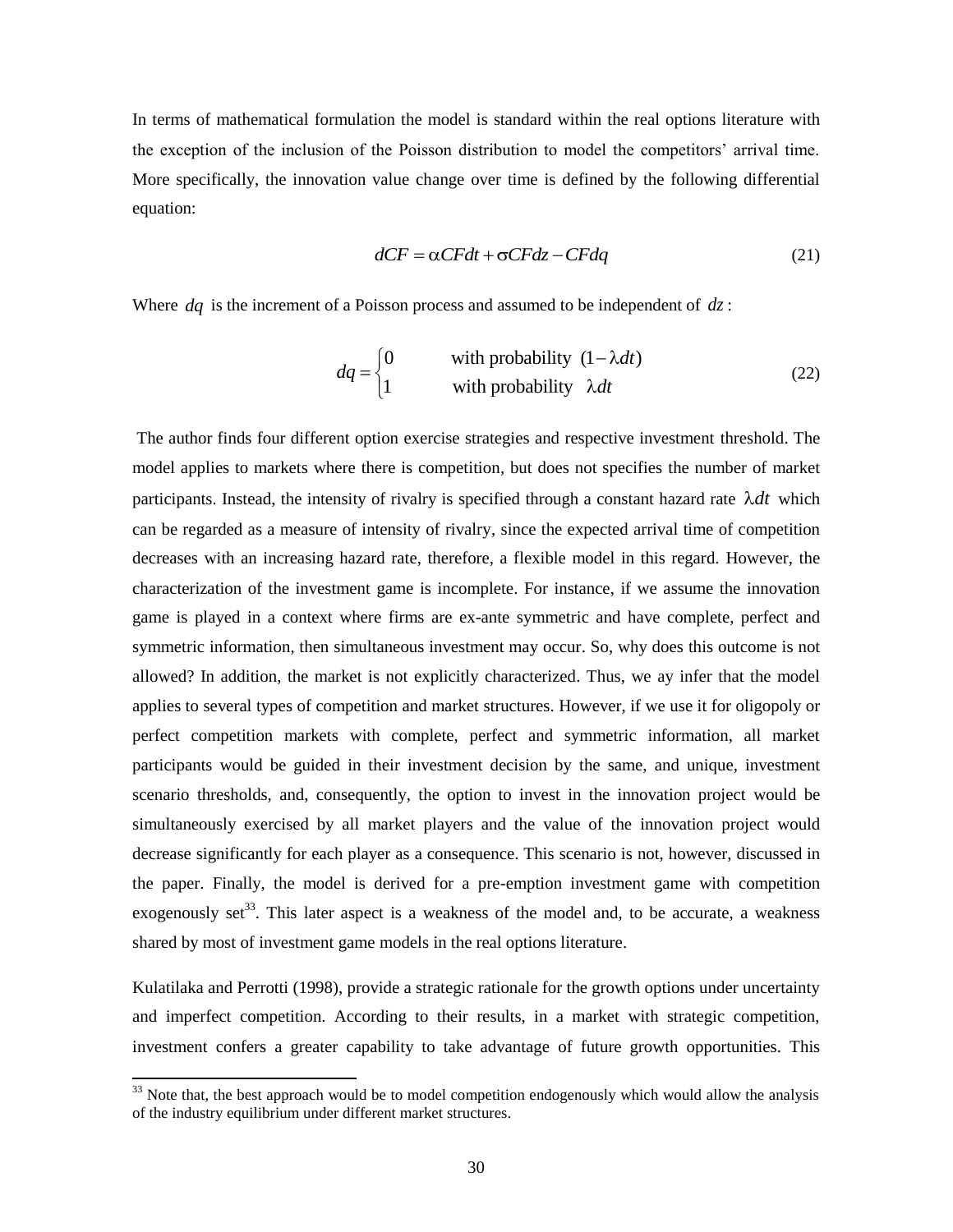In terms of mathematical formulation the model is standard within the real options literature with the exception of the inclusion of the Poisson distribution to model the competitors' arrival time. More specifically, the innovation value change over time is defined by the following differential equation:

$$
dCF = \alpha CFdt + \sigma CFdz - CFdq
$$
 (21)

Where  $dq$  is the increment of a Poisson process and assumed to be independent of  $dz$ :

$$
dq = \begin{cases} 0 & \text{with probability } (1 - \lambda dt) \\ 1 & \text{with probability } \lambda dt \end{cases}
$$
 (22)

The author finds four different option exercise strategies and respective investment threshold. The model applies to markets where there is competition, but does not specifies the number of market participants. Instead, the intensity of rivalry is specified through a constant hazard rate  $\lambda dt$  which can be regarded as a measure of intensity of rivalry, since the expected arrival time of competition decreases with an increasing hazard rate, therefore, a flexible model in this regard. However, the characterization of the investment game is incomplete. For instance, if we assume the innovation game is played in a context where firms are ex-ante symmetric and have complete, perfect and symmetric information, then simultaneous investment may occur. So, why does this outcome is not allowed? In addition, the market is not explicitly characterized. Thus, we ay infer that the model applies to several types of competition and market structures. However, if we use it for oligopoly or perfect competition markets with complete, perfect and symmetric information, all market participants would be guided in their investment decision by the same, and unique, investment scenario thresholds, and, consequently, the option to invest in the innovation project would be simultaneously exercised by all market players and the value of the innovation project would decrease significantly for each player as a consequence. This scenario is not, however, discussed in the paper. Finally, the model is derived for a pre-emption investment game with competition exogenously set<sup>33</sup>. This later aspect is a weakness of the model and, to be accurate, a weakness shared by most of investment game models in the real options literature.

Kulatilaka and Perrotti (1998), provide a strategic rationale for the growth options under uncertainty and imperfect competition. According to their results, in a market with strategic competition, investment confers a greater capability to take advantage of future growth opportunities. This

 $33$  Note that, the best approach would be to model competition endogenously which would allow the analysis of the industry equilibrium under different market structures.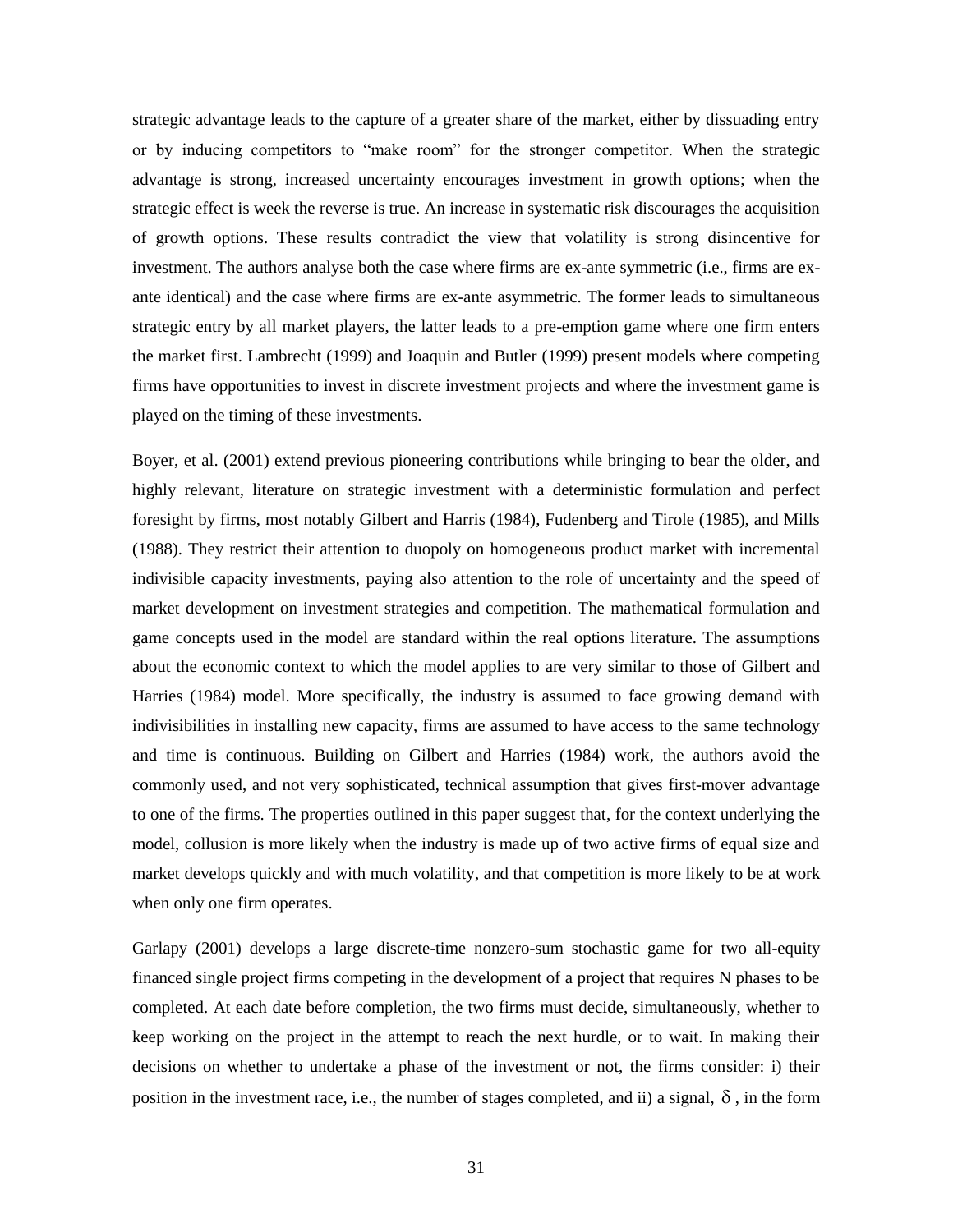strategic advantage leads to the capture of a greater share of the market, either by dissuading entry or by inducing competitors to "make room" for the stronger competitor. When the strategic advantage is strong, increased uncertainty encourages investment in growth options; when the strategic effect is week the reverse is true. An increase in systematic risk discourages the acquisition of growth options. These results contradict the view that volatility is strong disincentive for investment. The authors analyse both the case where firms are ex-ante symmetric (i.e., firms are exante identical) and the case where firms are ex-ante asymmetric. The former leads to simultaneous strategic entry by all market players, the latter leads to a pre-emption game where one firm enters the market first. Lambrecht (1999) and Joaquin and Butler (1999) present models where competing firms have opportunities to invest in discrete investment projects and where the investment game is played on the timing of these investments.

Boyer, et al. (2001) extend previous pioneering contributions while bringing to bear the older, and highly relevant, literature on strategic investment with a deterministic formulation and perfect foresight by firms, most notably Gilbert and Harris (1984), Fudenberg and Tirole (1985), and Mills (1988). They restrict their attention to duopoly on homogeneous product market with incremental indivisible capacity investments, paying also attention to the role of uncertainty and the speed of market development on investment strategies and competition. The mathematical formulation and game concepts used in the model are standard within the real options literature. The assumptions about the economic context to which the model applies to are very similar to those of Gilbert and Harries (1984) model. More specifically, the industry is assumed to face growing demand with indivisibilities in installing new capacity, firms are assumed to have access to the same technology and time is continuous. Building on Gilbert and Harries (1984) work, the authors avoid the commonly used, and not very sophisticated, technical assumption that gives first-mover advantage to one of the firms. The properties outlined in this paper suggest that, for the context underlying the model, collusion is more likely when the industry is made up of two active firms of equal size and market develops quickly and with much volatility, and that competition is more likely to be at work when only one firm operates.

Garlapy (2001) develops a large discrete-time nonzero-sum stochastic game for two all-equity financed single project firms competing in the development of a project that requires N phases to be completed. At each date before completion, the two firms must decide, simultaneously, whether to keep working on the project in the attempt to reach the next hurdle, or to wait. In making their decisions on whether to undertake a phase of the investment or not, the firms consider: i) their position in the investment race, i.e., the number of stages completed, and ii) a signal,  $\delta$ , in the form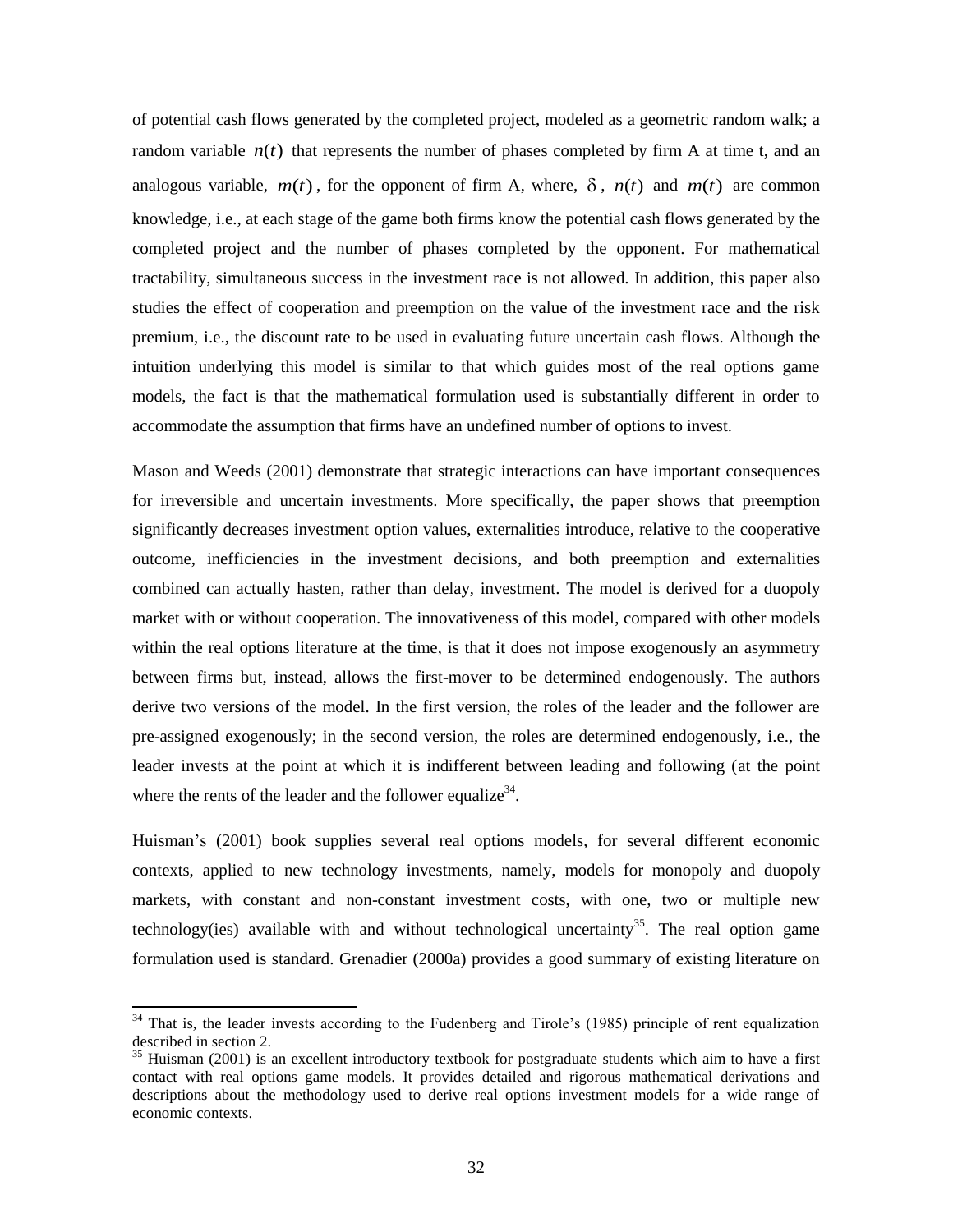of potential cash flows generated by the completed project, modeled as a geometric random walk; a random variable  $n(t)$  that represents the number of phases completed by firm A at time t, and an analogous variable,  $m(t)$ , for the opponent of firm A, where,  $\delta$ ,  $n(t)$  and  $m(t)$  are common knowledge, i.e., at each stage of the game both firms know the potential cash flows generated by the completed project and the number of phases completed by the opponent. For mathematical tractability, simultaneous success in the investment race is not allowed. In addition, this paper also studies the effect of cooperation and preemption on the value of the investment race and the risk premium, i.e., the discount rate to be used in evaluating future uncertain cash flows. Although the intuition underlying this model is similar to that which guides most of the real options game models, the fact is that the mathematical formulation used is substantially different in order to accommodate the assumption that firms have an undefined number of options to invest.

Mason and Weeds (2001) demonstrate that strategic interactions can have important consequences for irreversible and uncertain investments. More specifically, the paper shows that preemption significantly decreases investment option values, externalities introduce, relative to the cooperative outcome, inefficiencies in the investment decisions, and both preemption and externalities combined can actually hasten, rather than delay, investment. The model is derived for a duopoly market with or without cooperation. The innovativeness of this model, compared with other models within the real options literature at the time, is that it does not impose exogenously an asymmetry between firms but, instead, allows the first-mover to be determined endogenously. The authors derive two versions of the model. In the first version, the roles of the leader and the follower are pre-assigned exogenously; in the second version, the roles are determined endogenously, i.e., the leader invests at the point at which it is indifferent between leading and following (at the point where the rents of the leader and the follower equalize<sup>34</sup>.

Huisman's (2001) book supplies several real options models, for several different economic contexts, applied to new technology investments, namely, models for monopoly and duopoly markets, with constant and non-constant investment costs, with one, two or multiple new technology(ies) available with and without technological uncertainty<sup>35</sup>. The real option game formulation used is standard. Grenadier (2000a) provides a good summary of existing literature on

<sup>&</sup>lt;sup>34</sup> That is, the leader invests according to the Fudenberg and Tirole's (1985) principle of rent equalization described in section 2.

<sup>&</sup>lt;sup>35</sup> Huisman (2001) is an excellent introductory textbook for postgraduate students which aim to have a first contact with real options game models. It provides detailed and rigorous mathematical derivations and descriptions about the methodology used to derive real options investment models for a wide range of economic contexts.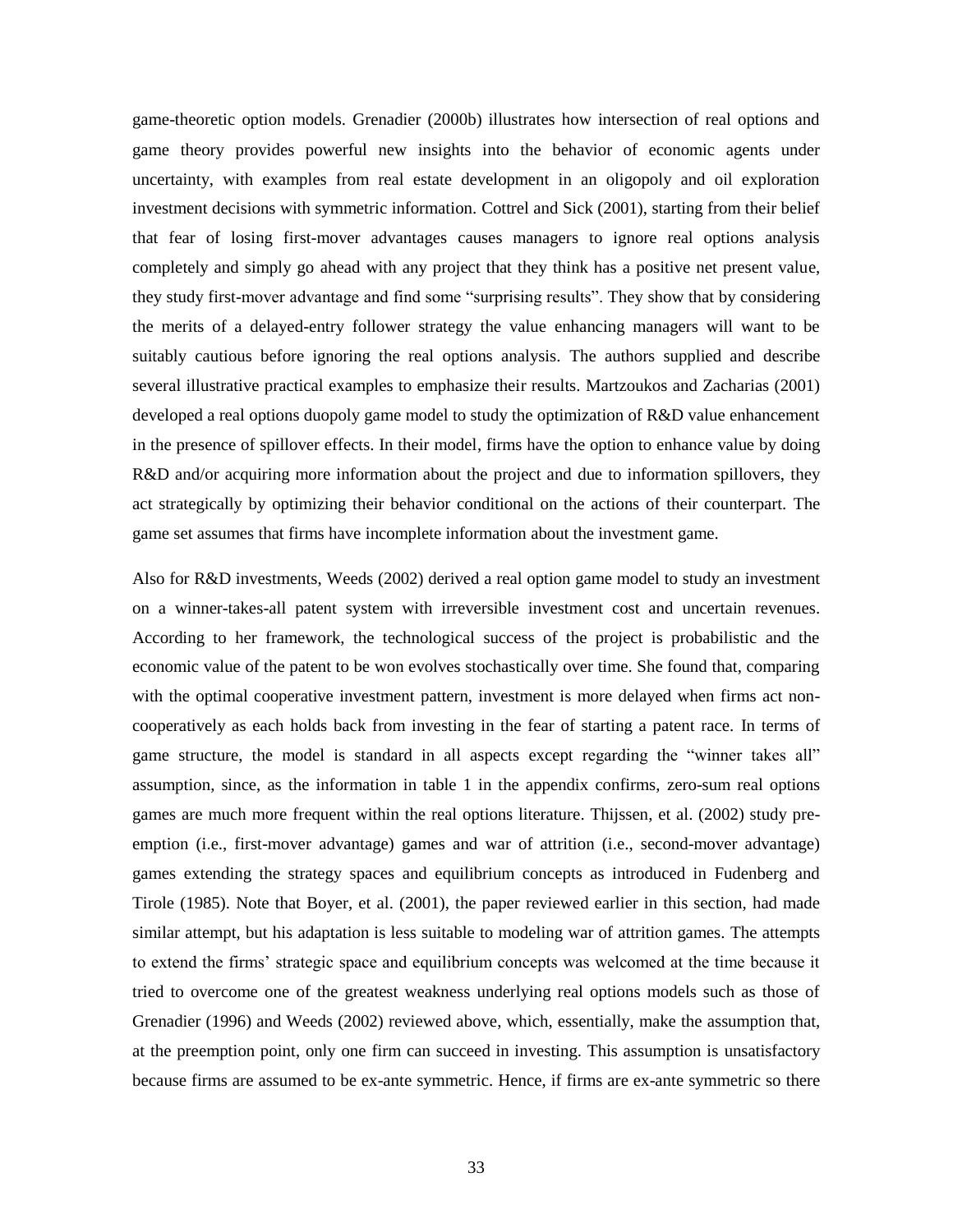game-theoretic option models. Grenadier (2000b) illustrates how intersection of real options and game theory provides powerful new insights into the behavior of economic agents under uncertainty, with examples from real estate development in an oligopoly and oil exploration investment decisions with symmetric information. Cottrel and Sick (2001), starting from their belief that fear of losing first-mover advantages causes managers to ignore real options analysis completely and simply go ahead with any project that they think has a positive net present value, they study first-mover advantage and find some "surprising results". They show that by considering the merits of a delayed-entry follower strategy the value enhancing managers will want to be suitably cautious before ignoring the real options analysis. The authors supplied and describe several illustrative practical examples to emphasize their results. Martzoukos and Zacharias (2001) developed a real options duopoly game model to study the optimization of R&D value enhancement in the presence of spillover effects. In their model, firms have the option to enhance value by doing R&D and/or acquiring more information about the project and due to information spillovers, they act strategically by optimizing their behavior conditional on the actions of their counterpart. The game set assumes that firms have incomplete information about the investment game.

Also for R&D investments, Weeds (2002) derived a real option game model to study an investment on a winner-takes-all patent system with irreversible investment cost and uncertain revenues. According to her framework, the technological success of the project is probabilistic and the economic value of the patent to be won evolves stochastically over time. She found that, comparing with the optimal cooperative investment pattern, investment is more delayed when firms act noncooperatively as each holds back from investing in the fear of starting a patent race. In terms of game structure, the model is standard in all aspects except regarding the "winner takes all" assumption, since, as the information in table 1 in the appendix confirms, zero-sum real options games are much more frequent within the real options literature. Thijssen, et al. (2002) study preemption (i.e., first-mover advantage) games and war of attrition (i.e., second-mover advantage) games extending the strategy spaces and equilibrium concepts as introduced in Fudenberg and Tirole (1985). Note that Boyer, et al. (2001), the paper reviewed earlier in this section, had made similar attempt, but his adaptation is less suitable to modeling war of attrition games. The attempts to extend the firms' strategic space and equilibrium concepts was welcomed at the time because it tried to overcome one of the greatest weakness underlying real options models such as those of Grenadier (1996) and Weeds (2002) reviewed above, which, essentially, make the assumption that, at the preemption point, only one firm can succeed in investing. This assumption is unsatisfactory because firms are assumed to be ex-ante symmetric. Hence, if firms are ex-ante symmetric so there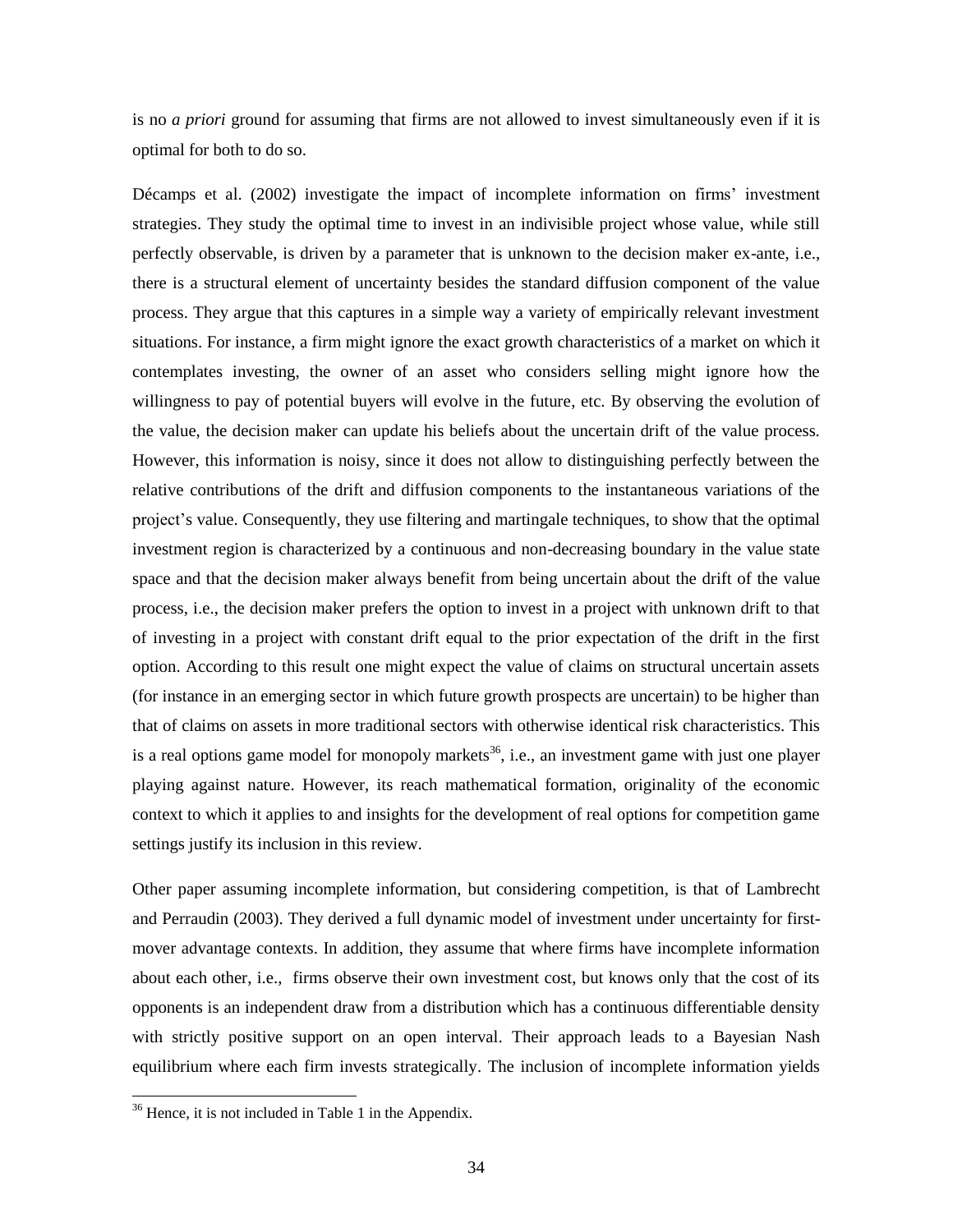is no *a priori* ground for assuming that firms are not allowed to invest simultaneously even if it is optimal for both to do so.

Décamps et al. (2002) investigate the impact of incomplete information on firms' investment strategies. They study the optimal time to invest in an indivisible project whose value, while still perfectly observable, is driven by a parameter that is unknown to the decision maker ex-ante, i.e., there is a structural element of uncertainty besides the standard diffusion component of the value process. They argue that this captures in a simple way a variety of empirically relevant investment situations. For instance, a firm might ignore the exact growth characteristics of a market on which it contemplates investing, the owner of an asset who considers selling might ignore how the willingness to pay of potential buyers will evolve in the future, etc. By observing the evolution of the value, the decision maker can update his beliefs about the uncertain drift of the value process. However, this information is noisy, since it does not allow to distinguishing perfectly between the relative contributions of the drift and diffusion components to the instantaneous variations of the project's value. Consequently, they use filtering and martingale techniques, to show that the optimal investment region is characterized by a continuous and non-decreasing boundary in the value state space and that the decision maker always benefit from being uncertain about the drift of the value process, i.e., the decision maker prefers the option to invest in a project with unknown drift to that of investing in a project with constant drift equal to the prior expectation of the drift in the first option. According to this result one might expect the value of claims on structural uncertain assets (for instance in an emerging sector in which future growth prospects are uncertain) to be higher than that of claims on assets in more traditional sectors with otherwise identical risk characteristics. This is a real options game model for monopoly markets<sup>36</sup>, i.e., an investment game with just one player playing against nature. However, its reach mathematical formation, originality of the economic context to which it applies to and insights for the development of real options for competition game settings justify its inclusion in this review.

Other paper assuming incomplete information, but considering competition, is that of Lambrecht and Perraudin (2003). They derived a full dynamic model of investment under uncertainty for firstmover advantage contexts. In addition, they assume that where firms have incomplete information about each other, i.e., firms observe their own investment cost, but knows only that the cost of its opponents is an independent draw from a distribution which has a continuous differentiable density with strictly positive support on an open interval. Their approach leads to a Bayesian Nash equilibrium where each firm invests strategically. The inclusion of incomplete information yields

<sup>&</sup>lt;sup>36</sup> Hence, it is not included in Table 1 in the Appendix.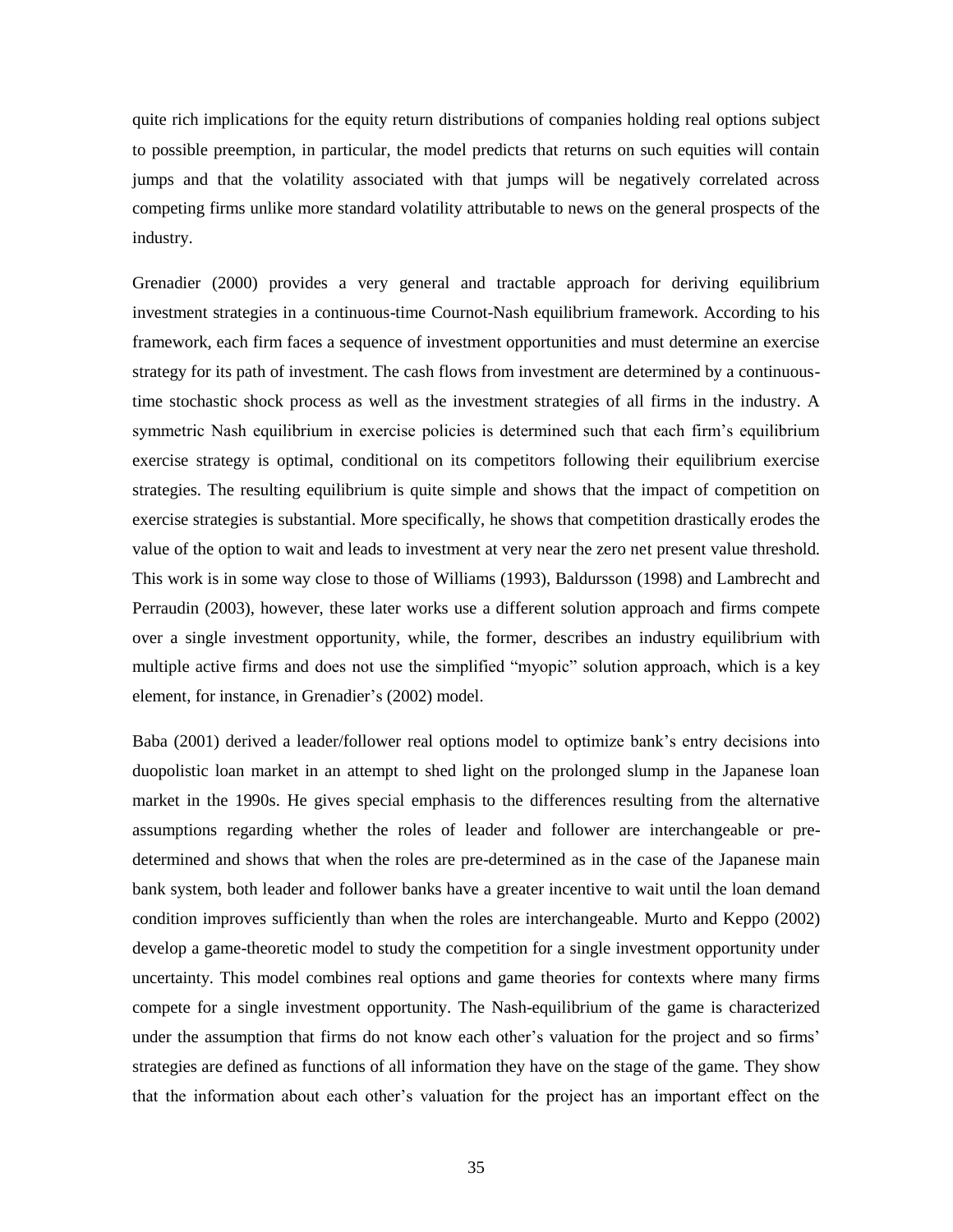quite rich implications for the equity return distributions of companies holding real options subject to possible preemption, in particular, the model predicts that returns on such equities will contain jumps and that the volatility associated with that jumps will be negatively correlated across competing firms unlike more standard volatility attributable to news on the general prospects of the industry.

Grenadier (2000) provides a very general and tractable approach for deriving equilibrium investment strategies in a continuous-time Cournot-Nash equilibrium framework. According to his framework, each firm faces a sequence of investment opportunities and must determine an exercise strategy for its path of investment. The cash flows from investment are determined by a continuoustime stochastic shock process as well as the investment strategies of all firms in the industry. A symmetric Nash equilibrium in exercise policies is determined such that each firm's equilibrium exercise strategy is optimal, conditional on its competitors following their equilibrium exercise strategies. The resulting equilibrium is quite simple and shows that the impact of competition on exercise strategies is substantial. More specifically, he shows that competition drastically erodes the value of the option to wait and leads to investment at very near the zero net present value threshold. This work is in some way close to those of Williams (1993), Baldursson (1998) and Lambrecht and Perraudin (2003), however, these later works use a different solution approach and firms compete over a single investment opportunity, while, the former, describes an industry equilibrium with multiple active firms and does not use the simplified "myopic" solution approach, which is a key element, for instance, in Grenadier's (2002) model.

Baba (2001) derived a leader/follower real options model to optimize bank's entry decisions into duopolistic loan market in an attempt to shed light on the prolonged slump in the Japanese loan market in the 1990s. He gives special emphasis to the differences resulting from the alternative assumptions regarding whether the roles of leader and follower are interchangeable or predetermined and shows that when the roles are pre-determined as in the case of the Japanese main bank system, both leader and follower banks have a greater incentive to wait until the loan demand condition improves sufficiently than when the roles are interchangeable. Murto and Keppo (2002) develop a game-theoretic model to study the competition for a single investment opportunity under uncertainty. This model combines real options and game theories for contexts where many firms compete for a single investment opportunity. The Nash-equilibrium of the game is characterized under the assumption that firms do not know each other's valuation for the project and so firms' strategies are defined as functions of all information they have on the stage of the game. They show that the information about each other's valuation for the project has an important effect on the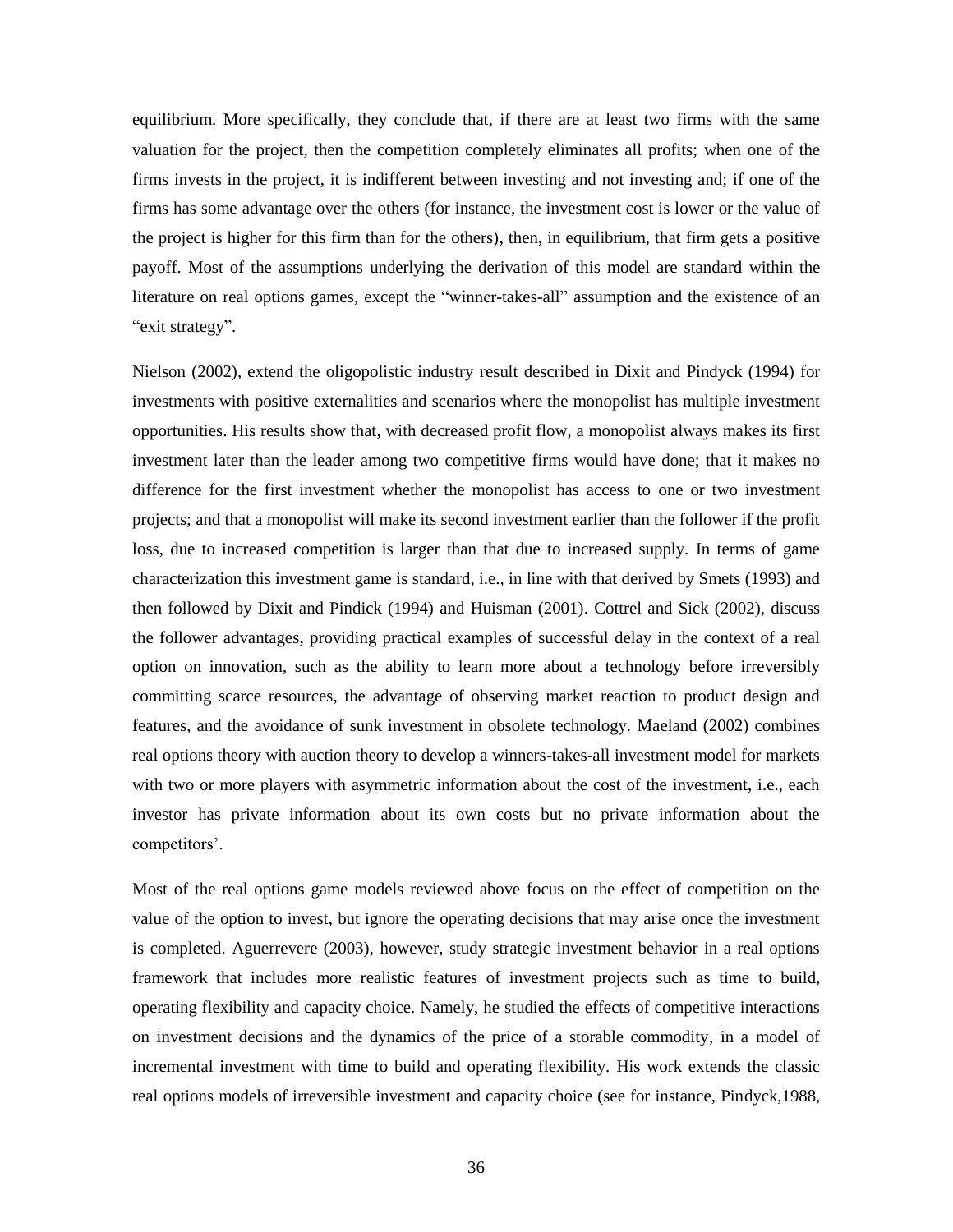equilibrium. More specifically, they conclude that, if there are at least two firms with the same valuation for the project, then the competition completely eliminates all profits; when one of the firms invests in the project, it is indifferent between investing and not investing and; if one of the firms has some advantage over the others (for instance, the investment cost is lower or the value of the project is higher for this firm than for the others), then, in equilibrium, that firm gets a positive payoff. Most of the assumptions underlying the derivation of this model are standard within the literature on real options games, except the "winner-takes-all" assumption and the existence of an "exit strategy".

Nielson (2002), extend the oligopolistic industry result described in Dixit and Pindyck (1994) for investments with positive externalities and scenarios where the monopolist has multiple investment opportunities. His results show that, with decreased profit flow, a monopolist always makes its first investment later than the leader among two competitive firms would have done; that it makes no difference for the first investment whether the monopolist has access to one or two investment projects; and that a monopolist will make its second investment earlier than the follower if the profit loss, due to increased competition is larger than that due to increased supply. In terms of game characterization this investment game is standard, i.e., in line with that derived by Smets (1993) and then followed by Dixit and Pindick (1994) and Huisman (2001). Cottrel and Sick (2002), discuss the follower advantages, providing practical examples of successful delay in the context of a real option on innovation, such as the ability to learn more about a technology before irreversibly committing scarce resources, the advantage of observing market reaction to product design and features, and the avoidance of sunk investment in obsolete technology. Maeland (2002) combines real options theory with auction theory to develop a winners-takes-all investment model for markets with two or more players with asymmetric information about the cost of the investment, i.e., each investor has private information about its own costs but no private information about the competitors'.

Most of the real options game models reviewed above focus on the effect of competition on the value of the option to invest, but ignore the operating decisions that may arise once the investment is completed. Aguerrevere (2003), however, study strategic investment behavior in a real options framework that includes more realistic features of investment projects such as time to build, operating flexibility and capacity choice. Namely, he studied the effects of competitive interactions on investment decisions and the dynamics of the price of a storable commodity, in a model of incremental investment with time to build and operating flexibility. His work extends the classic real options models of irreversible investment and capacity choice (see for instance, Pindyck,1988,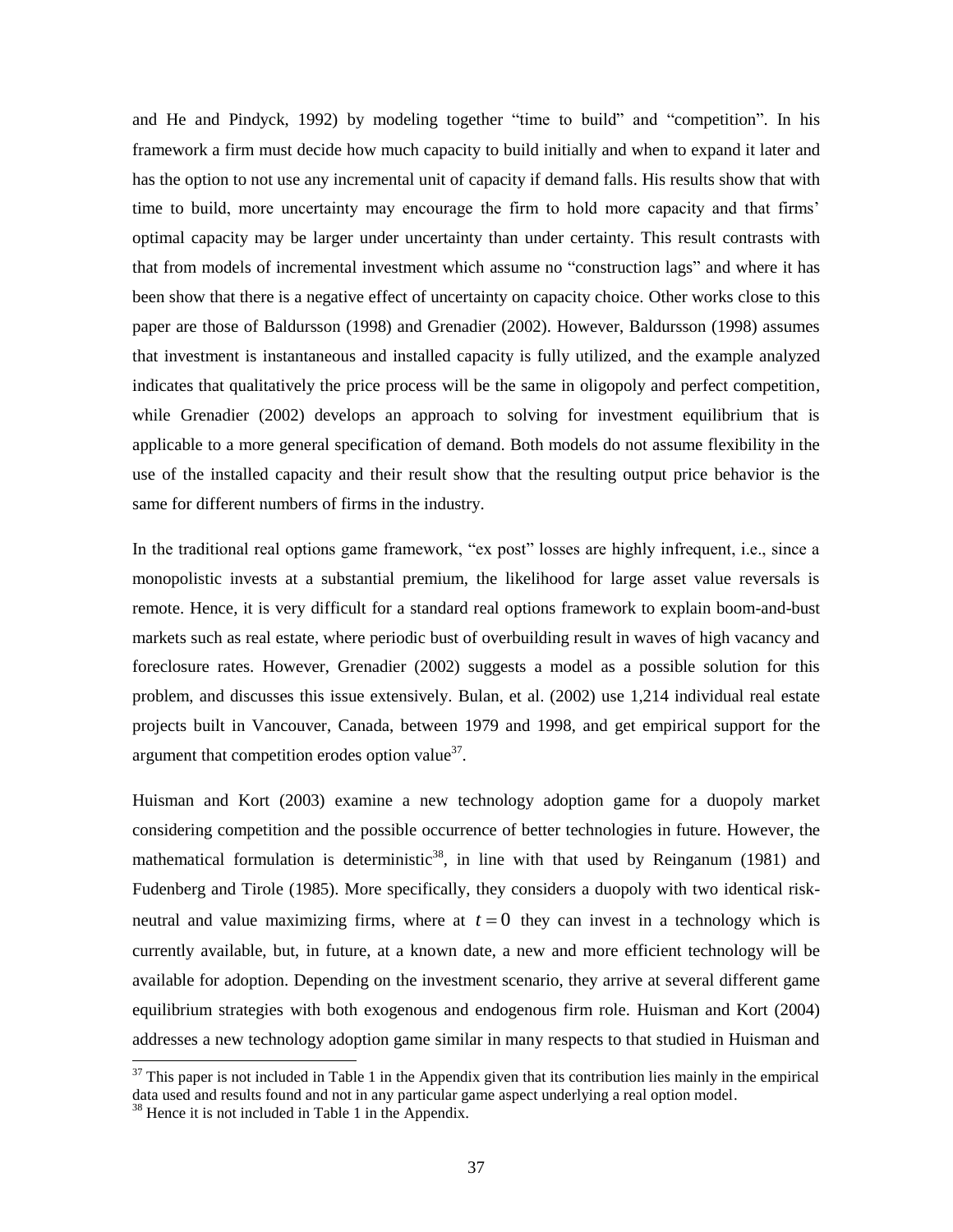and He and Pindyck, 1992) by modeling together "time to build" and "competition". In his framework a firm must decide how much capacity to build initially and when to expand it later and has the option to not use any incremental unit of capacity if demand falls. His results show that with time to build, more uncertainty may encourage the firm to hold more capacity and that firms' optimal capacity may be larger under uncertainty than under certainty. This result contrasts with that from models of incremental investment which assume no "construction lags" and where it has been show that there is a negative effect of uncertainty on capacity choice. Other works close to this paper are those of Baldursson (1998) and Grenadier (2002). However, Baldursson (1998) assumes that investment is instantaneous and installed capacity is fully utilized, and the example analyzed indicates that qualitatively the price process will be the same in oligopoly and perfect competition, while Grenadier (2002) develops an approach to solving for investment equilibrium that is applicable to a more general specification of demand. Both models do not assume flexibility in the use of the installed capacity and their result show that the resulting output price behavior is the same for different numbers of firms in the industry.

In the traditional real options game framework, "ex post" losses are highly infrequent, i.e., since a monopolistic invests at a substantial premium, the likelihood for large asset value reversals is remote. Hence, it is very difficult for a standard real options framework to explain boom-and-bust markets such as real estate, where periodic bust of overbuilding result in waves of high vacancy and foreclosure rates. However, Grenadier (2002) suggests a model as a possible solution for this problem, and discusses this issue extensively. Bulan, et al. (2002) use 1,214 individual real estate projects built in Vancouver, Canada, between 1979 and 1998, and get empirical support for the argument that competition erodes option value $3^7$ .

Huisman and Kort (2003) examine a new technology adoption game for a duopoly market considering competition and the possible occurrence of better technologies in future. However, the mathematical formulation is deterministic<sup>38</sup>, in line with that used by Reinganum (1981) and Fudenberg and Tirole (1985). More specifically, they considers a duopoly with two identical riskneutral and value maximizing firms, where at  $t = 0$  they can invest in a technology which is currently available, but, in future, at a known date, a new and more efficient technology will be available for adoption. Depending on the investment scenario, they arrive at several different game equilibrium strategies with both exogenous and endogenous firm role. Huisman and Kort (2004) addresses a new technology adoption game similar in many respects to that studied in Huisman and

 $37$  This paper is not included in Table 1 in the Appendix given that its contribution lies mainly in the empirical data used and results found and not in any particular game aspect underlying a real option model.

<sup>&</sup>lt;sup>38</sup> Hence it is not included in Table 1 in the Appendix.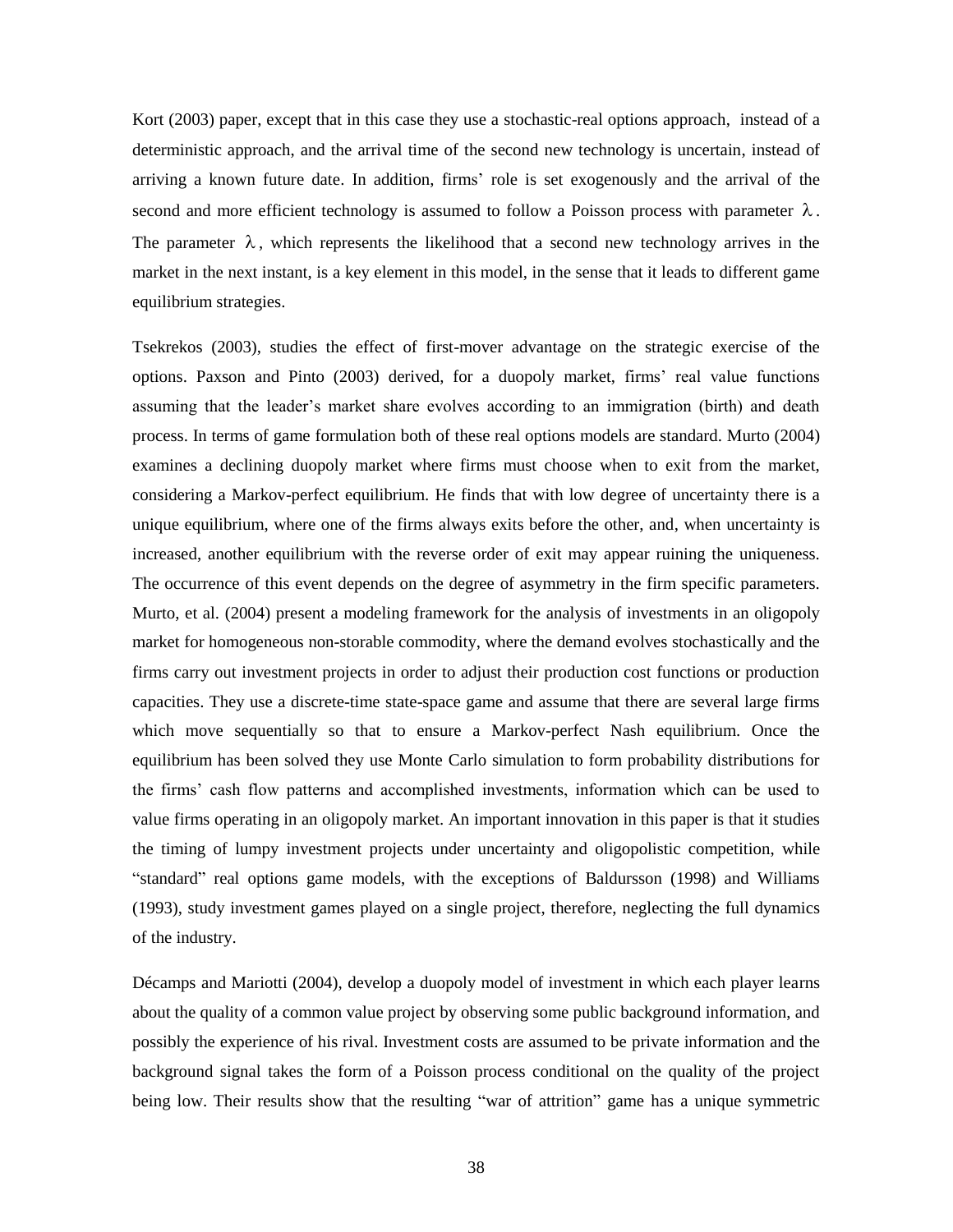Kort (2003) paper, except that in this case they use a stochastic-real options approach, instead of a deterministic approach, and the arrival time of the second new technology is uncertain, instead of arriving a known future date. In addition, firms' role is set exogenously and the arrival of the second and more efficient technology is assumed to follow a Poisson process with parameter  $\lambda$ . The parameter  $\lambda$ , which represents the likelihood that a second new technology arrives in the market in the next instant, is a key element in this model, in the sense that it leads to different game equilibrium strategies.

Tsekrekos (2003), studies the effect of first-mover advantage on the strategic exercise of the options. Paxson and Pinto (2003) derived, for a duopoly market, firms' real value functions assuming that the leader's market share evolves according to an immigration (birth) and death process. In terms of game formulation both of these real options models are standard. Murto (2004) examines a declining duopoly market where firms must choose when to exit from the market, considering a Markov-perfect equilibrium. He finds that with low degree of uncertainty there is a unique equilibrium, where one of the firms always exits before the other, and, when uncertainty is increased, another equilibrium with the reverse order of exit may appear ruining the uniqueness. The occurrence of this event depends on the degree of asymmetry in the firm specific parameters. Murto, et al. (2004) present a modeling framework for the analysis of investments in an oligopoly market for homogeneous non-storable commodity, where the demand evolves stochastically and the firms carry out investment projects in order to adjust their production cost functions or production capacities. They use a discrete-time state-space game and assume that there are several large firms which move sequentially so that to ensure a Markov-perfect Nash equilibrium. Once the equilibrium has been solved they use Monte Carlo simulation to form probability distributions for the firms' cash flow patterns and accomplished investments, information which can be used to value firms operating in an oligopoly market. An important innovation in this paper is that it studies the timing of lumpy investment projects under uncertainty and oligopolistic competition, while "standard" real options game models, with the exceptions of Baldursson (1998) and Williams (1993), study investment games played on a single project, therefore, neglecting the full dynamics of the industry.

Décamps and Mariotti (2004), develop a duopoly model of investment in which each player learns about the quality of a common value project by observing some public background information, and possibly the experience of his rival. Investment costs are assumed to be private information and the background signal takes the form of a Poisson process conditional on the quality of the project being low. Their results show that the resulting "war of attrition" game has a unique symmetric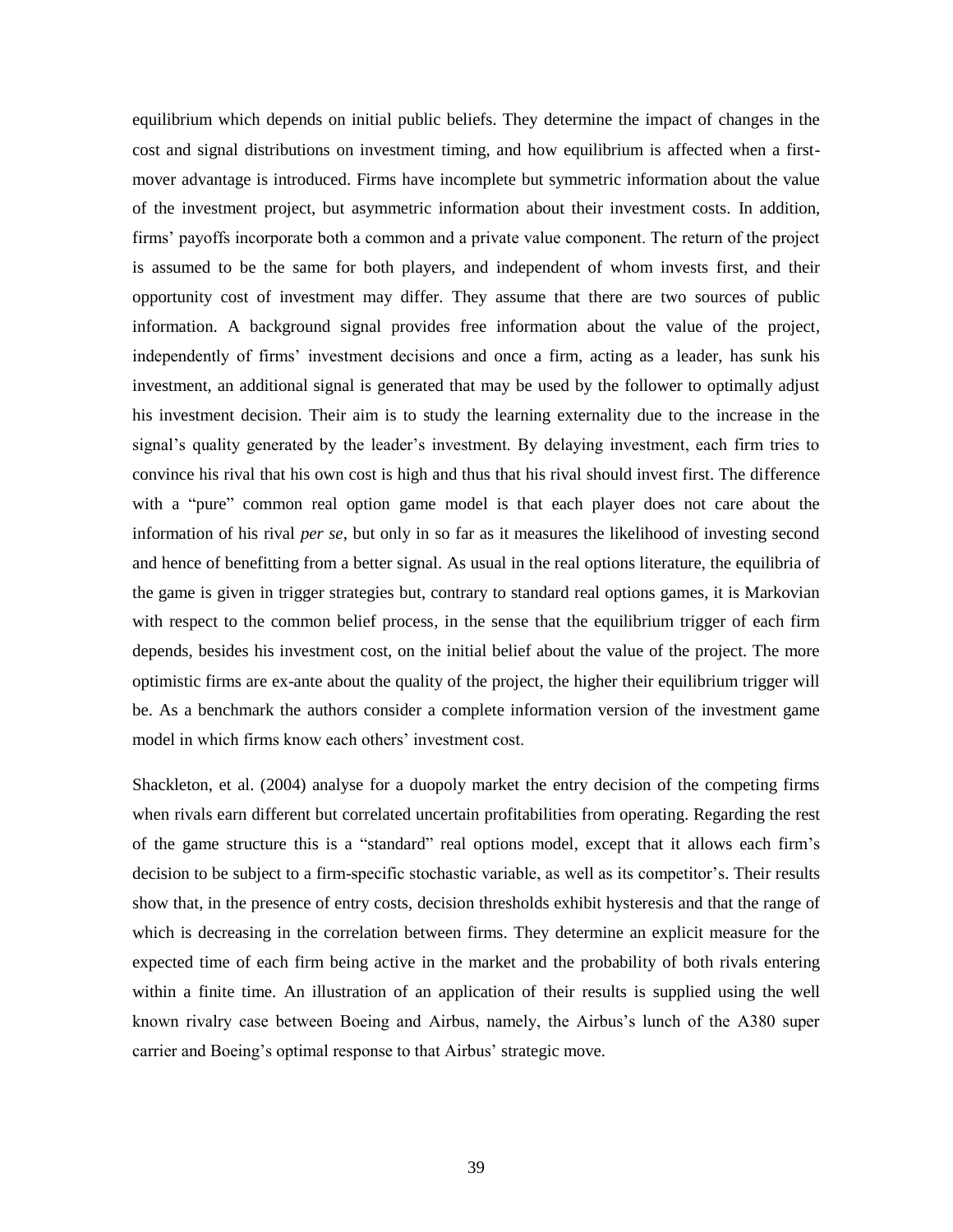equilibrium which depends on initial public beliefs. They determine the impact of changes in the cost and signal distributions on investment timing, and how equilibrium is affected when a firstmover advantage is introduced. Firms have incomplete but symmetric information about the value of the investment project, but asymmetric information about their investment costs. In addition, firms' payoffs incorporate both a common and a private value component. The return of the project is assumed to be the same for both players, and independent of whom invests first, and their opportunity cost of investment may differ. They assume that there are two sources of public information. A background signal provides free information about the value of the project, independently of firms' investment decisions and once a firm, acting as a leader, has sunk his investment, an additional signal is generated that may be used by the follower to optimally adjust his investment decision. Their aim is to study the learning externality due to the increase in the signal's quality generated by the leader's investment. By delaying investment, each firm tries to convince his rival that his own cost is high and thus that his rival should invest first. The difference with a "pure" common real option game model is that each player does not care about the information of his rival *per se*, but only in so far as it measures the likelihood of investing second and hence of benefitting from a better signal. As usual in the real options literature, the equilibria of the game is given in trigger strategies but, contrary to standard real options games, it is Markovian with respect to the common belief process, in the sense that the equilibrium trigger of each firm depends, besides his investment cost, on the initial belief about the value of the project. The more optimistic firms are ex-ante about the quality of the project, the higher their equilibrium trigger will be. As a benchmark the authors consider a complete information version of the investment game model in which firms know each others' investment cost.

Shackleton, et al. (2004) analyse for a duopoly market the entry decision of the competing firms when rivals earn different but correlated uncertain profitabilities from operating. Regarding the rest of the game structure this is a "standard" real options model, except that it allows each firm's decision to be subject to a firm-specific stochastic variable, as well as its competitor's. Their results show that, in the presence of entry costs, decision thresholds exhibit hysteresis and that the range of which is decreasing in the correlation between firms. They determine an explicit measure for the expected time of each firm being active in the market and the probability of both rivals entering within a finite time. An illustration of an application of their results is supplied using the well known rivalry case between Boeing and Airbus, namely, the Airbus's lunch of the A380 super carrier and Boeing's optimal response to that Airbus' strategic move.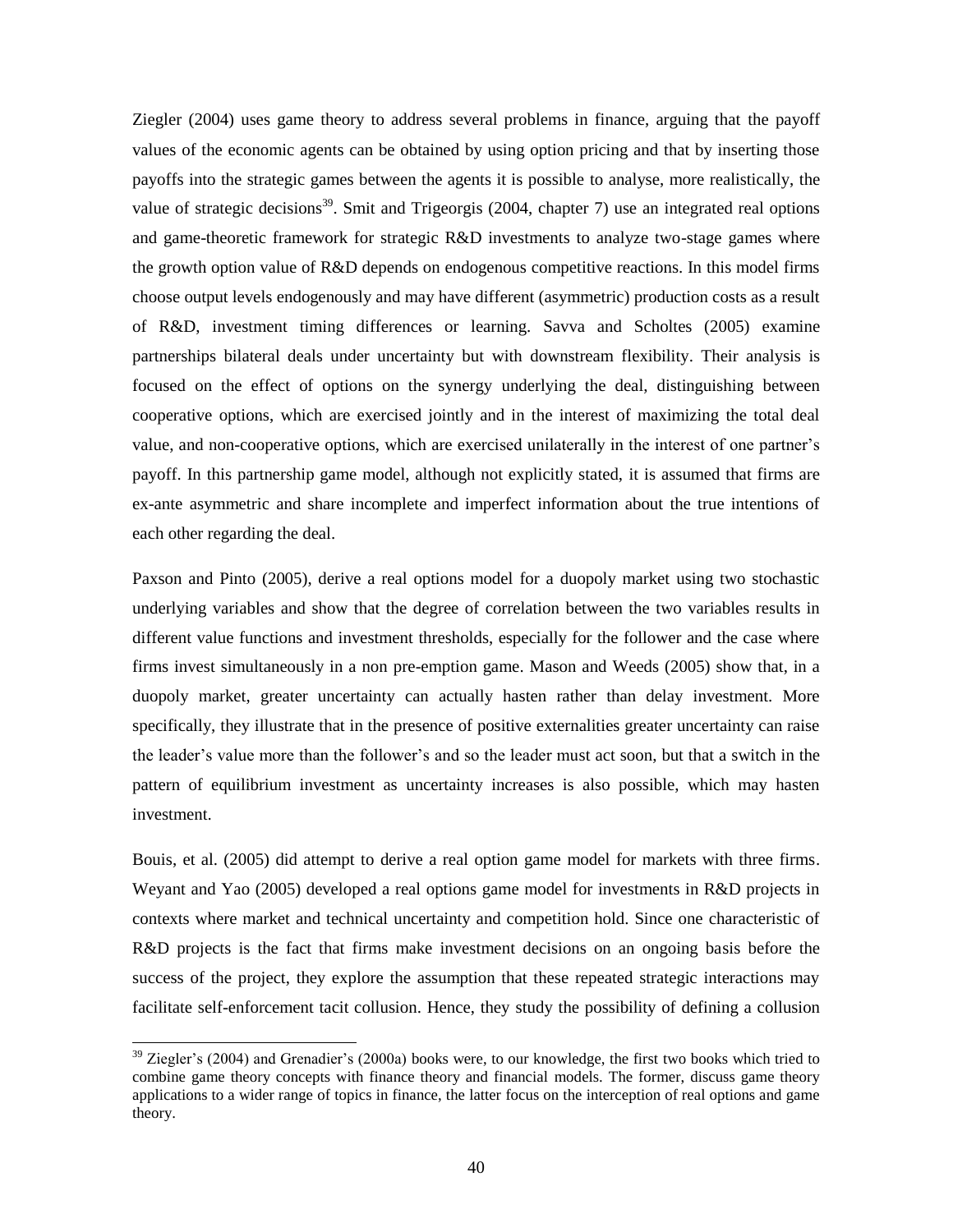Ziegler (2004) uses game theory to address several problems in finance, arguing that the payoff values of the economic agents can be obtained by using option pricing and that by inserting those payoffs into the strategic games between the agents it is possible to analyse, more realistically, the value of strategic decisions<sup>39</sup>. Smit and Trigeorgis (2004, chapter 7) use an integrated real options and game-theoretic framework for strategic R&D investments to analyze two-stage games where the growth option value of R&D depends on endogenous competitive reactions. In this model firms choose output levels endogenously and may have different (asymmetric) production costs as a result of R&D, investment timing differences or learning. Savva and Scholtes (2005) examine partnerships bilateral deals under uncertainty but with downstream flexibility. Their analysis is focused on the effect of options on the synergy underlying the deal, distinguishing between cooperative options, which are exercised jointly and in the interest of maximizing the total deal value, and non-cooperative options, which are exercised unilaterally in the interest of one partner's payoff. In this partnership game model, although not explicitly stated, it is assumed that firms are ex-ante asymmetric and share incomplete and imperfect information about the true intentions of each other regarding the deal.

Paxson and Pinto (2005), derive a real options model for a duopoly market using two stochastic underlying variables and show that the degree of correlation between the two variables results in different value functions and investment thresholds, especially for the follower and the case where firms invest simultaneously in a non pre-emption game. Mason and Weeds (2005) show that, in a duopoly market, greater uncertainty can actually hasten rather than delay investment. More specifically, they illustrate that in the presence of positive externalities greater uncertainty can raise the leader's value more than the follower's and so the leader must act soon, but that a switch in the pattern of equilibrium investment as uncertainty increases is also possible, which may hasten investment.

Bouis, et al. (2005) did attempt to derive a real option game model for markets with three firms. Weyant and Yao (2005) developed a real options game model for investments in R&D projects in contexts where market and technical uncertainty and competition hold. Since one characteristic of R&D projects is the fact that firms make investment decisions on an ongoing basis before the success of the project, they explore the assumption that these repeated strategic interactions may facilitate self-enforcement tacit collusion. Hence, they study the possibility of defining a collusion

 $39$  Ziegler's (2004) and Grenadier's (2000a) books were, to our knowledge, the first two books which tried to combine game theory concepts with finance theory and financial models. The former, discuss game theory applications to a wider range of topics in finance, the latter focus on the interception of real options and game theory.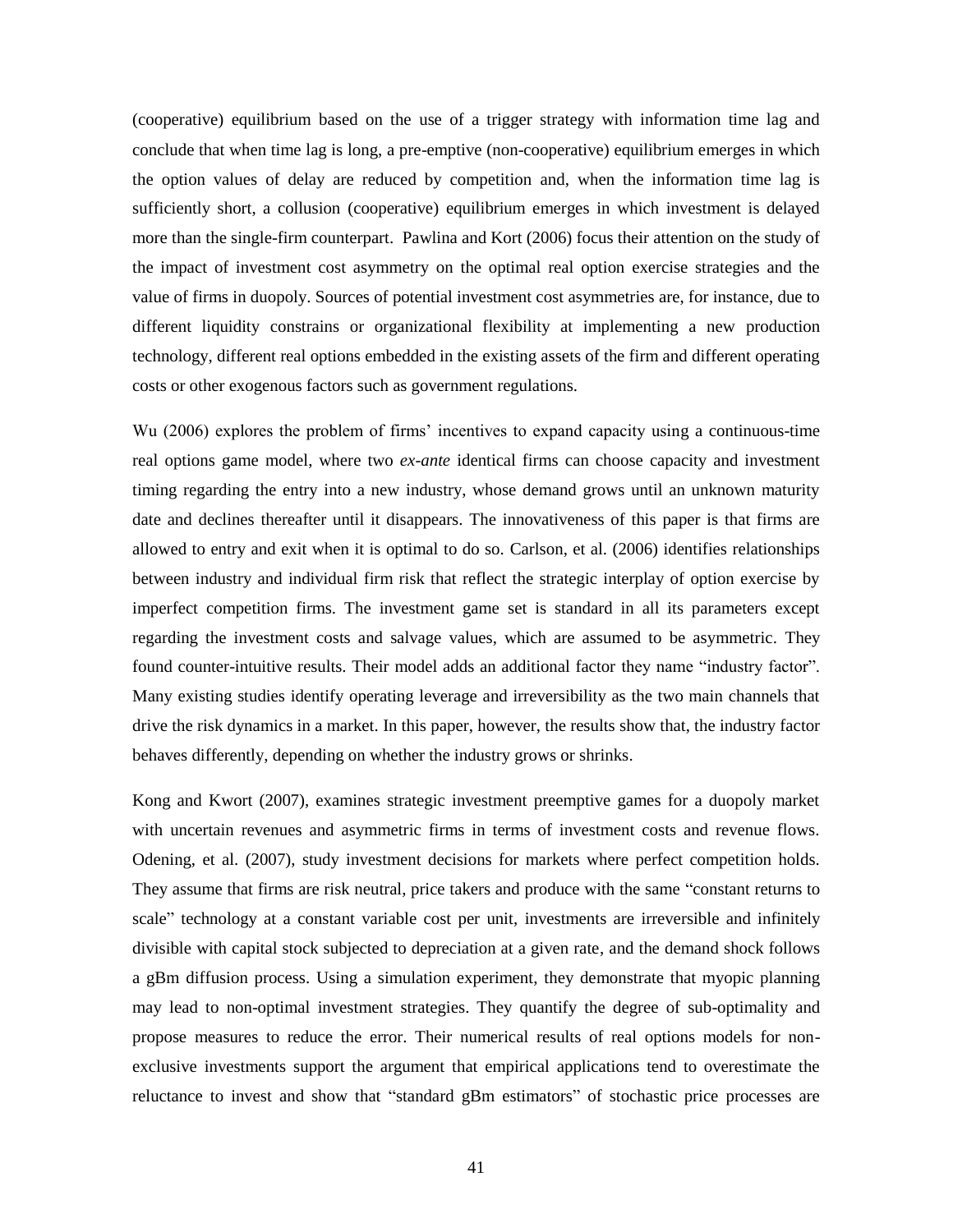(cooperative) equilibrium based on the use of a trigger strategy with information time lag and conclude that when time lag is long, a pre-emptive (non-cooperative) equilibrium emerges in which the option values of delay are reduced by competition and, when the information time lag is sufficiently short, a collusion (cooperative) equilibrium emerges in which investment is delayed more than the single-firm counterpart. Pawlina and Kort (2006) focus their attention on the study of the impact of investment cost asymmetry on the optimal real option exercise strategies and the value of firms in duopoly. Sources of potential investment cost asymmetries are, for instance, due to different liquidity constrains or organizational flexibility at implementing a new production technology, different real options embedded in the existing assets of the firm and different operating costs or other exogenous factors such as government regulations.

Wu (2006) explores the problem of firms' incentives to expand capacity using a continuous-time real options game model, where two *ex-ante* identical firms can choose capacity and investment timing regarding the entry into a new industry, whose demand grows until an unknown maturity date and declines thereafter until it disappears. The innovativeness of this paper is that firms are allowed to entry and exit when it is optimal to do so. Carlson, et al. (2006) identifies relationships between industry and individual firm risk that reflect the strategic interplay of option exercise by imperfect competition firms. The investment game set is standard in all its parameters except regarding the investment costs and salvage values, which are assumed to be asymmetric. They found counter-intuitive results. Their model adds an additional factor they name "industry factor". Many existing studies identify operating leverage and irreversibility as the two main channels that drive the risk dynamics in a market. In this paper, however, the results show that, the industry factor behaves differently, depending on whether the industry grows or shrinks.

Kong and Kwort (2007), examines strategic investment preemptive games for a duopoly market with uncertain revenues and asymmetric firms in terms of investment costs and revenue flows. Odening, et al. (2007), study investment decisions for markets where perfect competition holds. They assume that firms are risk neutral, price takers and produce with the same "constant returns to scale" technology at a constant variable cost per unit, investments are irreversible and infinitely divisible with capital stock subjected to depreciation at a given rate, and the demand shock follows a gBm diffusion process. Using a simulation experiment, they demonstrate that myopic planning may lead to non-optimal investment strategies. They quantify the degree of sub-optimality and propose measures to reduce the error. Their numerical results of real options models for nonexclusive investments support the argument that empirical applications tend to overestimate the reluctance to invest and show that "standard gBm estimators" of stochastic price processes are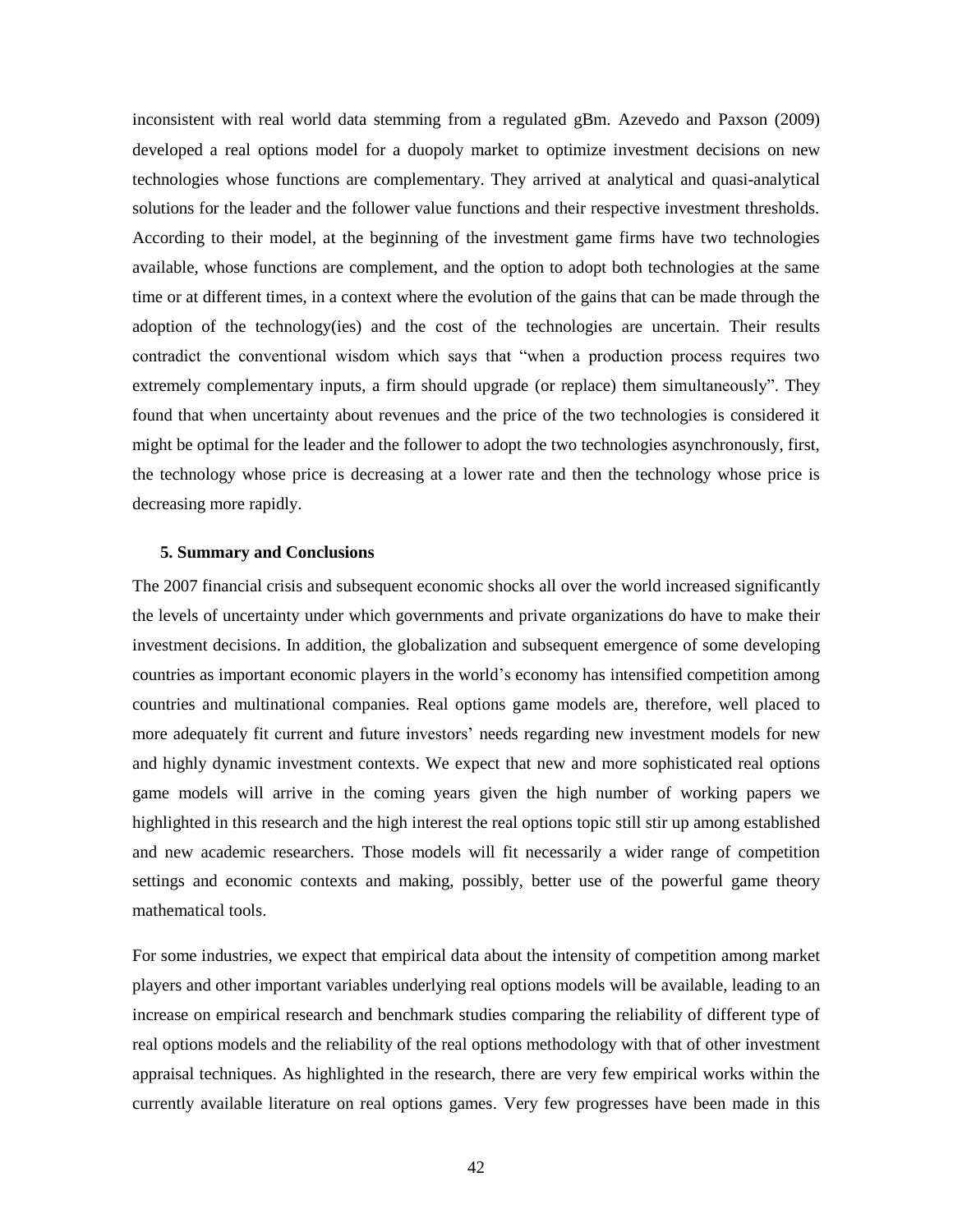inconsistent with real world data stemming from a regulated gBm. Azevedo and Paxson (2009) developed a real options model for a duopoly market to optimize investment decisions on new technologies whose functions are complementary. They arrived at analytical and quasi-analytical solutions for the leader and the follower value functions and their respective investment thresholds. According to their model, at the beginning of the investment game firms have two technologies available, whose functions are complement, and the option to adopt both technologies at the same time or at different times, in a context where the evolution of the gains that can be made through the adoption of the technology(ies) and the cost of the technologies are uncertain. Their results contradict the conventional wisdom which says that "when a production process requires two extremely complementary inputs, a firm should upgrade (or replace) them simultaneously". They found that when uncertainty about revenues and the price of the two technologies is considered it might be optimal for the leader and the follower to adopt the two technologies asynchronously, first, the technology whose price is decreasing at a lower rate and then the technology whose price is decreasing more rapidly.

#### **5. Summary and Conclusions**

The 2007 financial crisis and subsequent economic shocks all over the world increased significantly the levels of uncertainty under which governments and private organizations do have to make their investment decisions. In addition, the globalization and subsequent emergence of some developing countries as important economic players in the world's economy has intensified competition among countries and multinational companies. Real options game models are, therefore, well placed to more adequately fit current and future investors' needs regarding new investment models for new and highly dynamic investment contexts. We expect that new and more sophisticated real options game models will arrive in the coming years given the high number of working papers we highlighted in this research and the high interest the real options topic still stir up among established and new academic researchers. Those models will fit necessarily a wider range of competition settings and economic contexts and making, possibly, better use of the powerful game theory mathematical tools.

For some industries, we expect that empirical data about the intensity of competition among market players and other important variables underlying real options models will be available, leading to an increase on empirical research and benchmark studies comparing the reliability of different type of real options models and the reliability of the real options methodology with that of other investment appraisal techniques. As highlighted in the research, there are very few empirical works within the currently available literature on real options games. Very few progresses have been made in this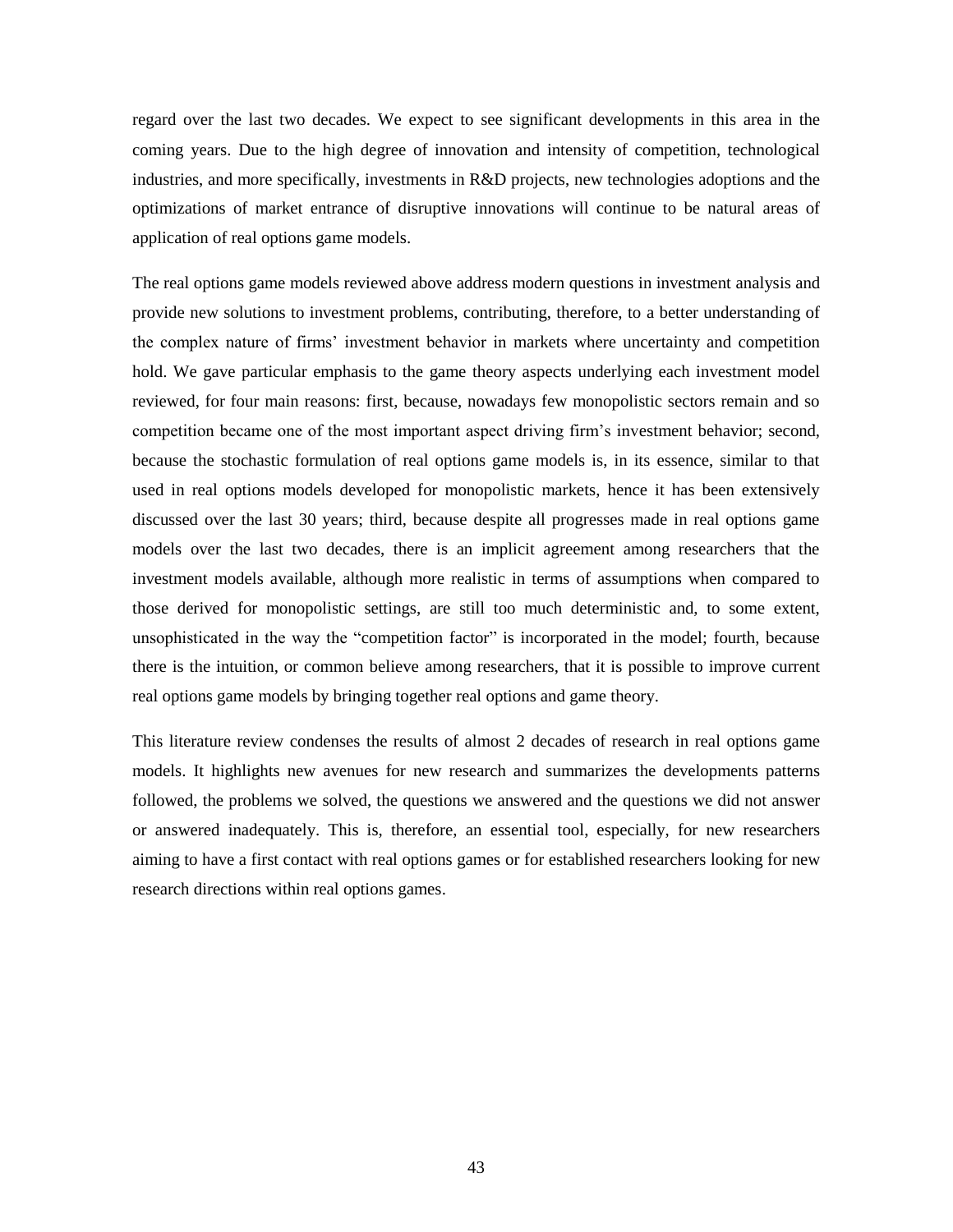regard over the last two decades. We expect to see significant developments in this area in the coming years. Due to the high degree of innovation and intensity of competition, technological industries, and more specifically, investments in R&D projects, new technologies adoptions and the optimizations of market entrance of disruptive innovations will continue to be natural areas of application of real options game models.

The real options game models reviewed above address modern questions in investment analysis and provide new solutions to investment problems, contributing, therefore, to a better understanding of the complex nature of firms' investment behavior in markets where uncertainty and competition hold. We gave particular emphasis to the game theory aspects underlying each investment model reviewed, for four main reasons: first, because, nowadays few monopolistic sectors remain and so competition became one of the most important aspect driving firm's investment behavior; second, because the stochastic formulation of real options game models is, in its essence, similar to that used in real options models developed for monopolistic markets, hence it has been extensively discussed over the last 30 years; third, because despite all progresses made in real options game models over the last two decades, there is an implicit agreement among researchers that the investment models available, although more realistic in terms of assumptions when compared to those derived for monopolistic settings, are still too much deterministic and, to some extent, unsophisticated in the way the "competition factor" is incorporated in the model; fourth, because there is the intuition, or common believe among researchers, that it is possible to improve current real options game models by bringing together real options and game theory.

This literature review condenses the results of almost 2 decades of research in real options game models. It highlights new avenues for new research and summarizes the developments patterns followed, the problems we solved, the questions we answered and the questions we did not answer or answered inadequately. This is, therefore, an essential tool, especially, for new researchers aiming to have a first contact with real options games or for established researchers looking for new research directions within real options games.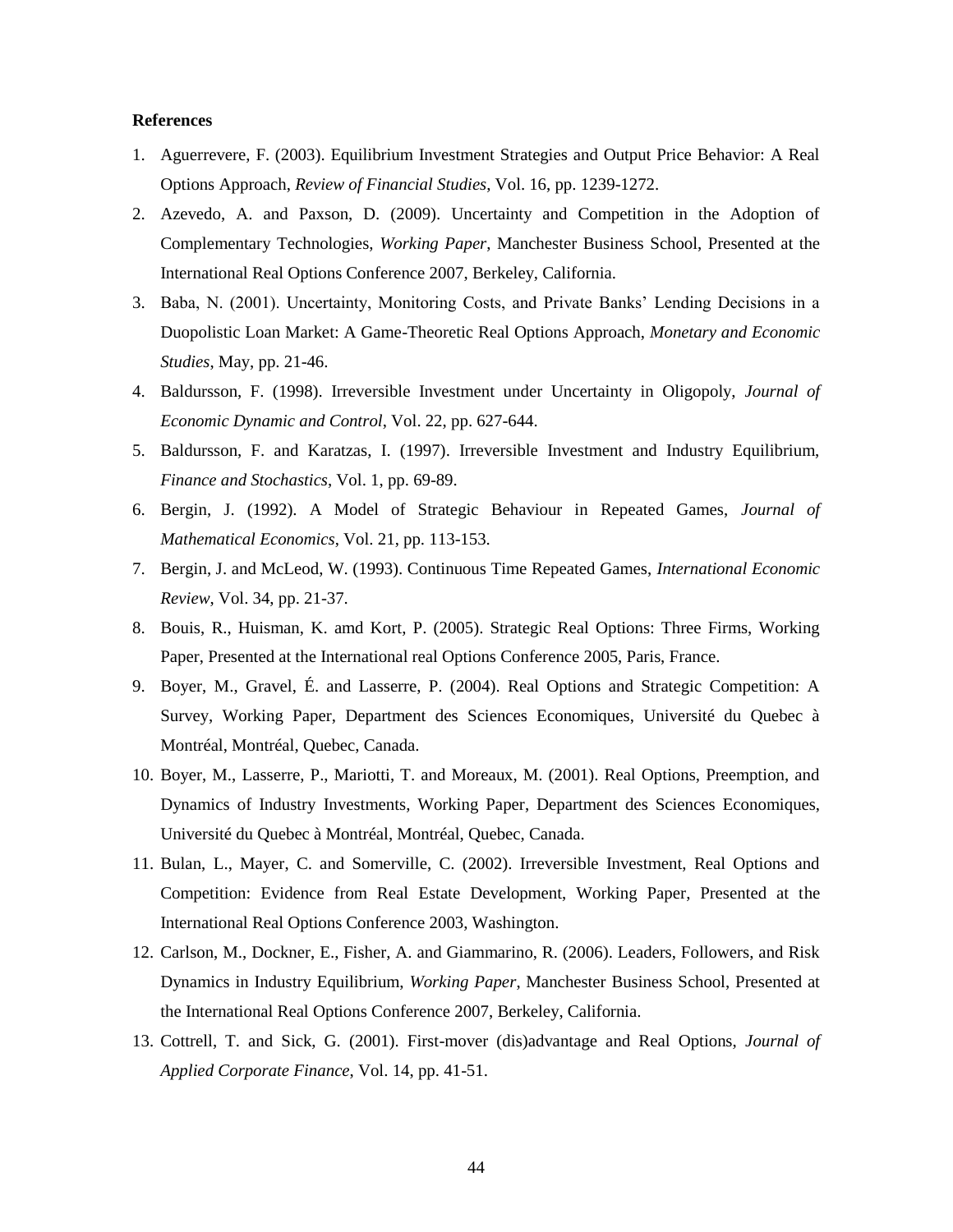#### **References**

- 1. Aguerrevere, F. (2003). Equilibrium Investment Strategies and Output Price Behavior: A Real Options Approach, *Review of Financial Studies*, Vol. 16, pp. 1239-1272.
- 2. Azevedo, A. and Paxson, D. (2009). Uncertainty and Competition in the Adoption of Complementary Technologies, *Working Paper*, Manchester Business School, Presented at the International Real Options Conference 2007, Berkeley, California.
- 3. Baba, N. (2001). Uncertainty, Monitoring Costs, and Private Banks' Lending Decisions in a Duopolistic Loan Market: A Game-Theoretic Real Options Approach, *Monetary and Economic Studies*, May, pp. 21-46.
- 4. Baldursson, F. (1998). Irreversible Investment under Uncertainty in Oligopoly, *Journal of Economic Dynamic and Control*, Vol. 22, pp. 627-644.
- 5. Baldursson, F. and Karatzas, I. (1997). Irreversible Investment and Industry Equilibrium, *Finance and Stochastics*, Vol. 1, pp. 69-89.
- 6. Bergin, J. (1992). A Model of Strategic Behaviour in Repeated Games, *Journal of Mathematical Economics*, Vol. 21, pp. 113-153.
- 7. Bergin, J. and McLeod, W. (1993). Continuous Time Repeated Games, *International Economic Review*, Vol. 34, pp. 21-37.
- 8. Bouis, R., Huisman, K. amd Kort, P. (2005). Strategic Real Options: Three Firms, Working Paper, Presented at the International real Options Conference 2005, Paris, France.
- 9. Boyer, M., Gravel, É. and Lasserre, P. (2004). Real Options and Strategic Competition: A Survey, Working Paper, Department des Sciences Economiques, Université du Quebec à Montréal, Montréal, Quebec, Canada.
- 10. Boyer, M., Lasserre, P., Mariotti, T. and Moreaux, M. (2001). Real Options, Preemption, and Dynamics of Industry Investments, Working Paper, Department des Sciences Economiques, Université du Quebec à Montréal, Montréal, Quebec, Canada.
- 11. Bulan, L., Mayer, C. and Somerville, C. (2002). Irreversible Investment, Real Options and Competition: Evidence from Real Estate Development, Working Paper, Presented at the International Real Options Conference 2003, Washington.
- 12. Carlson, M., Dockner, E., Fisher, A. and Giammarino, R. (2006). Leaders, Followers, and Risk Dynamics in Industry Equilibrium, *Working Paper*, Manchester Business School, Presented at the International Real Options Conference 2007, Berkeley, California.
- 13. Cottrell, T. and Sick, G. (2001). First-mover (dis)advantage and Real Options, *Journal of Applied Corporate Finance*, Vol. 14, pp. 41-51.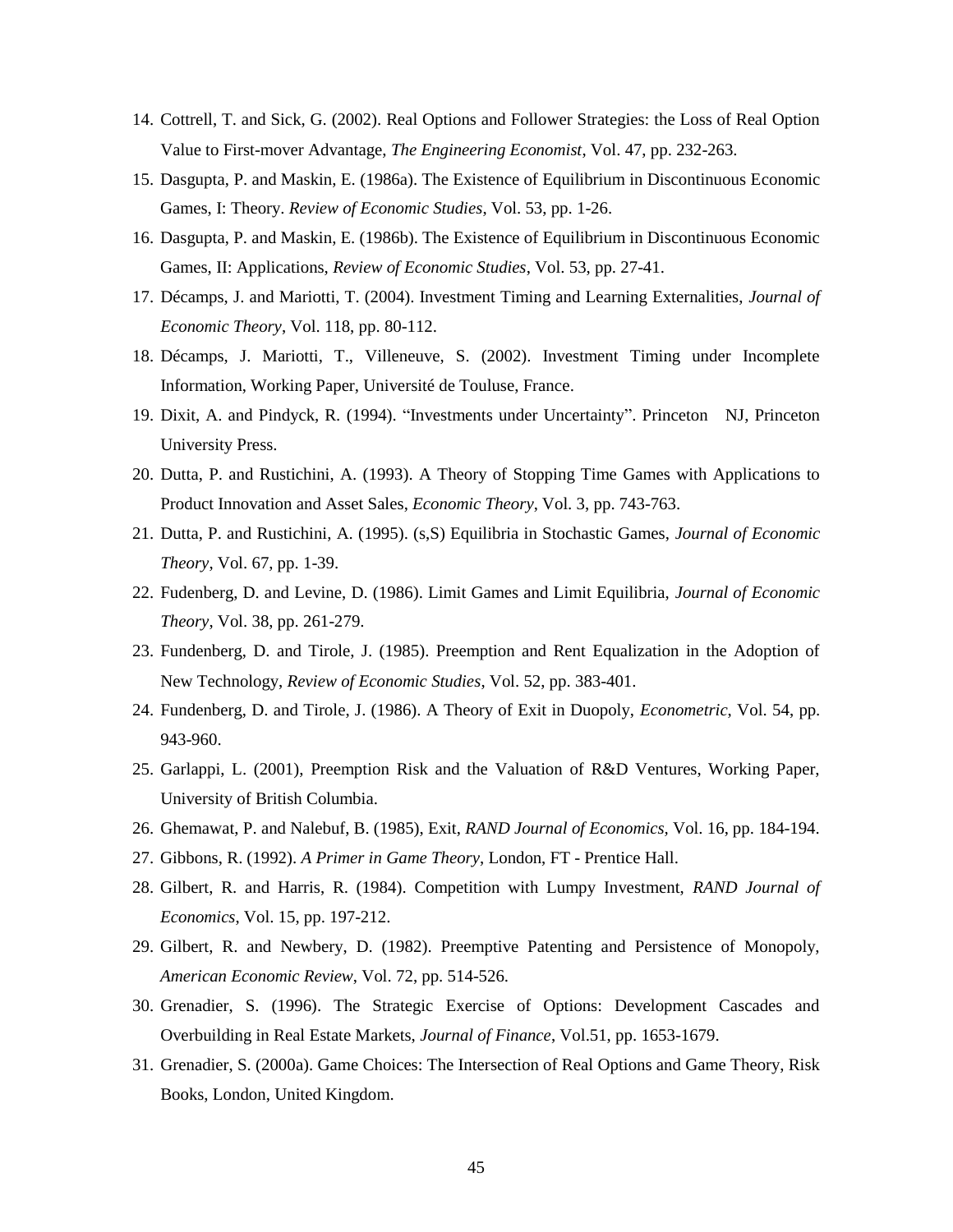- 14. Cottrell, T. and Sick, G. (2002). Real Options and Follower Strategies: the Loss of Real Option Value to First-mover Advantage, *The Engineering Economist*, Vol. 47, pp. 232-263.
- 15. Dasgupta, P. and Maskin, E. (1986a). The Existence of Equilibrium in Discontinuous Economic Games, I: Theory. *Review of Economic Studies*, Vol. 53, pp. 1-26.
- 16. Dasgupta, P. and Maskin, E. (1986b). The Existence of Equilibrium in Discontinuous Economic Games, II: Applications, *Review of Economic Studies*, Vol. 53, pp. 27-41.
- 17. Décamps, J. and Mariotti, T. (2004). Investment Timing and Learning Externalities, *Journal of Economic Theory*, Vol. 118, pp. 80-112.
- 18. Décamps, J. Mariotti, T., Villeneuve, S. (2002). Investment Timing under Incomplete Information, Working Paper, Université de Touluse, France.
- 19. Dixit, A. and Pindyck, R. (1994). "Investments under Uncertainty". Princeton NJ, Princeton University Press.
- 20. Dutta, P. and Rustichini, A. (1993). A Theory of Stopping Time Games with Applications to Product Innovation and Asset Sales, *Economic Theory*, Vol. 3, pp. 743-763.
- 21. Dutta, P. and Rustichini, A. (1995). (s,S) Equilibria in Stochastic Games, *Journal of Economic Theory*, Vol. 67, pp. 1-39.
- 22. Fudenberg, D. and Levine, D. (1986). Limit Games and Limit Equilibria, *Journal of Economic Theory*, Vol. 38, pp. 261-279.
- 23. Fundenberg, D. and Tirole, J. (1985). Preemption and Rent Equalization in the Adoption of New Technology, *Review of Economic Studies*, Vol. 52, pp. 383-401.
- 24. Fundenberg, D. and Tirole, J. (1986). A Theory of Exit in Duopoly, *Econometric*, Vol. 54, pp. 943-960.
- 25. Garlappi, L. (2001), Preemption Risk and the Valuation of R&D Ventures, Working Paper, University of British Columbia.
- 26. Ghemawat, P. and Nalebuf, B. (1985), Exit, *RAND Journal of Economics,* Vol. 16, pp. 184-194.
- 27. Gibbons, R. (1992). *A Primer in Game Theory*, London, FT Prentice Hall.
- 28. Gilbert, R. and Harris, R. (1984). Competition with Lumpy Investment, *RAND Journal of Economics*, Vol. 15, pp. 197-212.
- 29. Gilbert, R. and Newbery, D. (1982). Preemptive Patenting and Persistence of Monopoly, *American Economic Review*, Vol. 72, pp. 514-526.
- 30. Grenadier, S. (1996). The Strategic Exercise of Options: Development Cascades and Overbuilding in Real Estate Markets, *Journal of Finance*, Vol.51, pp. 1653-1679.
- 31. Grenadier, S. (2000a). Game Choices: The Intersection of Real Options and Game Theory, Risk Books, London, United Kingdom.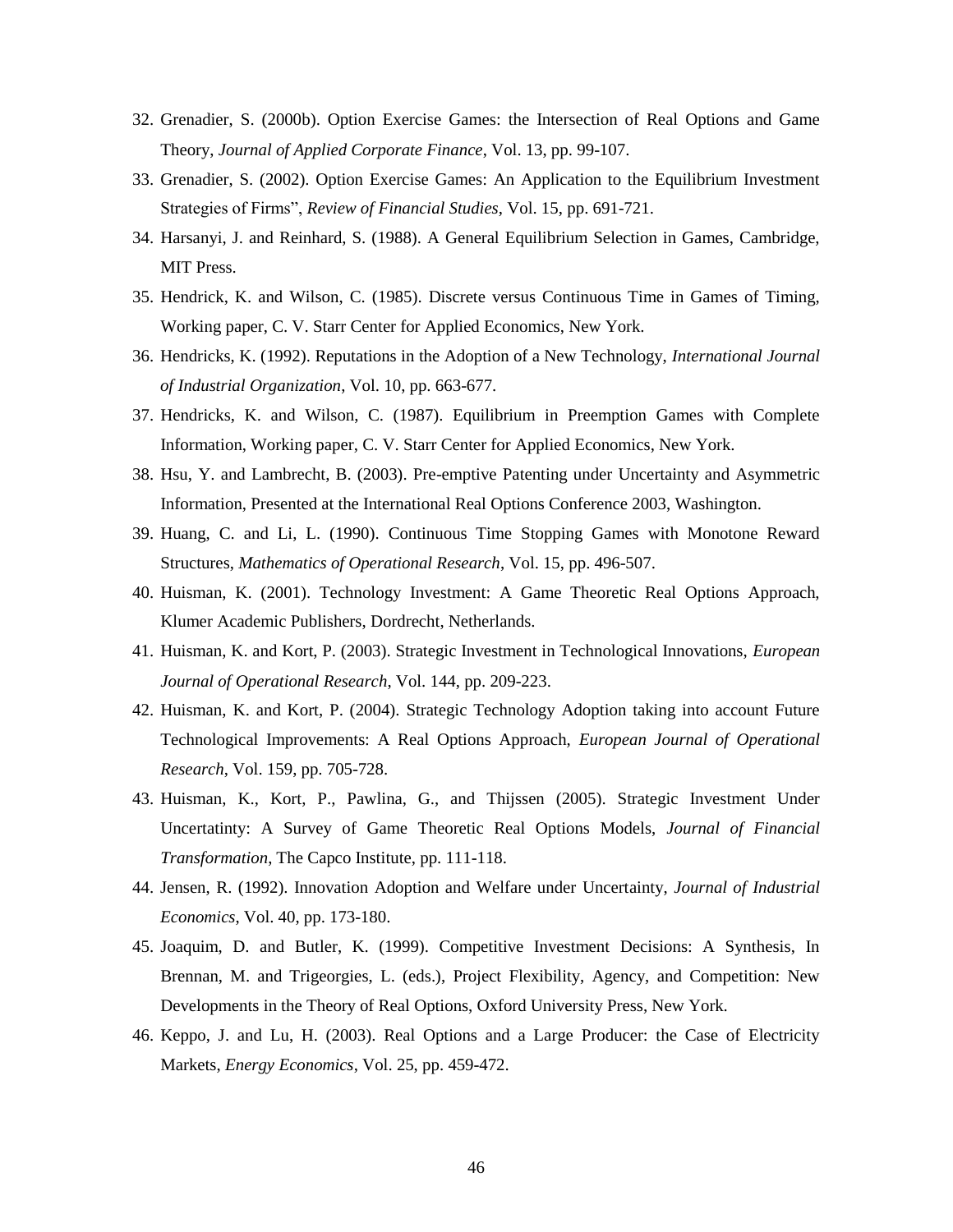- 32. Grenadier, S. (2000b). Option Exercise Games: the Intersection of Real Options and Game Theory, *Journal of Applied Corporate Finance*, Vol. 13, pp. 99-107.
- 33. Grenadier, S. (2002). Option Exercise Games: An Application to the Equilibrium Investment Strategies of Firms", *Review of Financial Studies*, Vol. 15, pp. 691-721.
- 34. Harsanyi, J. and Reinhard, S. (1988). A General Equilibrium Selection in Games, Cambridge, MIT Press.
- 35. Hendrick, K. and Wilson, C. (1985). Discrete versus Continuous Time in Games of Timing, Working paper, C. V. Starr Center for Applied Economics, New York.
- 36. Hendricks, K. (1992). Reputations in the Adoption of a New Technology, *International Journal of Industrial Organization*, Vol. 10, pp. 663-677.
- 37. Hendricks, K. and Wilson, C. (1987). Equilibrium in Preemption Games with Complete Information, Working paper, C. V. Starr Center for Applied Economics, New York.
- 38. Hsu, Y. and Lambrecht, B. (2003). Pre-emptive Patenting under Uncertainty and Asymmetric Information, Presented at the International Real Options Conference 2003, Washington.
- 39. Huang, C. and Li, L. (1990). Continuous Time Stopping Games with Monotone Reward Structures, *Mathematics of Operational Research*, Vol. 15, pp. 496-507.
- 40. Huisman, K. (2001). Technology Investment: A Game Theoretic Real Options Approach, Klumer Academic Publishers, Dordrecht, Netherlands.
- 41. Huisman, K. and Kort, P. (2003). Strategic Investment in Technological Innovations, *European Journal of Operational Research*, Vol. 144, pp. 209-223.
- 42. Huisman, K. and Kort, P. (2004). Strategic Technology Adoption taking into account Future Technological Improvements: A Real Options Approach, *European Journal of Operational Research*, Vol. 159, pp. 705-728.
- 43. Huisman, K., Kort, P., Pawlina, G., and Thijssen (2005). Strategic Investment Under Uncertatinty: A Survey of Game Theoretic Real Options Models, *Journal of Financial Transformation*, The Capco Institute, pp. 111-118.
- 44. Jensen, R. (1992). Innovation Adoption and Welfare under Uncertainty, *Journal of Industrial Economics*, Vol. 40, pp. 173-180.
- 45. Joaquim, D. and Butler, K. (1999). Competitive Investment Decisions: A Synthesis, In Brennan, M. and Trigeorgies, L. (eds.), Project Flexibility, Agency, and Competition: New Developments in the Theory of Real Options, Oxford University Press, New York.
- 46. Keppo, J. and Lu, H. (2003). Real Options and a Large Producer: the Case of Electricity Markets, *Energy Economics*, Vol. 25, pp. 459-472.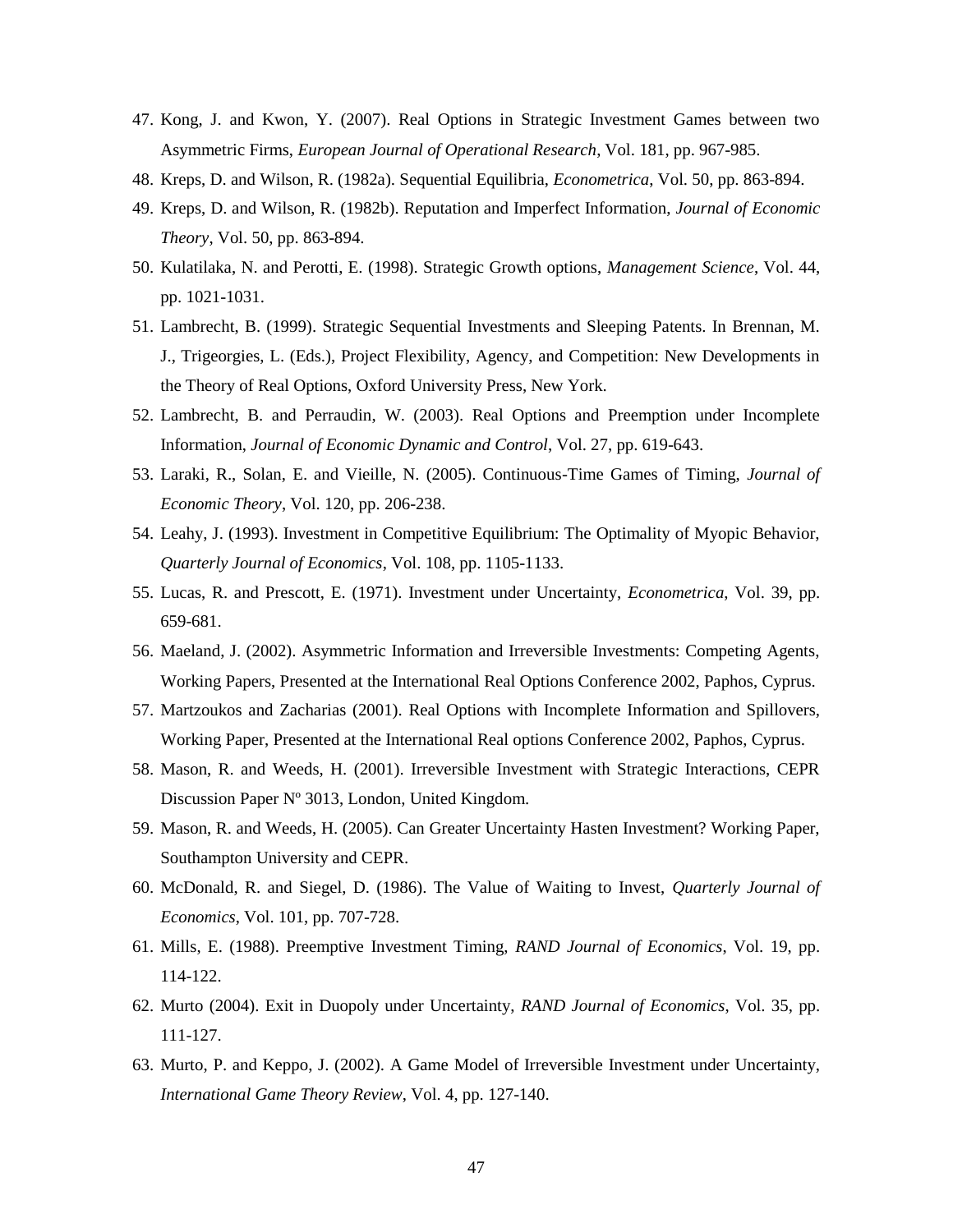- 47. Kong, J. and Kwon, Y. (2007). Real Options in Strategic Investment Games between two Asymmetric Firms, *European Journal of Operational Research*, Vol. 181, pp. 967-985.
- 48. Kreps, D. and Wilson, R. (1982a). Sequential Equilibria, *Econometrica*, Vol. 50, pp. 863-894.
- 49. Kreps, D. and Wilson, R. (1982b). Reputation and Imperfect Information, *Journal of Economic Theory*, Vol. 50, pp. 863-894.
- 50. Kulatilaka, N. and Perotti, E. (1998). Strategic Growth options, *Management Science*, Vol. 44, pp. 1021-1031.
- 51. Lambrecht, B. (1999). Strategic Sequential Investments and Sleeping Patents. In Brennan, M. J., Trigeorgies, L. (Eds.), Project Flexibility, Agency, and Competition: New Developments in the Theory of Real Options, Oxford University Press, New York.
- 52. Lambrecht, B. and Perraudin, W. (2003). Real Options and Preemption under Incomplete Information, *Journal of Economic Dynamic and Control*, Vol. 27, pp. 619-643.
- 53. Laraki, R., Solan, E. and Vieille, N. (2005). Continuous-Time Games of Timing, *Journal of Economic Theory*, Vol. 120, pp. 206-238.
- 54. Leahy, J. (1993). Investment in Competitive Equilibrium: The Optimality of Myopic Behavior, *Quarterly Journal of Economics*, Vol. 108, pp. 1105-1133.
- 55. Lucas, R. and Prescott, E. (1971). Investment under Uncertainty, *Econometrica*, Vol. 39, pp. 659-681.
- 56. Maeland, J. (2002). Asymmetric Information and Irreversible Investments: Competing Agents, Working Papers, Presented at the International Real Options Conference 2002, Paphos, Cyprus.
- 57. Martzoukos and Zacharias (2001). Real Options with Incomplete Information and Spillovers, Working Paper, Presented at the International Real options Conference 2002, Paphos, Cyprus.
- 58. Mason, R. and Weeds, H. (2001). Irreversible Investment with Strategic Interactions, CEPR Discussion Paper Nº 3013, London, United Kingdom.
- 59. Mason, R. and Weeds, H. (2005). Can Greater Uncertainty Hasten Investment? Working Paper, Southampton University and CEPR.
- 60. McDonald, R. and Siegel, D. (1986). The Value of Waiting to Invest, *Quarterly Journal of Economics*, Vol. 101, pp. 707-728.
- 61. Mills, E. (1988). Preemptive Investment Timing, *RAND Journal of Economics*, Vol. 19, pp. 114-122.
- 62. Murto (2004). Exit in Duopoly under Uncertainty, *RAND Journal of Economics*, Vol. 35, pp. 111-127.
- 63. Murto, P. and Keppo, J. (2002). A Game Model of Irreversible Investment under Uncertainty, *International Game Theory Review*, Vol. 4, pp. 127-140.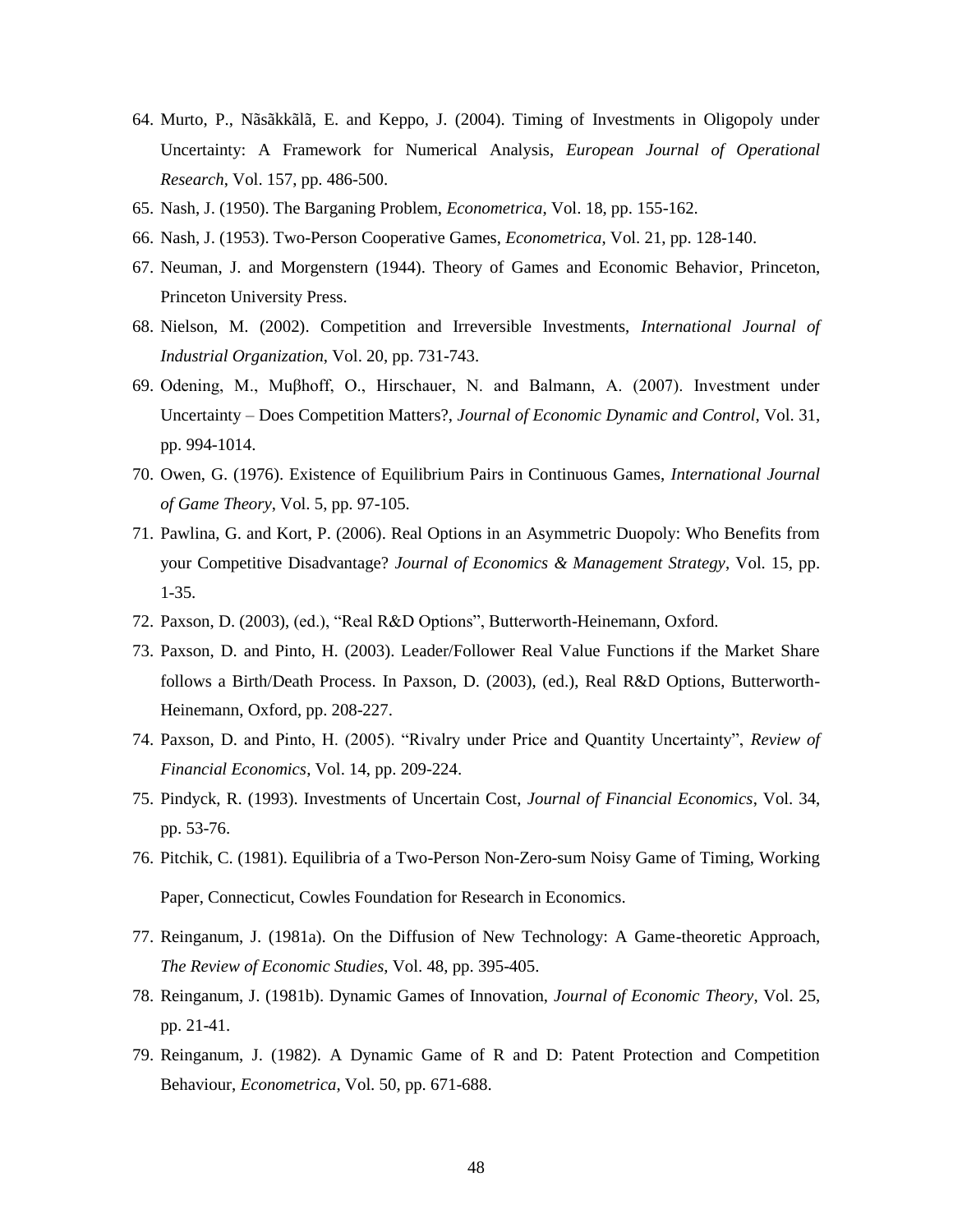- 64. Murto, P., Nãsãkkãlã, E. and Keppo, J. (2004). Timing of Investments in Oligopoly under Uncertainty: A Framework for Numerical Analysis, *European Journal of Operational Research*, Vol. 157, pp. 486-500.
- 65. Nash, J. (1950). The Barganing Problem, *Econometrica*, Vol. 18, pp. 155-162.
- 66. Nash, J. (1953). Two-Person Cooperative Games, *Econometrica*, Vol. 21, pp. 128-140.
- 67. Neuman, J. and Morgenstern (1944). Theory of Games and Economic Behavior, Princeton, Princeton University Press.
- 68. Nielson, M. (2002). Competition and Irreversible Investments, *International Journal of Industrial Organization*, Vol. 20, pp. 731-743.
- 69. Odening, M., Muβhoff, O., Hirschauer, N. and Balmann, A. (2007). Investment under Uncertainty – Does Competition Matters?, *Journal of Economic Dynamic and Control*, Vol. 31, pp. 994-1014.
- 70. Owen, G. (1976). Existence of Equilibrium Pairs in Continuous Games, *International Journal of Game Theory*, Vol. 5, pp. 97-105.
- 71. Pawlina, G. and Kort, P. (2006). Real Options in an Asymmetric Duopoly: Who Benefits from your Competitive Disadvantage? *Journal of Economics & Management Strategy*, Vol. 15, pp. 1-35.
- 72. Paxson, D. (2003), (ed.), "Real R&D Options", Butterworth-Heinemann, Oxford.
- 73. Paxson, D. and Pinto, H. (2003). Leader/Follower Real Value Functions if the Market Share follows a Birth/Death Process. In Paxson, D. (2003), (ed.), Real R&D Options, Butterworth-Heinemann, Oxford, pp. 208-227.
- 74. Paxson, D. and Pinto, H. (2005). "Rivalry under Price and Quantity Uncertainty", *Review of Financial Economics*, Vol. 14, pp. 209-224.
- 75. Pindyck, R. (1993). Investments of Uncertain Cost, *Journal of Financial Economics*, Vol. 34, pp. 53-76.
- 76. Pitchik, C. (1981). Equilibria of a Two-Person Non-Zero-sum Noisy Game of Timing, Working Paper, Connecticut, Cowles Foundation for Research in Economics.
- 77. Reinganum, J. (1981a). On the Diffusion of New Technology: A Game-theoretic Approach, *The Review of Economic Studies*, Vol. 48, pp. 395-405.
- 78. Reinganum, J. (1981b). Dynamic Games of Innovation, *Journal of Economic Theory*, Vol. 25, pp. 21-41.
- 79. Reinganum, J. (1982). A Dynamic Game of R and D: Patent Protection and Competition Behaviour, *Econometrica*, Vol. 50, pp. 671-688.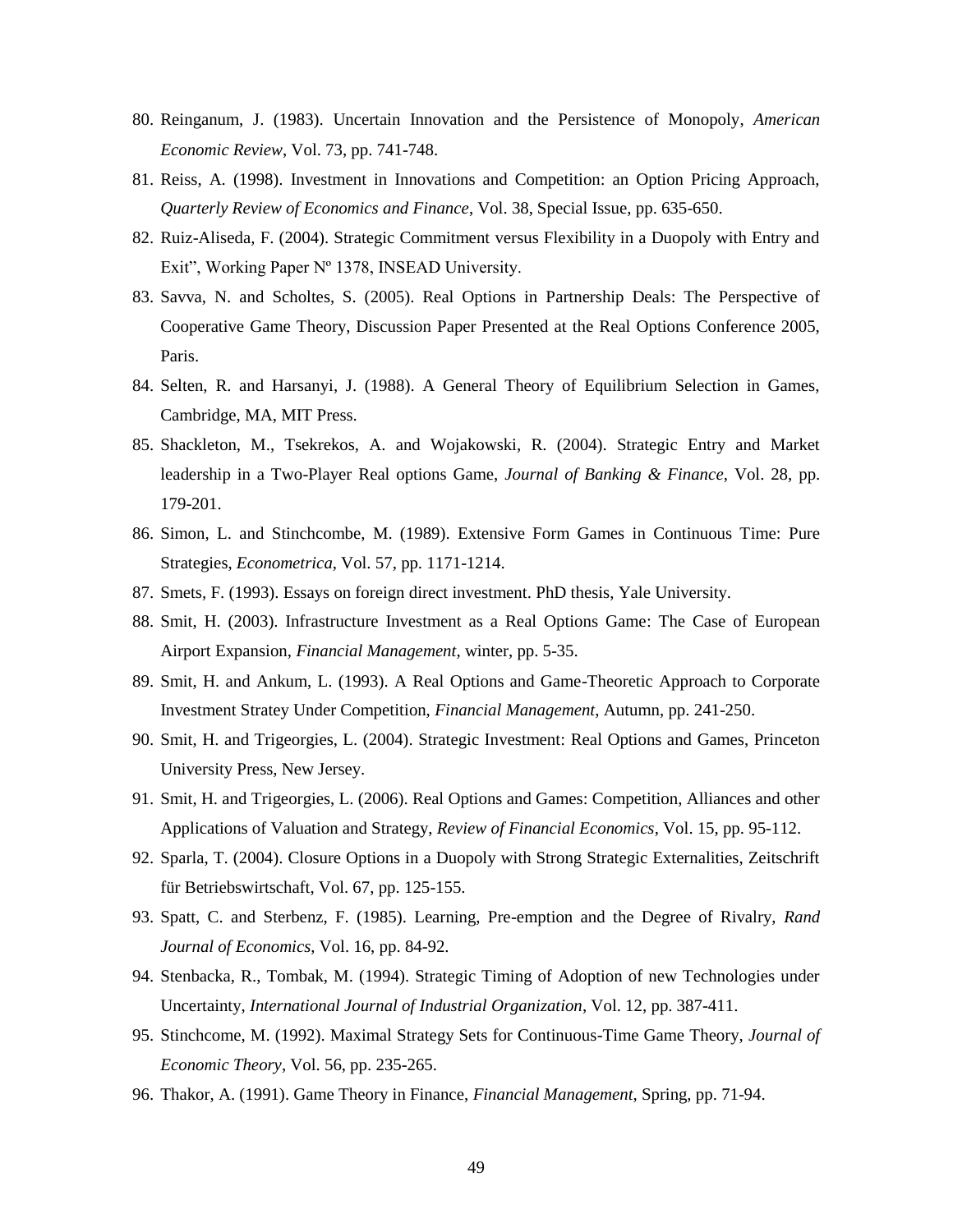- 80. Reinganum, J. (1983). Uncertain Innovation and the Persistence of Monopoly, *American Economic Review*, Vol. 73, pp. 741-748.
- 81. Reiss, A. (1998). Investment in Innovations and Competition: an Option Pricing Approach, *Quarterly Review of Economics and Finance*, Vol. 38, Special Issue, pp. 635-650.
- 82. Ruiz-Aliseda, F. (2004). Strategic Commitment versus Flexibility in a Duopoly with Entry and Exit", Working Paper Nº 1378, INSEAD University.
- 83. Savva, N. and Scholtes, S. (2005). Real Options in Partnership Deals: The Perspective of Cooperative Game Theory, Discussion Paper Presented at the Real Options Conference 2005, Paris.
- 84. Selten, R. and Harsanyi, J. (1988). A General Theory of Equilibrium Selection in Games, Cambridge, MA, MIT Press.
- 85. Shackleton, M., Tsekrekos, A. and Wojakowski, R. (2004). Strategic Entry and Market leadership in a Two-Player Real options Game, *Journal of Banking & Finance*, Vol. 28, pp. 179-201.
- 86. Simon, L. and Stinchcombe, M. (1989). Extensive Form Games in Continuous Time: Pure Strategies, *Econometrica*, Vol. 57, pp. 1171-1214.
- 87. Smets, F. (1993). Essays on foreign direct investment. PhD thesis, Yale University.
- 88. Smit, H. (2003). Infrastructure Investment as a Real Options Game: The Case of European Airport Expansion, *Financial Management*, winter, pp. 5-35.
- 89. Smit, H. and Ankum, L. (1993). A Real Options and Game-Theoretic Approach to Corporate Investment Stratey Under Competition, *Financial Management*, Autumn, pp. 241-250.
- 90. Smit, H. and Trigeorgies, L. (2004). Strategic Investment: Real Options and Games, Princeton University Press, New Jersey.
- 91. Smit, H. and Trigeorgies, L. (2006). Real Options and Games: Competition, Alliances and other Applications of Valuation and Strategy, *Review of Financial Economics*, Vol. 15, pp. 95-112.
- 92. Sparla, T. (2004). Closure Options in a Duopoly with Strong Strategic Externalities, Zeitschrift für Betriebswirtschaft, Vol. 67, pp. 125-155.
- 93. Spatt, C. and Sterbenz, F. (1985). Learning, Pre-emption and the Degree of Rivalry, *Rand Journal of Economics*, Vol. 16, pp. 84-92.
- 94. Stenbacka, R., Tombak, M. (1994). Strategic Timing of Adoption of new Technologies under Uncertainty, *International Journal of Industrial Organization*, Vol. 12, pp. 387-411.
- 95. Stinchcome, M. (1992). Maximal Strategy Sets for Continuous-Time Game Theory, *Journal of Economic Theory*, Vol. 56, pp. 235-265.
- 96. Thakor, A. (1991). Game Theory in Finance, *Financial Management*, Spring, pp. 71-94.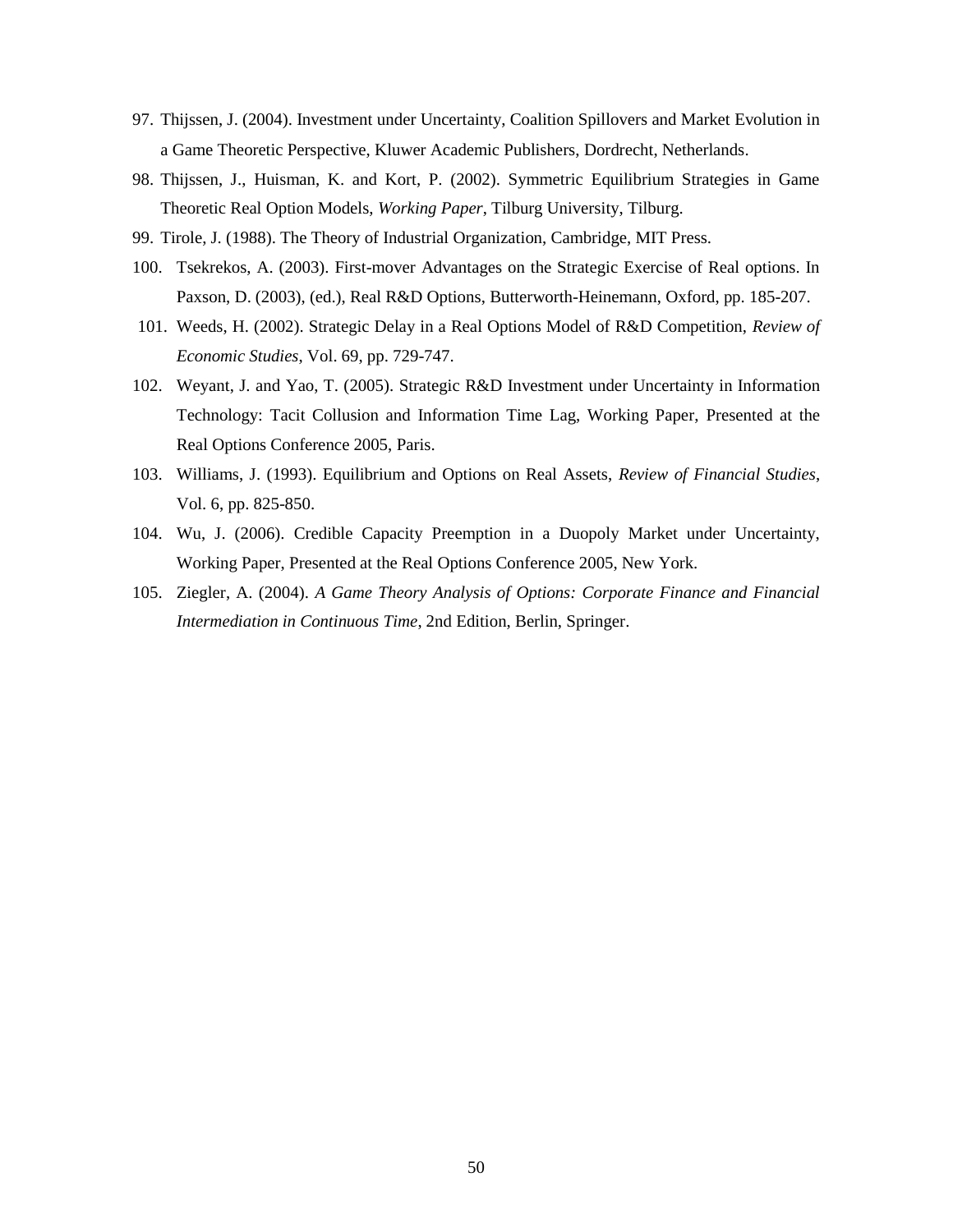- 97. Thijssen, J. (2004). Investment under Uncertainty, Coalition Spillovers and Market Evolution in a Game Theoretic Perspective, Kluwer Academic Publishers, Dordrecht, Netherlands.
- 98. Thijssen, J., Huisman, K. and Kort, P. (2002). Symmetric Equilibrium Strategies in Game Theoretic Real Option Models, *Working Paper*, Tilburg University, Tilburg.
- 99. Tirole, J. (1988). The Theory of Industrial Organization, Cambridge, MIT Press.
- 100. Tsekrekos, A. (2003). First-mover Advantages on the Strategic Exercise of Real options. In Paxson, D. (2003), (ed.), Real R&D Options, Butterworth-Heinemann, Oxford, pp. 185-207.
- 101. Weeds, H. (2002). Strategic Delay in a Real Options Model of R&D Competition, *Review of Economic Studies*, Vol. 69, pp. 729-747.
- 102. Weyant, J. and Yao, T. (2005). Strategic R&D Investment under Uncertainty in Information Technology: Tacit Collusion and Information Time Lag, Working Paper, Presented at the Real Options Conference 2005, Paris.
- 103. Williams, J. (1993). Equilibrium and Options on Real Assets, *Review of Financial Studies*, Vol. 6, pp. 825-850.
- 104. Wu, J. (2006). Credible Capacity Preemption in a Duopoly Market under Uncertainty, Working Paper, Presented at the Real Options Conference 2005, New York.
- 105. Ziegler, A. (2004). *A Game Theory Analysis of Options: Corporate Finance and Financial Intermediation in Continuous Time*, 2nd Edition, Berlin, Springer.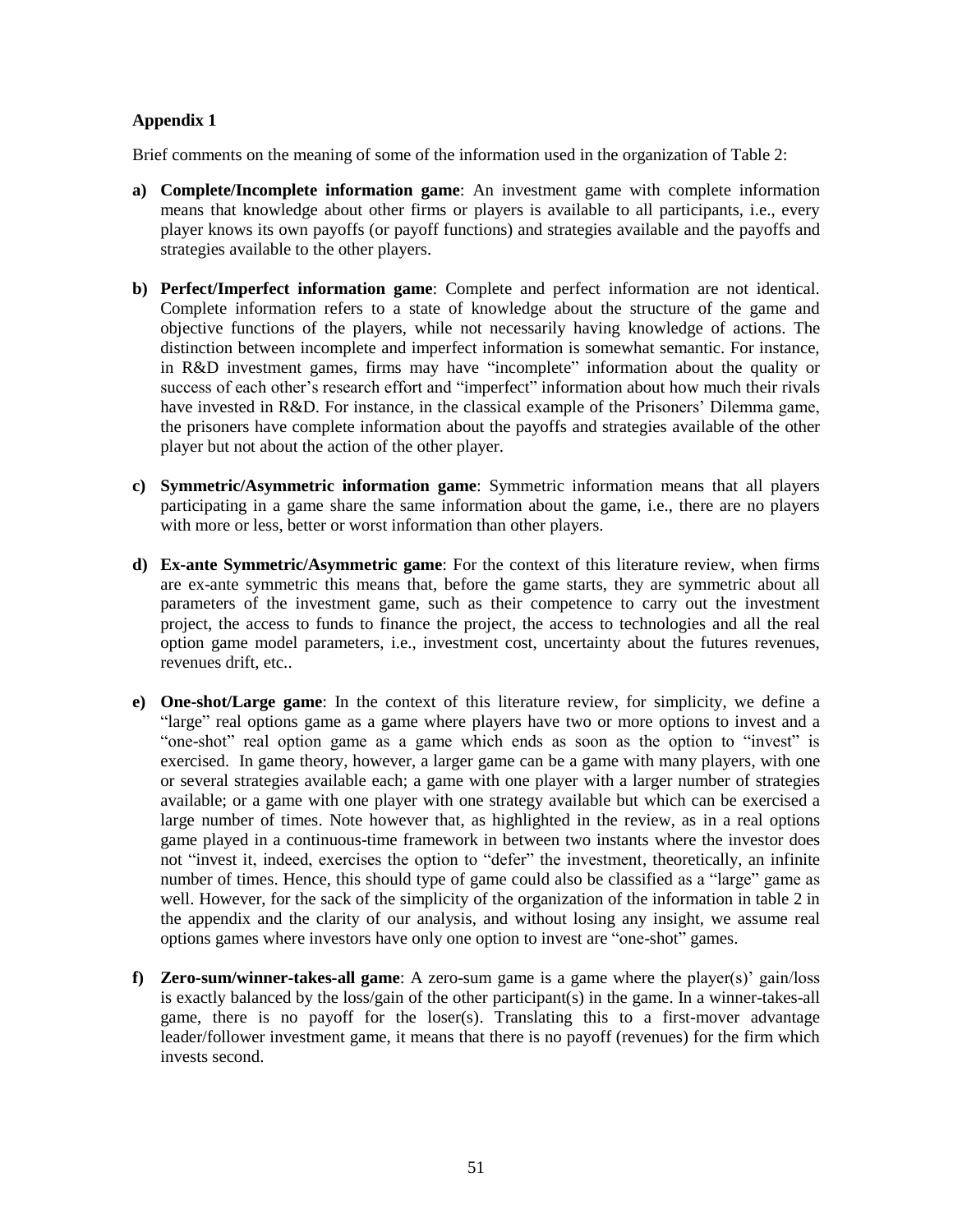## **Appendix 1**

Brief comments on the meaning of some of the information used in the organization of Table 2:

- **a) Complete/Incomplete information game**: An investment game with complete information means that knowledge about other firms or players is available to all participants, i.e., every player knows its own payoffs (or payoff functions) and strategies available and the payoffs and strategies available to the other players.
- **b) Perfect/Imperfect information game**: Complete and perfect information are not identical. Complete information refers to a state of knowledge about the structure of the game and objective functions of the players, while not necessarily having knowledge of actions. The distinction between incomplete and imperfect information is somewhat semantic. For instance, in R&D investment games, firms may have "incomplete" information about the quality or success of each other's research effort and "imperfect" information about how much their rivals have invested in R&D. For instance, in the classical example of the Prisoners' Dilemma game, the prisoners have complete information about the payoffs and strategies available of the other player but not about the action of the other player.
- **c) Symmetric/Asymmetric information game**: Symmetric information means that all players participating in a game share the same information about the game, i.e., there are no players with more or less, better or worst information than other players.
- **d) Ex-ante Symmetric/Asymmetric game**: For the context of this literature review, when firms are ex-ante symmetric this means that, before the game starts, they are symmetric about all parameters of the investment game, such as their competence to carry out the investment project, the access to funds to finance the project, the access to technologies and all the real option game model parameters, i.e., investment cost, uncertainty about the futures revenues, revenues drift, etc..
- **e) One-shot/Large game**: In the context of this literature review, for simplicity, we define a "large" real options game as a game where players have two or more options to invest and a "one-shot" real option game as a game which ends as soon as the option to "invest" is exercised. In game theory, however, a larger game can be a game with many players, with one or several strategies available each; a game with one player with a larger number of strategies available; or a game with one player with one strategy available but which can be exercised a large number of times. Note however that, as highlighted in the review, as in a real options game played in a continuous-time framework in between two instants where the investor does not "invest it, indeed, exercises the option to "defer" the investment, theoretically, an infinite number of times. Hence, this should type of game could also be classified as a "large" game as well. However, for the sack of the simplicity of the organization of the information in table 2 in the appendix and the clarity of our analysis, and without losing any insight, we assume real options games where investors have only one option to invest are "one-shot" games.
- **f) Zero-sum/winner-takes-all game**: A zero-sum game is a game where the player(s)' gain/loss is exactly balanced by the loss/gain of the other participant(s) in the game. In a winner-takes-all game, there is no payoff for the loser(s). Translating this to a first-mover advantage leader/follower investment game, it means that there is no payoff (revenues) for the firm which invests second.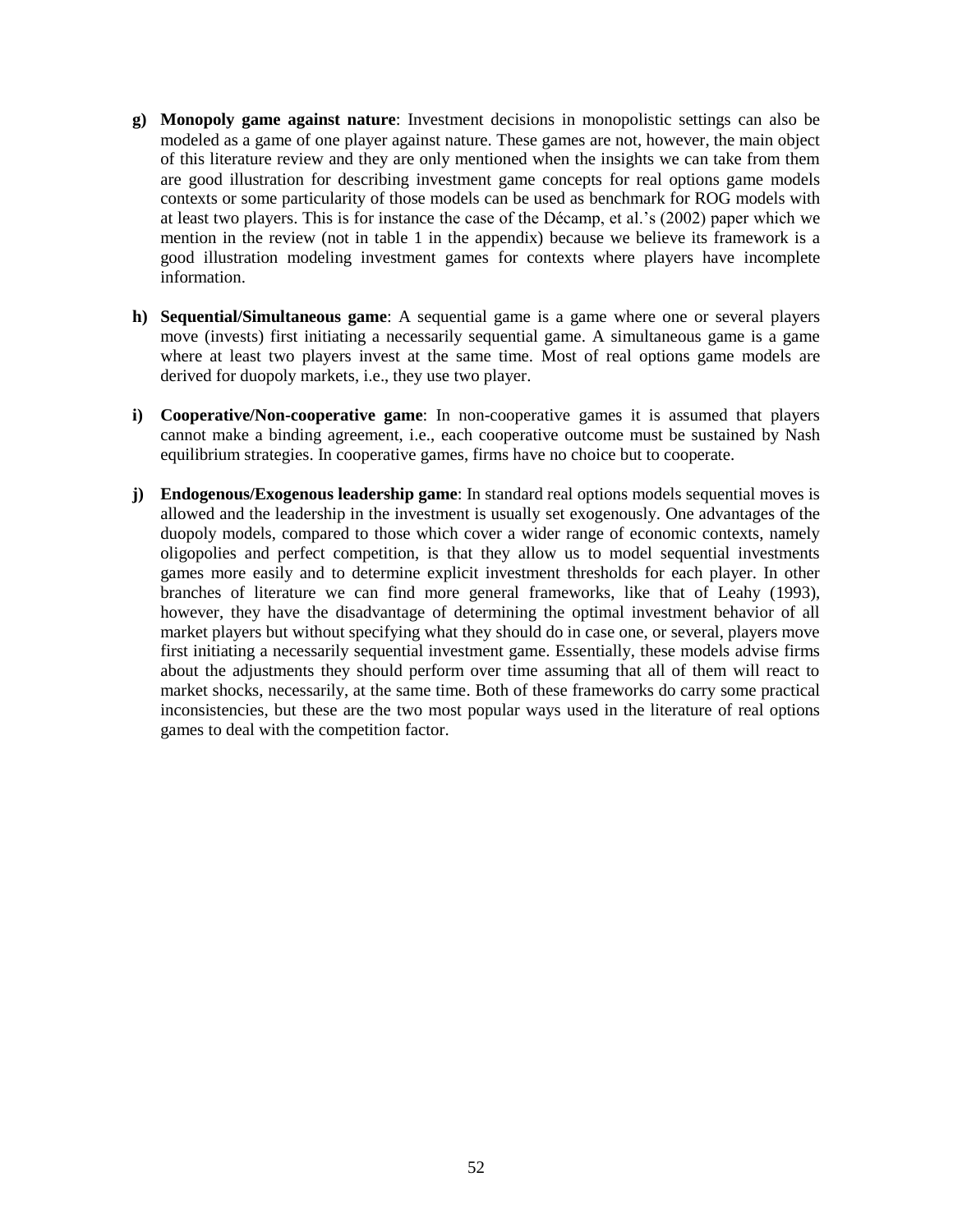- **g) Monopoly game against nature**: Investment decisions in monopolistic settings can also be modeled as a game of one player against nature. These games are not, however, the main object of this literature review and they are only mentioned when the insights we can take from them are good illustration for describing investment game concepts for real options game models contexts or some particularity of those models can be used as benchmark for ROG models with at least two players. This is for instance the case of the Décamp, et al.'s (2002) paper which we mention in the review (not in table 1 in the appendix) because we believe its framework is a good illustration modeling investment games for contexts where players have incomplete information.
- **h) Sequential/Simultaneous game**: A sequential game is a game where one or several players move (invests) first initiating a necessarily sequential game. A simultaneous game is a game where at least two players invest at the same time. Most of real options game models are derived for duopoly markets, i.e., they use two player.
- **i) Cooperative/Non-cooperative game**: In non-cooperative games it is assumed that players cannot make a binding agreement, i.e., each cooperative outcome must be sustained by Nash equilibrium strategies. In cooperative games, firms have no choice but to cooperate.
- **j) Endogenous/Exogenous leadership game**: In standard real options models sequential moves is allowed and the leadership in the investment is usually set exogenously. One advantages of the duopoly models, compared to those which cover a wider range of economic contexts, namely oligopolies and perfect competition, is that they allow us to model sequential investments games more easily and to determine explicit investment thresholds for each player. In other branches of literature we can find more general frameworks, like that of Leahy (1993), however, they have the disadvantage of determining the optimal investment behavior of all market players but without specifying what they should do in case one, or several, players move first initiating a necessarily sequential investment game. Essentially, these models advise firms about the adjustments they should perform over time assuming that all of them will react to market shocks, necessarily, at the same time. Both of these frameworks do carry some practical inconsistencies, but these are the two most popular ways used in the literature of real options games to deal with the competition factor.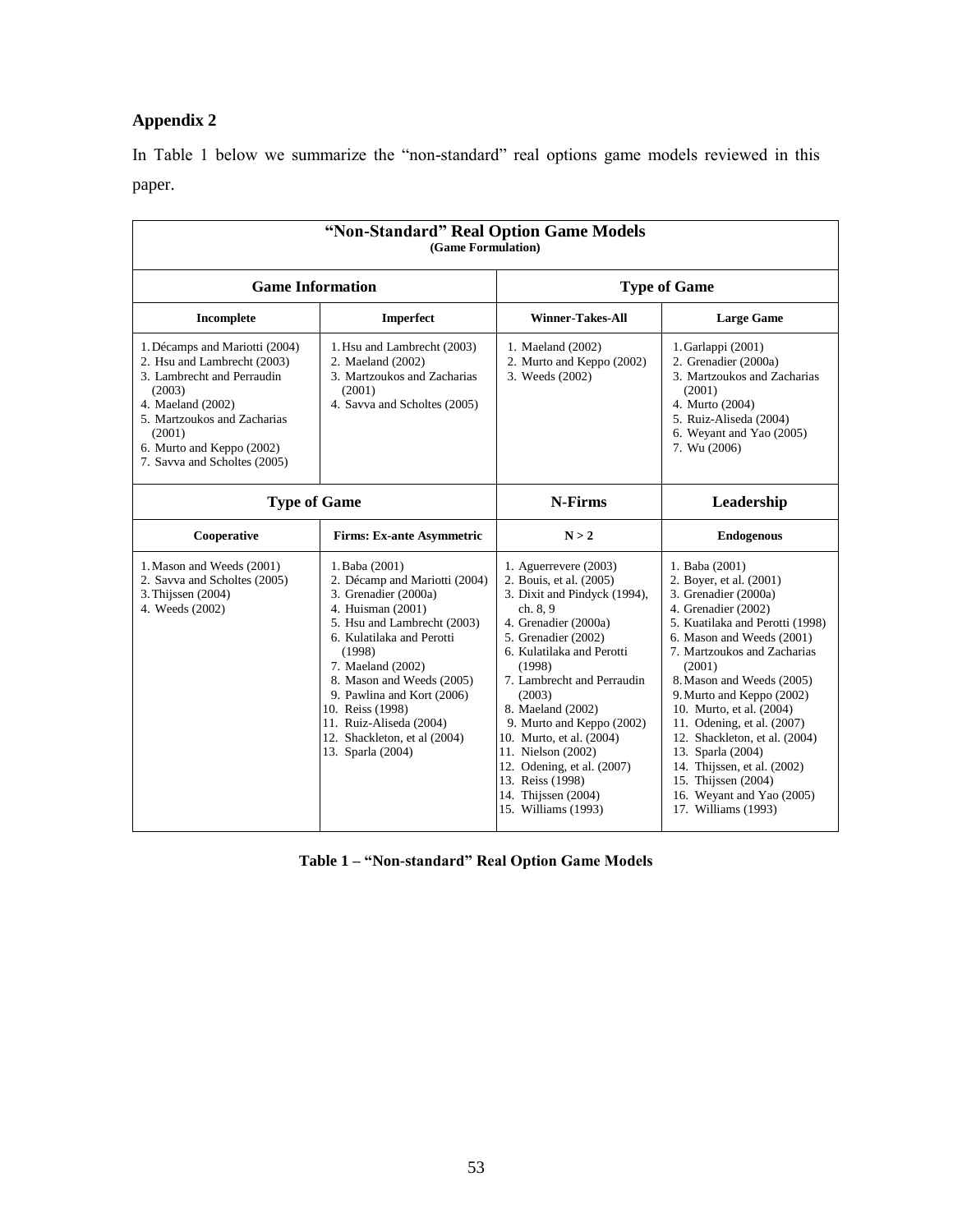# **Appendix 2**

In Table 1 below we summarize the "non-standard" real options game models reviewed in this paper.

| "Non-Standard" Real Option Game Models<br>(Game Formulation)                                                                                                                                                                     |                                                                                                                                                                                                                                                                                                                                                        |                                                                                                                                                                                                                                                                                                                                                                                                                                  |                                                                                                                                                                                                                                                                                                                                                                                                                                                                                       |  |  |  |  |  |  |  |  |  |  |  |
|----------------------------------------------------------------------------------------------------------------------------------------------------------------------------------------------------------------------------------|--------------------------------------------------------------------------------------------------------------------------------------------------------------------------------------------------------------------------------------------------------------------------------------------------------------------------------------------------------|----------------------------------------------------------------------------------------------------------------------------------------------------------------------------------------------------------------------------------------------------------------------------------------------------------------------------------------------------------------------------------------------------------------------------------|---------------------------------------------------------------------------------------------------------------------------------------------------------------------------------------------------------------------------------------------------------------------------------------------------------------------------------------------------------------------------------------------------------------------------------------------------------------------------------------|--|--|--|--|--|--|--|--|--|--|--|
| <b>Game Information</b>                                                                                                                                                                                                          |                                                                                                                                                                                                                                                                                                                                                        |                                                                                                                                                                                                                                                                                                                                                                                                                                  | <b>Type of Game</b>                                                                                                                                                                                                                                                                                                                                                                                                                                                                   |  |  |  |  |  |  |  |  |  |  |  |
| Incomplete                                                                                                                                                                                                                       | Imperfect                                                                                                                                                                                                                                                                                                                                              | <b>Winner-Takes-All</b>                                                                                                                                                                                                                                                                                                                                                                                                          | <b>Large Game</b>                                                                                                                                                                                                                                                                                                                                                                                                                                                                     |  |  |  |  |  |  |  |  |  |  |  |
| 1. Décamps and Mariotti (2004)<br>2. Hsu and Lambrecht (2003)<br>3. Lambrecht and Perraudin<br>(2003)<br>4. Maeland (2002)<br>5. Martzoukos and Zacharias<br>(2001)<br>6. Murto and Keppo (2002)<br>7. Savva and Scholtes (2005) | 1. Hsu and Lambrecht (2003)<br>2. Maeland (2002)<br>3. Martzoukos and Zacharias<br>(2001)<br>4. Savva and Scholtes (2005)                                                                                                                                                                                                                              | 1. Maeland (2002)<br>2. Murto and Keppo (2002)<br>3. Weeds (2002)                                                                                                                                                                                                                                                                                                                                                                | 1. Garlappi (2001)<br>2. Grenadier (2000a)<br>3. Martzoukos and Zacharias<br>(2001)<br>4. Murto (2004)<br>5. Ruiz-Aliseda (2004)<br>6. Weyant and Yao (2005)<br>7. Wu (2006)                                                                                                                                                                                                                                                                                                          |  |  |  |  |  |  |  |  |  |  |  |
| <b>Type of Game</b>                                                                                                                                                                                                              |                                                                                                                                                                                                                                                                                                                                                        | N-Firms                                                                                                                                                                                                                                                                                                                                                                                                                          | Leadership                                                                                                                                                                                                                                                                                                                                                                                                                                                                            |  |  |  |  |  |  |  |  |  |  |  |
| Cooperative                                                                                                                                                                                                                      | <b>Firms: Ex-ante Asymmetric</b>                                                                                                                                                                                                                                                                                                                       | N > 2                                                                                                                                                                                                                                                                                                                                                                                                                            | <b>Endogenous</b>                                                                                                                                                                                                                                                                                                                                                                                                                                                                     |  |  |  |  |  |  |  |  |  |  |  |
| 1. Mason and Weeds (2001)<br>2. Savva and Scholtes (2005)<br>3. Thijssen (2004)<br>4. Weeds (2002)                                                                                                                               | 1. Baba (2001)<br>2. Décamp and Mariotti (2004)<br>3. Grenadier (2000a)<br>4. Huisman (2001)<br>5. Hsu and Lambrecht (2003)<br>6. Kulatilaka and Perotti<br>(1998)<br>7. Maeland (2002)<br>8. Mason and Weeds (2005)<br>9. Pawlina and Kort (2006)<br>10. Reiss (1998)<br>11. Ruiz-Aliseda (2004)<br>12. Shackleton, et al (2004)<br>13. Sparla (2004) | 1. Aguerrevere $(2003)$<br>2. Bouis, et al. (2005)<br>3. Dixit and Pindyck (1994),<br>ch. 8, 9<br>4. Grenadier (2000a)<br>5. Grenadier (2002)<br>6. Kulatilaka and Perotti<br>(1998)<br>7. Lambrecht and Perraudin<br>(2003)<br>8. Maeland (2002)<br>9. Murto and Keppo (2002)<br>10. Murto, et al. (2004)<br>11. Nielson (2002)<br>12. Odening, et al. (2007)<br>13. Reiss (1998)<br>14. Thijssen (2004)<br>15. Williams (1993) | 1. Baba (2001)<br>2. Boyer, et al. (2001)<br>3. Grenadier (2000a)<br>4. Grenadier (2002)<br>5. Kuatilaka and Perotti (1998)<br>6. Mason and Weeds (2001)<br>7. Martzoukos and Zacharias<br>(2001)<br>8. Mason and Weeds (2005)<br>9. Murto and Keppo (2002)<br>10. Murto, et al. (2004)<br>11. Odening, et al. (2007)<br>12. Shackleton, et al. (2004)<br>13. Sparla (2004)<br>14. Thijssen, et al. (2002)<br>15. Thijssen (2004)<br>16. Weyant and Yao (2005)<br>17. Williams (1993) |  |  |  |  |  |  |  |  |  |  |  |

**Table 1 – "Non-standard" Real Option Game Models**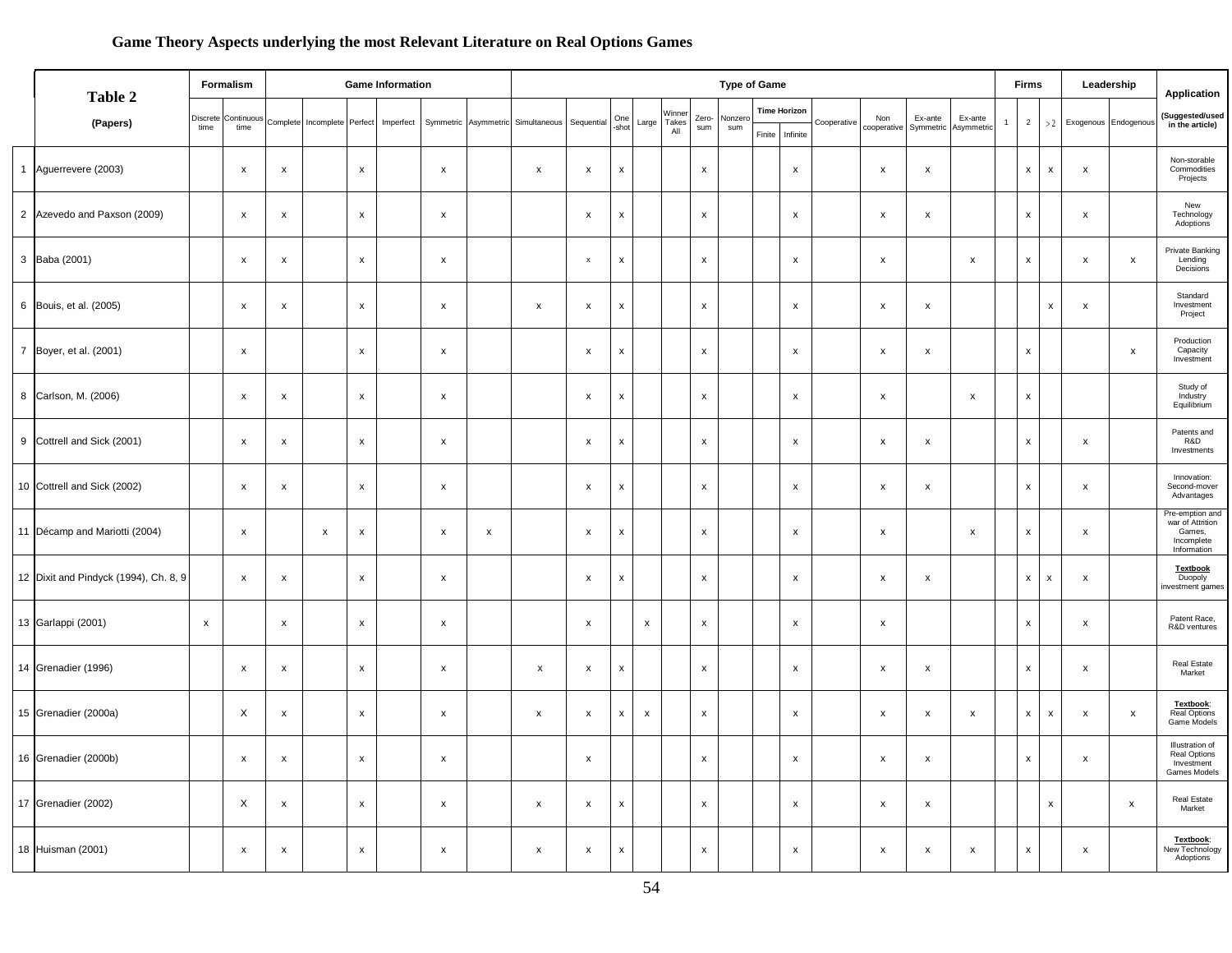## **Game Theory Aspects underlying the most Relevant Literature on Real Options Games**

| Table 2                               |                  | Formalism                 |                    | <b>Game Information</b>     | <b>Type of Game</b> |           |                           |                      |                    |                           |                           |                    |                        |                    |                |        |                                 | <b>Firms</b> |                           | Leadership                |                       |  | Application        |                           |                    |                      |                                                                            |
|---------------------------------------|------------------|---------------------------|--------------------|-----------------------------|---------------------|-----------|---------------------------|----------------------|--------------------|---------------------------|---------------------------|--------------------|------------------------|--------------------|----------------|--------|---------------------------------|--------------|---------------------------|---------------------------|-----------------------|--|--------------------|---------------------------|--------------------|----------------------|----------------------------------------------------------------------------|
| (Papers)                              | Discrete<br>time | Continuous<br>time        |                    | Complete Incomplete Perfect |                     | Imperfect |                           | Symmetric Asymmetric | Simultaneous       | Sequential                | One<br>-shot              | Large              | Winner<br>Takes<br>All | Zero-<br>sum       | Nonzero<br>sum | Finite | <b>Time Horizon</b><br>Infinite | Cooperative  | Non<br>cooperative        | Ex-ante<br>Symmetric      | Ex-ante<br>Asymmetric |  | $\overline{2}$     | >2                        |                    | Exogenous Endogenous | (Suggested/used<br>in the article)                                         |
| 1 Aguerrevere (2003)                  |                  | $\pmb{\chi}$              | $\pmb{\mathsf{x}}$ |                             | $\mathsf{x}$        |           | $\pmb{\times}$            |                      | $\pmb{\mathsf{x}}$ | $\pmb{\mathsf{x}}$        | $\pmb{\mathsf{x}}$        |                    |                        | $\pmb{\mathsf{x}}$ |                |        | $\mathsf{x}$                    |              | $\pmb{\chi}$              | $\pmb{\mathsf{x}}$        |                       |  | $\pmb{\mathsf{x}}$ | $\pmb{\chi}$              | $\pmb{\mathsf{x}}$ |                      | Non-storable<br>Commodities<br>Projects                                    |
| 2 Azevedo and Paxson (2009)           |                  | $\mathsf{x}$              | $\pmb{\mathsf{x}}$ |                             | $\mathsf{x}$        |           | $\pmb{\times}$            |                      |                    | $\pmb{\mathsf{x}}$        | $\boldsymbol{\mathsf{x}}$ |                    |                        | $\pmb{\mathsf{x}}$ |                |        | $\mathsf{x}$                    |              | $\pmb{\chi}$              | $\mathsf{x}$              |                       |  | $\pmb{\chi}$       |                           | $\pmb{\mathsf{x}}$ |                      | New<br>Technology<br>Adoptions                                             |
| 3 Baba (2001)                         |                  | $\pmb{\chi}$              | $\pmb{\mathsf{x}}$ |                             | $\pmb{\chi}$        |           | $\pmb{\times}$            |                      |                    | $\mathsf{x}$              | $\boldsymbol{\mathsf{x}}$ |                    |                        | $\mathsf{x}$       |                |        | $\mathsf{x}$                    |              | $\boldsymbol{\mathsf{x}}$ |                           | $\pmb{\chi}$          |  | $\pmb{\chi}$       |                           | $\pmb{\mathsf{x}}$ | $\pmb{\mathsf{x}}$   | Private Banking<br>Lending<br>Decisions                                    |
| 6 Bouis, et al. (2005)                |                  | x                         | X                  |                             | $\pmb{\mathsf{x}}$  |           | $\boldsymbol{\mathsf{x}}$ |                      | X                  | $\pmb{\mathsf{x}}$        | $\pmb{\times}$            |                    |                        | x                  |                |        | $\pmb{\mathsf{x}}$              |              | $\boldsymbol{\mathsf{x}}$ | $\pmb{\mathsf{x}}$        |                       |  |                    | $\boldsymbol{\mathsf{x}}$ | $\pmb{\mathsf{x}}$ |                      | Standard<br>Investment<br>Project                                          |
| 7 Boyer, et al. (2001)                |                  | $\pmb{\chi}$              |                    |                             | $\pmb{\mathsf{x}}$  |           | $\pmb{\times}$            |                      |                    | $\boldsymbol{\mathsf{x}}$ | $\pmb{\mathsf{x}}$        |                    |                        | $\pmb{\mathsf{x}}$ |                |        | $\pmb{\mathsf{x}}$              |              | $\boldsymbol{\mathsf{x}}$ | X                         |                       |  | $\pmb{\mathsf{x}}$ |                           |                    | $\pmb{\mathsf{x}}$   | Production<br>Capacity<br>Investment                                       |
| 8 Carlson, M. (2006)                  |                  | $\pmb{\mathsf{x}}$        | $\pmb{\mathsf{x}}$ |                             | $\pmb{\mathsf{x}}$  |           | $\pmb{\times}$            |                      |                    | $\pmb{\mathsf{x}}$        | $\pmb{\mathsf{x}}$        |                    |                        | x                  |                |        | $\pmb{\mathsf{x}}$              |              | $\boldsymbol{\mathsf{x}}$ |                           | $\pmb{\chi}$          |  | $\pmb{\mathsf{x}}$ |                           |                    |                      | Study of<br>Industry<br>Equilibrium                                        |
| 9 Cottrell and Sick (2001)            |                  | $\mathsf{x}$              | $\pmb{\mathsf{x}}$ |                             | $\pmb{\chi}$        |           | $\pmb{\times}$            |                      |                    | $\pmb{\mathsf{x}}$        | $\pmb{\mathsf{x}}$        |                    |                        | $\pmb{\mathsf{x}}$ |                |        | $\mathsf{x}$                    |              | $\pmb{\chi}$              | $\pmb{\mathsf{x}}$        |                       |  | $\pmb{\mathsf{x}}$ |                           | $\pmb{\mathsf{x}}$ |                      | Patents and<br>R&D<br>Investments                                          |
| 10 Cottrell and Sick (2002)           |                  | $\pmb{\mathsf{x}}$        | $\pmb{\mathsf{x}}$ |                             | $\pmb{\chi}$        |           | $\,$ X                    |                      |                    | $\boldsymbol{\mathsf{x}}$ | x                         |                    |                        | $\pmb{\mathsf{x}}$ |                |        | $\pmb{\mathsf{x}}$              |              | $\boldsymbol{\mathsf{x}}$ | X                         |                       |  | $\mathsf x$        |                           | $\pmb{\mathsf{x}}$ |                      | Innovation:<br>Second-mover<br>Advantages                                  |
| 11 Décamp and Mariotti (2004)         |                  | $\mathsf{x}$              |                    | $\pmb{\mathsf{x}}$          | $\pmb{\chi}$        |           | $\pmb{\chi}$              | $\pmb{\mathsf{x}}$   |                    | $\pmb{\mathsf{x}}$        | $\pmb{\mathsf{x}}$        |                    |                        | $\pmb{\mathsf{x}}$ |                |        | $\mathsf{x}$                    |              | $\pmb{\times}$            |                           | $\pmb{\chi}$          |  | $\pmb{\mathsf{x}}$ |                           | $\pmb{\mathsf{x}}$ |                      | Pre-emption and<br>war of Attrition<br>Games,<br>Incomplete<br>Information |
| 12 Dixit and Pindyck (1994), Ch. 8, 9 |                  | $\pmb{\mathsf{x}}$        | $\pmb{\mathsf{x}}$ |                             | $\mathsf X$         |           | $\,$ $\times$             |                      |                    | $\pmb{\mathsf{x}}$        | $\pmb{\mathsf{x}}$        |                    |                        | $\mathsf x$        |                |        | $\mathsf X$                     |              | $\pmb{\mathsf{x}}$        | $\pmb{\mathsf{x}}$        |                       |  | $\pmb{\mathsf{x}}$ | X                         | $\pmb{\mathsf{x}}$ |                      | <b>Textbook</b><br>Duopoly<br>investment games                             |
| 13 Garlappi (2001)                    | $\mathsf X$      |                           | $\pmb{\mathsf{x}}$ |                             | $\mathsf x$         |           | $\pmb{\times}$            |                      |                    | $\pmb{\mathsf{x}}$        |                           | $\pmb{\mathsf{x}}$ |                        | $\mathsf{x}$       |                |        | $\mathsf X$                     |              | $\boldsymbol{\mathsf{x}}$ |                           |                       |  | $\pmb{\chi}$       |                           | $\mathsf X$        |                      | Patent Race,<br>R&D ventures                                               |
| 14 Grenadier (1996)                   |                  | $\boldsymbol{\mathsf{x}}$ | $\pmb{\mathsf{x}}$ |                             | $\mathsf{x}$        |           | $\pmb{\times}$            |                      | $\pmb{\chi}$       | $\boldsymbol{\mathsf{x}}$ | $\pmb{\times}$            |                    |                        | $\pmb{\mathsf{x}}$ |                |        | $\pmb{\chi}$                    |              | $\boldsymbol{\mathsf{x}}$ | $\boldsymbol{\mathsf{x}}$ |                       |  | $\pmb{\chi}$       |                           | $\pmb{\mathsf{x}}$ |                      | Real Estate<br>Market                                                      |
| 15 Grenadier (2000a)                  |                  | X                         | $\pmb{\mathsf{x}}$ |                             | $\mathsf{x}$        |           | $\pmb{\times}$            |                      | $\pmb{\mathsf{x}}$ | $\pmb{\mathsf{x}}$        | X                         | x                  |                        | X                  |                |        | $\boldsymbol{\mathsf{x}}$       |              | $\pmb{\times}$            | $\pmb{\mathsf{x}}$        | $\pmb{\chi}$          |  | $\pmb{\mathsf{x}}$ | $\pmb{\mathsf{x}}$        | $\pmb{\mathsf{x}}$ | $\pmb{\mathsf{x}}$   | Textbook:<br><b>Real Options</b><br>Game Models                            |
| 16 Grenadier (2000b)                  |                  | $\pmb{\chi}$              | $\pmb{\mathsf{X}}$ |                             | $\mathsf{x}$        |           | $\pmb{\times}$            |                      |                    | $\pmb{\mathsf{x}}$        |                           |                    |                        | $\pmb{\mathsf{x}}$ |                |        | $\pmb{\mathsf{x}}$              |              | $\pmb{\times}$            | $\pmb{\mathsf{x}}$        |                       |  | $\pmb{\mathsf{x}}$ |                           | $\pmb{\mathsf{x}}$ |                      | Illustration of<br><b>Real Options</b><br>Investment<br>Games Models       |
| 17 Grenadier (2002)                   |                  | $\mathsf X$               | X                  |                             | $\pmb{\mathsf{x}}$  |           | $\pmb{\times}$            |                      | X                  | $\pmb{\mathsf{x}}$        | $\pmb{\times}$            |                    |                        | X                  |                |        | $\pmb{\mathsf{x}}$              |              | $\pmb{\times}$            | $\pmb{\mathsf{x}}$        |                       |  |                    | X                         |                    | x                    | Real Estate<br>Market                                                      |
| 18 Huisman (2001)                     |                  | $\mathsf{x}$              | $\pmb{\times}$     |                             | $\mathsf{x}$        |           | $\pmb{\mathsf{x}}$        |                      | X                  | $\pmb{\mathsf{x}}$        | $\pmb{\times}$            |                    |                        | X                  |                |        | $\pmb{\mathsf{x}}$              |              | $\pmb{\times}$            | $\pmb{\mathsf{x}}$        | $\pmb{\mathsf{x}}$    |  | $\pmb{\mathsf{x}}$ |                           | $\pmb{\mathsf{x}}$ |                      | Textbook:<br>New Technology<br>Adoptions                                   |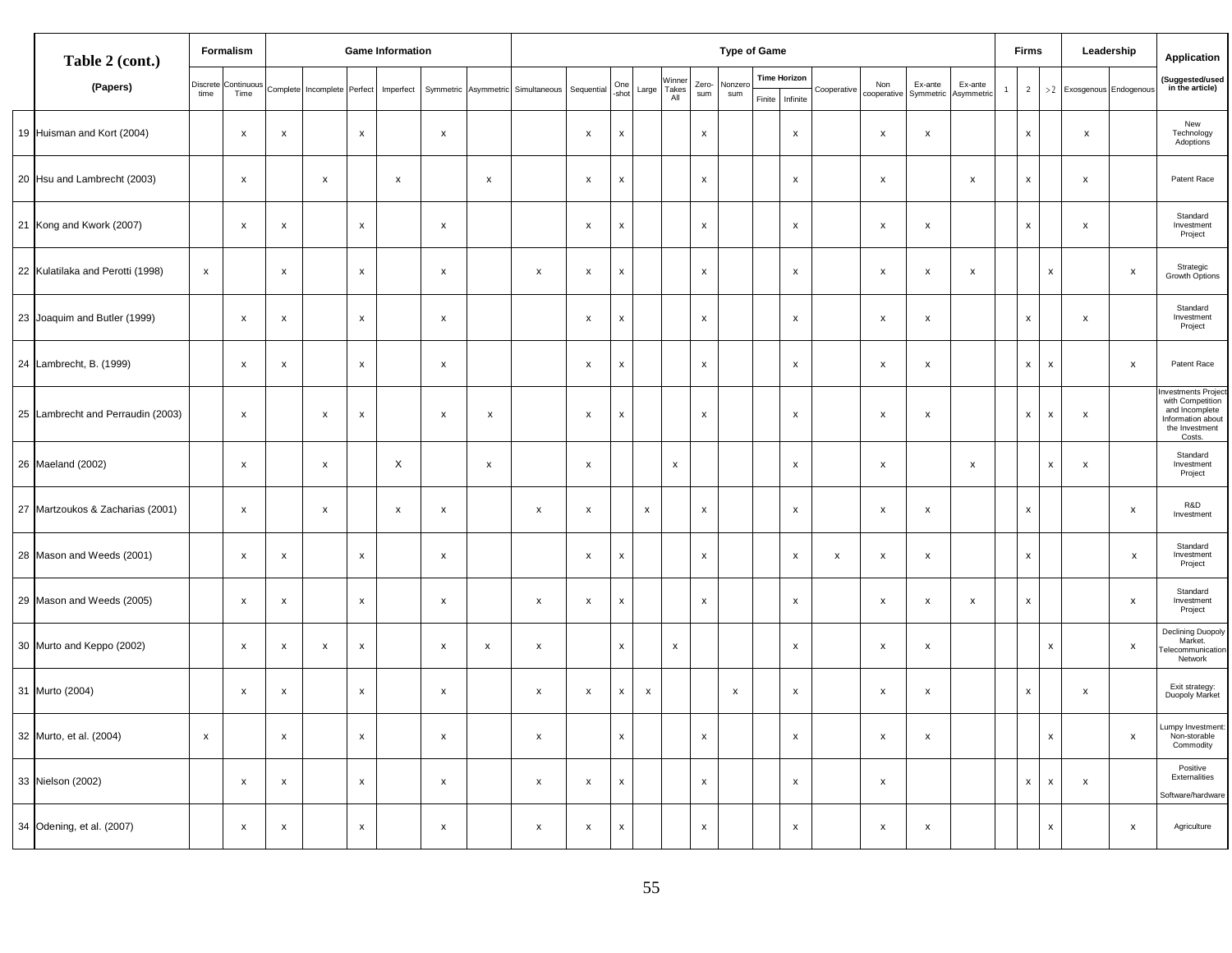| Table 2 (cont.)                   |             | Formalism                   |                           | <b>Game Information</b>     |                           |                | <b>Type of Game</b>       |                    |                                             |                           |                    |              |                        |                    |                    |  |                                        |                    | <b>Firms</b>       |                           |                           | Leadership   | Application        |                    |                          |                           |                                                                                                          |
|-----------------------------------|-------------|-----------------------------|---------------------------|-----------------------------|---------------------------|----------------|---------------------------|--------------------|---------------------------------------------|---------------------------|--------------------|--------------|------------------------|--------------------|--------------------|--|----------------------------------------|--------------------|--------------------|---------------------------|---------------------------|--------------|--------------------|--------------------|--------------------------|---------------------------|----------------------------------------------------------------------------------------------------------|
| (Papers)                          | time        | Discrete Continuous<br>Time |                           | Complete Incomplete Perfect |                           |                |                           |                    | Imperfect Symmetric Asymmetric Simultaneous | Sequential                | One<br>-shot       | Large        | Winner<br>Takes<br>All | Zero-<br>sum       | Nonzer<br>sum      |  | <b>Time Horizon</b><br>Finite Infinite | Cooperative        | Non<br>cooperative | Ex-ante<br>Symmetric      | Ex-ante<br>Asymmetric     | $\mathbf{1}$ | $2^{\circ}$        |                    | >2 Exosgenous Endogenous |                           | (Suggested/used<br>in the article)                                                                       |
| 19 Huisman and Kort (2004)        |             | $\pmb{\times}$              | $\pmb{\mathsf{x}}$        |                             | $\mathbf{x}$              |                | $\mathsf{x}$              |                    |                                             | $\pmb{\times}$            | x                  |              |                        | $\mathsf{x}$       |                    |  | $\mathsf{x}$                           |                    | $\pmb{\times}$     | $\pmb{\times}$            |                           |              | $\mathsf{x}$       |                    | $\mathsf{x}$             |                           | New<br>Technology<br>Adoptions                                                                           |
| 20 Hsu and Lambrecht (2003)       |             | $\pmb{\times}$              |                           | $\pmb{\chi}$                |                           | $\pmb{\times}$ |                           | x                  |                                             | $\pmb{\mathsf{x}}$        | x                  |              |                        | $\mathsf{x}$       |                    |  | $\mathsf{x}$                           |                    | $\pmb{\times}$     |                           | $\boldsymbol{\mathsf{x}}$ |              | $\mathsf{x}$       |                    | $\pmb{\mathsf{x}}$       |                           | Patent Race                                                                                              |
| 21 Kong and Kwork (2007)          |             | $\pmb{\mathsf{x}}$          | $\pmb{\mathsf{x}}$        |                             | $\pmb{\mathsf{x}}$        |                | $\mathsf{x}$              |                    |                                             | $\pmb{\times}$            | x                  |              |                        | $\mathsf{x}$       |                    |  | $\mathsf{x}$                           |                    | $\pmb{\times}$     | $\boldsymbol{\mathsf{X}}$ |                           |              | $\mathsf{x}$       |                    | $\pmb{\times}$           |                           | Standard<br>Investment<br>Project                                                                        |
| 22 Kulatilaka and Perotti (1998)  | $\mathsf X$ |                             | $\pmb{\mathsf{x}}$        |                             | $\mathsf X$               |                | $\mathsf X$               |                    | $\pmb{\mathsf{x}}$                          | $\pmb{\mathsf{x}}$        | x                  |              |                        | $\pmb{\chi}$       |                    |  | $\boldsymbol{\mathsf{x}}$              |                    | $\,$ X             | $\,$ X                    | $\boldsymbol{\mathsf{x}}$ |              |                    | $\pmb{\mathsf{x}}$ |                          | $\pmb{\times}$            | Strategic<br>Growth Options                                                                              |
| 23 Joaquim and Butler (1999)      |             | $\boldsymbol{\mathsf{x}}$   | $\pmb{\mathsf{x}}$        |                             | $\pmb{\mathsf{x}}$        |                | $\mathsf{x}$              |                    |                                             | $\pmb{\mathsf{x}}$        | x                  |              |                        | $\mathsf X$        |                    |  | $\mathsf{x}$                           |                    | $\pmb{\times}$     | $\pmb{\mathsf{x}}$        |                           |              | $\pmb{\mathsf{x}}$ |                    | $\pmb{\times}$           |                           | Standard<br>Investment<br>Project                                                                        |
| 24 Lambrecht, B. (1999)           |             | $\boldsymbol{\mathsf{x}}$   | $\pmb{\mathsf{x}}$        |                             | $\pmb{\chi}$              |                | $\mathsf{x}$              |                    |                                             | $\boldsymbol{\mathsf{X}}$ | х                  |              |                        | $\pmb{\mathsf{x}}$ |                    |  | $\mathsf{x}$                           |                    | $\pmb{\times}$     | $\pmb{\times}$            |                           |              | $\mathbf{x}$       | $\pmb{\mathsf{x}}$ |                          | $\pmb{\times}$            | Patent Race                                                                                              |
| 25 Lambrecht and Perraudin (2003) |             | $\pmb{\chi}$                |                           | $\pmb{\mathsf{x}}$          | $\,$ X                    |                | $\mathsf{x}$              | $\pmb{\chi}$       |                                             | $\mathsf X$               | $\pmb{\mathsf{x}}$ |              |                        | $\mathsf{x}$       |                    |  | $\mathsf{x}$                           |                    | $\,$ X             | $\mathsf X$               |                           |              | $\mathsf{x}$       | $\pmb{\chi}$       | $\pmb{\times}$           |                           | nvestments Projed<br>with Competition<br>and Incomplete<br>Information about<br>the Investment<br>Costs. |
| 26 Maeland (2002)                 |             | $\pmb{\chi}$                |                           | $\pmb{\chi}$                |                           | X              |                           | $\mathsf x$        |                                             | $\mathsf X$               |                    |              | $\pmb{\mathsf{x}}$     |                    |                    |  | $\mathsf{x}$                           |                    | $\,$ $\times$      |                           | $\pmb{\chi}$              |              |                    | $\mathsf X$        | $\pmb{\mathsf{x}}$       |                           | Standard<br>Investment<br>Project                                                                        |
| 27 Martzoukos & Zacharias (2001)  |             | $\boldsymbol{\mathsf{x}}$   |                           | $\boldsymbol{\mathsf{x}}$   |                           | $\pmb{\times}$ | $\mathsf X$               |                    | $\pmb{\mathsf{x}}$                          | $\pmb{\mathsf{x}}$        |                    | $\mathsf X$  |                        | $\mathsf{x}$       |                    |  | $\pmb{\chi}$                           |                    | $\,$ X             | $\pmb{\times}$            |                           |              | $\pmb{\mathsf{x}}$ |                    |                          | $\mathsf{x}$              | R&D<br>Investment                                                                                        |
| 28 Mason and Weeds (2001)         |             | $\boldsymbol{\mathsf{x}}$   | $\pmb{\times}$            |                             | $\pmb{\mathsf{x}}$        |                | $\boldsymbol{\mathsf{x}}$ |                    |                                             | $\pmb{\times}$            | X                  |              |                        | $\mathsf{x}$       |                    |  | $\pmb{\times}$                         | $\pmb{\mathsf{x}}$ | $\pmb{\times}$     | $\pmb{\times}$            |                           |              | $\mathsf{x}$       |                    |                          | $\boldsymbol{\mathsf{x}}$ | Standard<br>Investment<br>Project                                                                        |
| 29 Mason and Weeds (2005)         |             | $\boldsymbol{\mathsf{x}}$   | $\pmb{\mathsf{x}}$        |                             | $\pmb{\mathsf{x}}$        |                | $\mathsf{x}$              |                    | $\pmb{\mathsf{x}}$                          | $\pmb{\mathsf{x}}$        | $\mathsf{x}$       |              |                        | $\mathsf X$        |                    |  | $\mathsf{x}$                           |                    | $\,$ X             | $\mathsf{x}$              | $\mathsf X$               |              | $\pmb{\mathsf{x}}$ |                    |                          | $\mathsf{x}$              | Standard<br>Investment<br>Project                                                                        |
| 30 Murto and Keppo (2002)         |             | $\pmb{\times}$              | $\pmb{\times}$            | $\boldsymbol{\mathsf{x}}$   | $\pmb{\mathsf{x}}$        |                | $\mathsf{x}$              | $\pmb{\mathsf{x}}$ | $\pmb{\mathsf{x}}$                          |                           | $\mathsf{x}$       |              | X                      |                    |                    |  | $\pmb{\mathsf{x}}$                     |                    | $\pmb{\times}$     | $\pmb{\mathsf{x}}$        |                           |              |                    | X                  |                          | $\mathsf{x}$              | Declining Duopoly<br>Market.<br>elecommunication<br>Network                                              |
| 31 Murto (2004)                   |             | $\boldsymbol{\mathsf{x}}$   | $\pmb{\mathsf{x}}$        |                             | $\pmb{\mathsf{x}}$        |                | $\mathsf{x}$              |                    | $\pmb{\mathsf{x}}$                          | $\pmb{\mathsf{x}}$        | <b>X</b>           | $\mathsf{x}$ |                        |                    | $\pmb{\mathsf{x}}$ |  | $\boldsymbol{\mathsf{X}}$              |                    | $\pmb{\times}$     | $\boldsymbol{\mathsf{x}}$ |                           |              | $\mathsf{x}$       |                    | $\pmb{\mathsf{x}}$       |                           | Exit strategy:<br>Duopoly Market                                                                         |
| 32 Murto, et al. (2004)           | $\mathsf X$ |                             | $\pmb{\mathsf{x}}$        |                             | $\pmb{\mathsf{x}}$        |                | $\mathbf x$               |                    | $\pmb{\mathsf{x}}$                          |                           | x                  |              |                        | $\pmb{\mathsf{x}}$ |                    |  | $\mathsf X$                            |                    | $\,$ X             | $\pmb{\mathsf{x}}$        |                           |              |                    | $\pmb{\mathsf{x}}$ |                          | $\mathsf{x}$              | umpy Investment<br>Non-storable<br>Commodity                                                             |
| 33 Nielson (2002)                 |             | $\boldsymbol{\mathsf{x}}$   | $\pmb{\mathsf{x}}$        |                             | $\boldsymbol{\mathsf{X}}$ |                | $\mathsf{x}$              |                    | $\pmb{\mathsf{x}}$                          | $\pmb{\mathsf{x}}$        | X                  |              |                        | $\mathsf{x}$       |                    |  | $\mathsf{x}$                           |                    | $\,$ X             |                           |                           |              | $\mathsf{x}$       | $\pmb{\mathsf{x}}$ | $\pmb{\times}$           |                           | Positive<br>Externalities<br>Software/hardware                                                           |
| 34 Odening, et al. (2007)         |             | $\boldsymbol{\mathsf{x}}$   | $\boldsymbol{\mathsf{x}}$ |                             | $\mathsf{x}$              |                | $\mathsf{x}$              |                    | $\pmb{\mathsf{x}}$                          | $\pmb{\mathsf{x}}$        | $\mathsf{x}$       |              |                        | $\mathsf{x}$       |                    |  | $\mathsf{x}$                           |                    | $\pmb{\times}$     | $\boldsymbol{\mathsf{x}}$ |                           |              |                    | $\mathsf{x}$       |                          | X                         | Agriculture                                                                                              |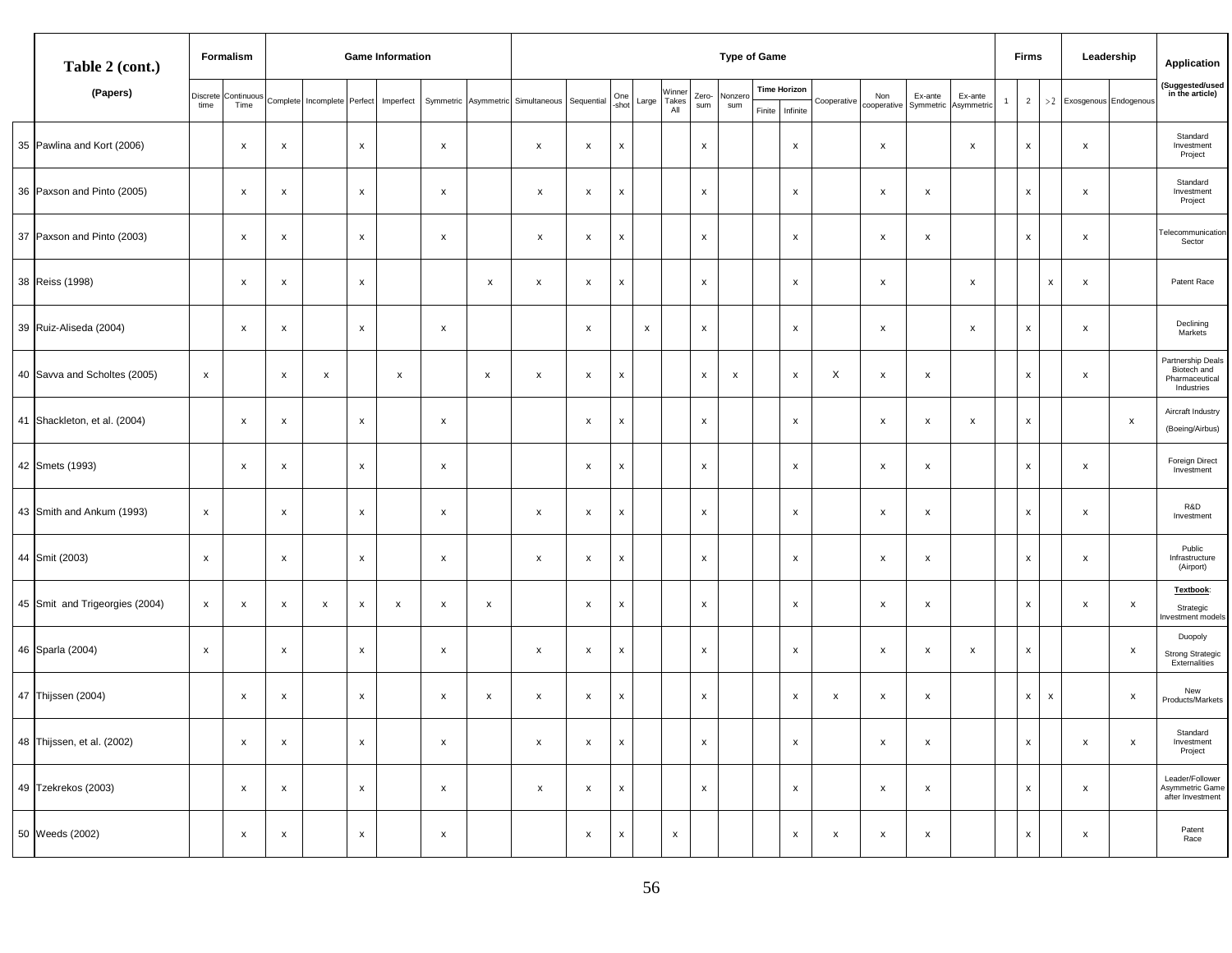| Table 2 (cont.)                |                  | Formalism                 |                           |            |                           | <b>Game Information</b> | <b>Type of Game</b>       |                           |                           |                           |                    |              |                                 |                           |                    |        |                                 |                    |                           |                           | <b>Firms</b>              |  |                           | Leadership                | Application               |                           |                                                                  |
|--------------------------------|------------------|---------------------------|---------------------------|------------|---------------------------|-------------------------|---------------------------|---------------------------|---------------------------|---------------------------|--------------------|--------------|---------------------------------|---------------------------|--------------------|--------|---------------------------------|--------------------|---------------------------|---------------------------|---------------------------|--|---------------------------|---------------------------|---------------------------|---------------------------|------------------------------------------------------------------|
| (Papers)                       | Discrete<br>time | Continuous<br>Time        | Complete                  | Incomplete | Perfect                   | Imperfect               | Symmetric                 |                           | Asymmetric Simultaneous   | Sequential                | One<br>-shot       | Large        | Winner<br>Takes<br>$A\parallel$ | Zero-<br>sum              | Nonzero<br>sum     | Finite | <b>Time Horizon</b><br>Infinite | Cooperative        | Non<br>cooperative        | Ex-ante<br>Symmetric      | Ex-ante<br>Asymmetric     |  | $\overline{2}$            | >2                        | Exosgenous Endogenous     |                           | (Suggested/used<br>in the article)                               |
| 35 Pawlina and Kort (2006)     |                  | х                         | $\pmb{\times}$            |            | $\mathbf{x}$              |                         | $\mathsf{x}$              |                           | $\pmb{\mathsf{x}}$        | $\boldsymbol{\mathsf{x}}$ | $\pmb{\mathsf{X}}$ |              |                                 | $\pmb{\mathsf{x}}$        |                    |        | X                               |                    | $\mathsf{x}$              |                           | $\mathsf{x}$              |  | $\mathsf{x}$              |                           | $\mathsf{x}$              |                           | Standard<br>Investment<br>Project                                |
| 36 Paxson and Pinto (2005)     |                  | х                         | $\boldsymbol{\mathsf{x}}$ |            | $\boldsymbol{\mathsf{x}}$ |                         | X                         |                           | $\mathsf{x}$              | x                         | X                  |              |                                 | $\boldsymbol{\mathsf{x}}$ |                    |        | x                               |                    | $\boldsymbol{\mathsf{x}}$ | $\boldsymbol{\mathsf{x}}$ |                           |  | $\boldsymbol{\mathsf{x}}$ |                           | x                         |                           | Standard<br>Investment<br>Project                                |
| 37 Paxson and Pinto (2003)     |                  | $\boldsymbol{\mathsf{x}}$ | $\pmb{\times}$            |            | $\pmb{\times}$            |                         | $\pmb{\mathsf{x}}$        |                           | $\mathsf{x}$              | $\boldsymbol{\mathsf{x}}$ | $\pmb{\mathsf{X}}$ |              |                                 | $\mathsf X$               |                    |        | X                               |                    | $\boldsymbol{\mathsf{x}}$ | $\boldsymbol{\mathsf{x}}$ |                           |  | $\pmb{\mathsf{x}}$        |                           | $\boldsymbol{\mathsf{X}}$ |                           | <b>Felecommunication</b><br>Sector                               |
| 38 Reiss (1998)                |                  | x                         | $\boldsymbol{\mathsf{x}}$ |            | $\boldsymbol{\mathsf{x}}$ |                         |                           | $\boldsymbol{\mathsf{x}}$ | $\pmb{\mathsf{x}}$        | $\pmb{\mathsf{x}}$        | X                  |              |                                 | $\pmb{\chi}$              |                    |        | X                               |                    | $\pmb{\mathsf{x}}$        |                           | $\boldsymbol{\mathsf{x}}$ |  |                           | $\boldsymbol{\mathsf{x}}$ | X                         |                           | Patent Race                                                      |
| 39 Ruiz-Aliseda (2004)         |                  | х                         | $\pmb{\mathsf{x}}$        |            | $\mathsf{x}$              |                         | $\boldsymbol{\mathsf{x}}$ |                           |                           | $\mathsf{x}$              |                    | $\mathsf{x}$ |                                 | $\pmb{\chi}$              |                    |        | X                               |                    | $\mathsf{x}$              |                           | $\boldsymbol{\mathsf{x}}$ |  | $\pmb{\mathsf{x}}$        |                           | $\mathsf{x}$              |                           | Declining<br>Markets                                             |
| 40 Savva and Scholtes (2005)   | $\mathsf X$      |                           | $\pmb{\times}$            | X          |                           | $\pmb{\mathsf{x}}$      |                           | $\boldsymbol{\mathsf{x}}$ | $\pmb{\mathsf{x}}$        | $\boldsymbol{\mathsf{x}}$ | x                  |              |                                 | $\pmb{\times}$            | $\pmb{\mathsf{x}}$ |        | X                               | X                  | $\pmb{\times}$            | $\boldsymbol{\mathsf{x}}$ |                           |  | $\boldsymbol{\mathsf{x}}$ |                           | X                         |                           | Partnership Deals<br>Biotech and<br>Pharmaceutical<br>Industries |
| 41 Shackleton, et al. (2004)   |                  | х                         | $\boldsymbol{\mathsf{X}}$ |            | $\mathsf{x}$              |                         | $\mathsf{x}$              |                           |                           | $\boldsymbol{\mathsf{x}}$ | X                  |              |                                 | $\boldsymbol{\mathsf{x}}$ |                    |        | X                               |                    | $\mathsf{x}$              | $\boldsymbol{\mathsf{x}}$ | $\mathsf{x}$              |  | $\mathsf{x}$              |                           |                           | $\pmb{\mathsf{x}}$        | Aircraft Industry<br>(Boeing/Airbus)                             |
| 42 Smets (1993)                |                  | x                         | $\pmb{\mathsf{x}}$        |            | $\,$ X                    |                         | $\pmb{\mathsf{x}}$        |                           |                           | $\pmb{\mathsf{x}}$        | x                  |              |                                 | $\mathsf X$               |                    |        | X                               |                    | $\pmb{\times}$            | $\pmb{\mathsf{x}}$        |                           |  | $\pmb{\mathsf{x}}$        |                           | X                         |                           | Foreign Direct<br>Investment                                     |
| 43 Smith and Ankum (1993)      | $\mathbf{x}$     |                           | $\boldsymbol{\mathsf{X}}$ |            | $\pmb{\times}$            |                         | $\pmb{\mathsf{x}}$        |                           | $\pmb{\mathsf{x}}$        | $\boldsymbol{\mathsf{x}}$ | X                  |              |                                 | $\mathsf X$               |                    |        | X                               |                    | $\boldsymbol{\mathsf{x}}$ | $\boldsymbol{\mathsf{x}}$ |                           |  | $\pmb{\mathsf{x}}$        |                           | X                         |                           | R&D<br>Investment                                                |
| 44 Smit (2003)                 | $\mathsf{x}$     |                           | $\pmb{\mathsf{x}}$        |            | $\boldsymbol{\mathsf{x}}$ |                         | $\pmb{\mathsf{x}}$        |                           | $\boldsymbol{\mathsf{x}}$ | $\pmb{\mathsf{x}}$        | X                  |              |                                 | $\pmb{\chi}$              |                    |        | х                               |                    | $\boldsymbol{\mathsf{x}}$ | $\pmb{\times}$            |                           |  | x                         |                           | х                         |                           | Public<br>Infrastructure<br>(Airport)                            |
| 45 Smit and Trigeorgies (2004) | $\mathbf{x}$     | х                         | $\pmb{\mathsf{x}}$        | X          | $\mathsf{x}$              | $\pmb{\mathsf{x}}$      | $\mathsf{x}$              | $\pmb{\mathsf{x}}$        |                           | $\boldsymbol{\mathsf{x}}$ | $\pmb{\mathsf{x}}$ |              |                                 | $\pmb{\chi}$              |                    |        | X                               |                    | $\mathsf{x}$              | $\mathsf{x}$              |                           |  | $\pmb{\mathsf{x}}$        |                           | X                         | $\mathsf{x}$              | <b>Textbook</b><br>Strategic<br>nvestment models                 |
| 46 Sparla (2004)               | $\mathbf{x}$     |                           | $\pmb{\times}$            |            | $\mathsf{x}$              |                         | $\mathsf{x}$              |                           | $\pmb{\mathsf{x}}$        | $\boldsymbol{\mathsf{x}}$ | $\pmb{\mathsf{x}}$ |              |                                 | $\mathsf X$               |                    |        | X                               |                    | $\boldsymbol{\mathsf{x}}$ | $\boldsymbol{\mathsf{x}}$ | $\mathsf{x}$              |  | $\mathsf{x}$              |                           |                           | $\boldsymbol{\mathsf{x}}$ | Duopoly<br>Strong Strategic<br>Externalities                     |
| 47 Thijssen (2004)             |                  | X                         | $\boldsymbol{\mathsf{X}}$ |            | $\mathsf{x}$              |                         | $\mathsf{x}$              | X                         | $\boldsymbol{\mathsf{x}}$ | $\boldsymbol{\mathsf{x}}$ | $\pmb{\mathsf{x}}$ |              |                                 | $\boldsymbol{\mathsf{x}}$ |                    |        | X                               | x                  | $\boldsymbol{\mathsf{x}}$ | $\boldsymbol{\mathsf{x}}$ |                           |  | $\mathsf{x}$              | $\mathsf{x}$              |                           | $\boldsymbol{\mathsf{x}}$ | New<br>Products/Markets                                          |
| 48 Thijssen, et al. (2002)     |                  | х                         | $\boldsymbol{\mathsf{X}}$ |            | $\mathsf X$               |                         | X                         |                           | $\pmb{\chi}$              | $\pmb{\mathsf{x}}$        | $\mathsf{x}$       |              |                                 | $\mathbf{x}$              |                    |        | X                               |                    | $\pmb{\times}$            | $\mathsf{x}$              |                           |  | $\mathbf{x}$              |                           | x                         | $\boldsymbol{\mathsf{x}}$ | Standard<br>Investment<br>Project                                |
| 49 Tzekrekos (2003)            |                  | $\boldsymbol{\mathsf{x}}$ | $\mathsf{x}$              |            | $\mathsf{x}$              |                         | $\mathsf{x}$              |                           | $\mathsf{x}$              | $\mathsf{x}$              | $\mathsf{x}$       |              |                                 | $\mathsf{x}$              |                    |        | x                               |                    | $\boldsymbol{\mathsf{x}}$ | $\mathsf{x}$              |                           |  | $\mathsf{x}$              |                           | $\mathsf{x}$              |                           | Leader/Follower<br>Asymmetric Game<br>after Investment           |
| 50 Weeds (2002)                |                  | $\mathsf{x}$              | $\boldsymbol{\mathsf{X}}$ |            | $\mathbf{x}$              |                         | $\mathsf{x}$              |                           |                           | $\mathsf X$               | $\pmb{\mathsf{x}}$ |              | $\pmb{\mathsf{x}}$              |                           |                    |        | X                               | $\pmb{\mathsf{x}}$ | $\mathsf{x}$              | $\mathsf{x}$              |                           |  | $\mathsf X$               |                           | $\pmb{\mathsf{X}}$        |                           | Patent<br>Race                                                   |